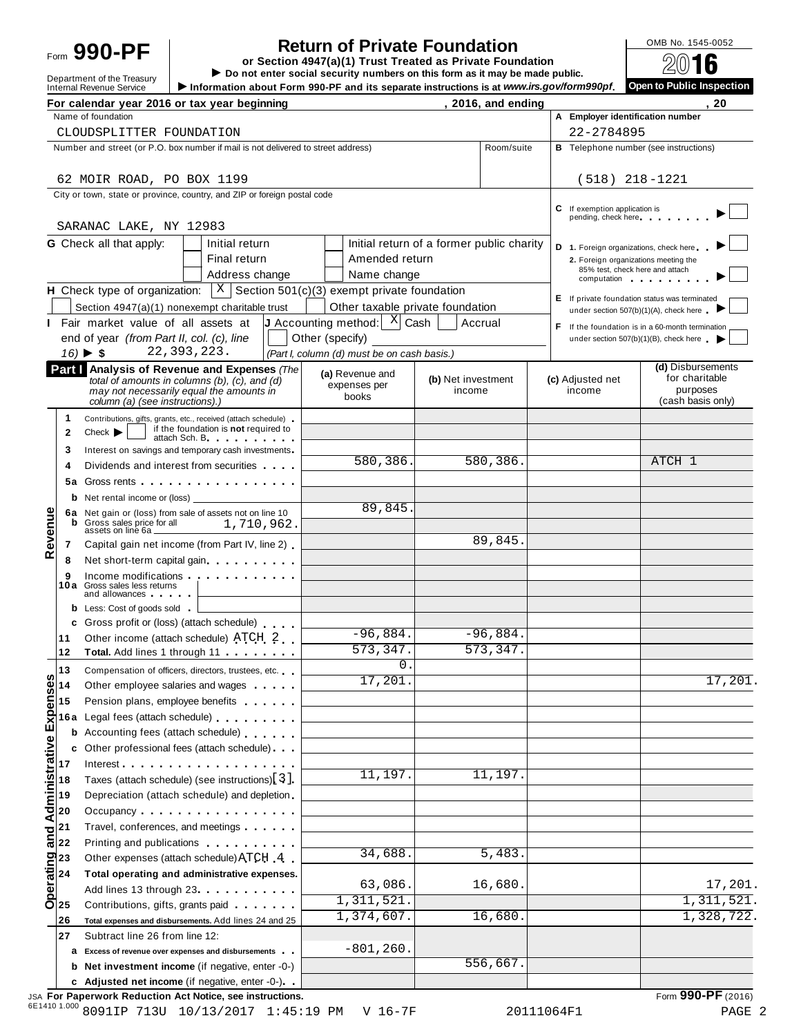#### **Return of Private Foundation**<br> **etion 4947(a)(1) Trust Treated as Private Foundation** Form **990-PF or Section 4947(a)(1) Trust Treated as Private Foundation**

**Department of the Treasury**<br>
Information about Form 990-PF and its separate instructions is at www.irs.gov/form990pf. Open to Public Inspection<br>
Information about Form 990-PF and its separate instructions is at www.irs.g

Information about Form 990-PF and its separate instructions is at www.irs.gov/form990pf.

|         |                                                                                                                | For calendar year 2016 or tax year beginning                                                                                                                                                                                                                                                                                                                                                                                                                                                    |                                                                    |                                           | , 2016, and ending |                                                                            | 20                                                                   |
|---------|----------------------------------------------------------------------------------------------------------------|-------------------------------------------------------------------------------------------------------------------------------------------------------------------------------------------------------------------------------------------------------------------------------------------------------------------------------------------------------------------------------------------------------------------------------------------------------------------------------------------------|--------------------------------------------------------------------|-------------------------------------------|--------------------|----------------------------------------------------------------------------|----------------------------------------------------------------------|
|         |                                                                                                                | Name of foundation                                                                                                                                                                                                                                                                                                                                                                                                                                                                              |                                                                    |                                           |                    | A Employer identification number                                           |                                                                      |
|         |                                                                                                                | CLOUDSPLITTER FOUNDATION                                                                                                                                                                                                                                                                                                                                                                                                                                                                        |                                                                    |                                           |                    | 22-2784895                                                                 |                                                                      |
|         |                                                                                                                | Number and street (or P.O. box number if mail is not delivered to street address)                                                                                                                                                                                                                                                                                                                                                                                                               |                                                                    |                                           | Room/suite         |                                                                            | <b>B</b> Telephone number (see instructions)                         |
|         |                                                                                                                | 62 MOIR ROAD, PO BOX 1199                                                                                                                                                                                                                                                                                                                                                                                                                                                                       |                                                                    |                                           |                    |                                                                            | (518) 218-1221                                                       |
|         |                                                                                                                | City or town, state or province, country, and ZIP or foreign postal code                                                                                                                                                                                                                                                                                                                                                                                                                        |                                                                    |                                           |                    |                                                                            |                                                                      |
|         |                                                                                                                | SARANAC LAKE, NY 12983                                                                                                                                                                                                                                                                                                                                                                                                                                                                          |                                                                    |                                           |                    | C If exemption application is<br>pending, check here entering the state of |                                                                      |
|         |                                                                                                                | G Check all that apply:<br>Initial return                                                                                                                                                                                                                                                                                                                                                                                                                                                       |                                                                    | Initial return of a former public charity |                    | D 1. Foreign organizations, check here                                     |                                                                      |
|         |                                                                                                                | Final return                                                                                                                                                                                                                                                                                                                                                                                                                                                                                    | Amended return                                                     |                                           |                    |                                                                            | 2. Foreign organizations meeting the                                 |
|         |                                                                                                                | Address change                                                                                                                                                                                                                                                                                                                                                                                                                                                                                  | Name change                                                        |                                           |                    |                                                                            | 85% test, check here and attach<br>computation products and products |
|         |                                                                                                                | <b>H</b> Check type of organization: $X \mid X$ Section 501(c)(3) exempt private foundation                                                                                                                                                                                                                                                                                                                                                                                                     |                                                                    |                                           |                    |                                                                            | E If private foundation status was terminated                        |
|         |                                                                                                                | Section 4947(a)(1) nonexempt charitable trust                                                                                                                                                                                                                                                                                                                                                                                                                                                   | Other taxable private foundation                                   |                                           |                    |                                                                            | under section 507(b)(1)(A), check here                               |
|         |                                                                                                                | I Fair market value of all assets at                                                                                                                                                                                                                                                                                                                                                                                                                                                            | <b>J</b> Accounting method: $\begin{bmatrix} X \end{bmatrix}$ Cash |                                           | Accrual            |                                                                            | F If the foundation is in a 60-month termination                     |
|         |                                                                                                                | end of year (from Part II, col. (c), line                                                                                                                                                                                                                                                                                                                                                                                                                                                       | Other (specify)                                                    |                                           |                    |                                                                            | under section $507(b)(1)(B)$ , check here $\bullet$                  |
|         |                                                                                                                | 22,393,223.<br>$16)$ $\triangleright$ \$                                                                                                                                                                                                                                                                                                                                                                                                                                                        | (Part I, column (d) must be on cash basis.)                        |                                           |                    |                                                                            |                                                                      |
|         |                                                                                                                | Part I Analysis of Revenue and Expenses (The<br>total of amounts in columns (b), $(c)$ , and $(d)$<br>may not necessarily equal the amounts in                                                                                                                                                                                                                                                                                                                                                  | (a) Revenue and<br>expenses per<br>books                           | (b) Net investment<br>income              |                    | (c) Adjusted net<br>income                                                 | (d) Disbursements<br>for charitable<br>purposes<br>(cash basis only) |
|         |                                                                                                                | column (a) (see instructions).)                                                                                                                                                                                                                                                                                                                                                                                                                                                                 |                                                                    |                                           |                    |                                                                            |                                                                      |
|         | 1<br>$\mathbf{2}$                                                                                              | Contributions, gifts, grants, etc., received (attach schedule)<br>if the foundation is not required to<br>Check<br>attach Sch. B. Particular and the set of the set of the set of the set of the set of the set of the set of the                                                                                                                                                                                                                                                               |                                                                    |                                           |                    |                                                                            |                                                                      |
|         | 3                                                                                                              | Interest on savings and temporary cash investments                                                                                                                                                                                                                                                                                                                                                                                                                                              |                                                                    |                                           |                    |                                                                            |                                                                      |
|         | 4                                                                                                              | Dividends and interest from securities                                                                                                                                                                                                                                                                                                                                                                                                                                                          | 580, 386.                                                          |                                           | 580, 386.          |                                                                            | ATCH 1                                                               |
|         | 5а                                                                                                             | Gross rents experience and the set of the set of the set of the set of the set of the set of the set of the set of the set of the set of the set of the set of the set of the set of the set of the set of the set of the set                                                                                                                                                                                                                                                                   |                                                                    |                                           |                    |                                                                            |                                                                      |
|         | b                                                                                                              | Net rental income or (loss)                                                                                                                                                                                                                                                                                                                                                                                                                                                                     |                                                                    |                                           |                    |                                                                            |                                                                      |
| Revenue | 6а<br>b                                                                                                        | Net gain or (loss) from sale of assets not on line 10<br>Gross sales price for all<br>1,710,962.<br>assets on line 6a.                                                                                                                                                                                                                                                                                                                                                                          | 89,845.                                                            |                                           |                    |                                                                            |                                                                      |
|         | 7                                                                                                              | Capital gain net income (from Part IV, line 2)                                                                                                                                                                                                                                                                                                                                                                                                                                                  |                                                                    |                                           | 89,845.            |                                                                            |                                                                      |
|         | 8                                                                                                              | Net short-term capital gain                                                                                                                                                                                                                                                                                                                                                                                                                                                                     |                                                                    |                                           |                    |                                                                            |                                                                      |
|         | 9                                                                                                              | Income modifications expansion and the set of the set of the set of the set of the set of the set of the set of the set of the set of the set of the set of the set of the set of the set of the set of the set of the set of<br>10a Gross sales less returns<br>and allowances and the state of the state of the state of the state of the state of the state of the state of the state of the state of the state of the state of the state of the state of the state of the state of the stat |                                                                    |                                           |                    |                                                                            |                                                                      |
|         |                                                                                                                | <b>b</b> Less: Cost of goods sold                                                                                                                                                                                                                                                                                                                                                                                                                                                               |                                                                    |                                           |                    |                                                                            |                                                                      |
|         |                                                                                                                | c Gross profit or (loss) (attach schedule)                                                                                                                                                                                                                                                                                                                                                                                                                                                      |                                                                    |                                           |                    |                                                                            |                                                                      |
|         | 11                                                                                                             | Other income (attach schedule) ATCH 2                                                                                                                                                                                                                                                                                                                                                                                                                                                           | $-96,884.$                                                         |                                           | $-96,884.$         |                                                                            |                                                                      |
|         | 12                                                                                                             | Total. Add lines 1 through 11                                                                                                                                                                                                                                                                                                                                                                                                                                                                   | 573, 347.                                                          |                                           | 573, 347.          |                                                                            |                                                                      |
|         | 13                                                                                                             | Compensation of officers, directors, trustees, etc.                                                                                                                                                                                                                                                                                                                                                                                                                                             | 0.                                                                 |                                           |                    |                                                                            |                                                                      |
|         |                                                                                                                | Other employee salaries and wages                                                                                                                                                                                                                                                                                                                                                                                                                                                               | 17,201.                                                            |                                           |                    |                                                                            | 17,201.                                                              |
|         |                                                                                                                | Pension plans, employee benefits                                                                                                                                                                                                                                                                                                                                                                                                                                                                |                                                                    |                                           |                    |                                                                            |                                                                      |
|         | 16 a                                                                                                           | Legal fees (attach schedule) expansion of the state of the state of the state of the state of the state of the state of the state of the state of the state of the state of the state of the state of the state of the state o                                                                                                                                                                                                                                                                  |                                                                    |                                           |                    |                                                                            |                                                                      |
|         | b                                                                                                              | Accounting fees (attach schedule)                                                                                                                                                                                                                                                                                                                                                                                                                                                               |                                                                    |                                           |                    |                                                                            |                                                                      |
|         | c                                                                                                              | Other professional fees (attach schedule)                                                                                                                                                                                                                                                                                                                                                                                                                                                       |                                                                    |                                           |                    |                                                                            |                                                                      |
|         | Administrative Expenses<br>$\frac{1}{2}$ $\frac{1}{2}$ $\frac{1}{2}$ $\frac{1}{2}$ $\frac{1}{2}$ $\frac{1}{2}$ |                                                                                                                                                                                                                                                                                                                                                                                                                                                                                                 | 11,197.                                                            |                                           | 11,197.            |                                                                            |                                                                      |
|         |                                                                                                                | Taxes (attach schedule) (see instructions) 3.                                                                                                                                                                                                                                                                                                                                                                                                                                                   |                                                                    |                                           |                    |                                                                            |                                                                      |
|         |                                                                                                                | Depreciation (attach schedule) and depletion                                                                                                                                                                                                                                                                                                                                                                                                                                                    |                                                                    |                                           |                    |                                                                            |                                                                      |
|         |                                                                                                                | Occupancy experience and the contract of the contract of the contract of the contract of the contract of the contract of the contract of the contract of the contract of the contract of the contract of the contract of the c                                                                                                                                                                                                                                                                  |                                                                    |                                           |                    |                                                                            |                                                                      |
|         | $\frac{1}{\overline{\mathsf{d}}} \begin{vmatrix} 21 \\ 22 \end{vmatrix}$                                       | Travel, conferences, and meetings                                                                                                                                                                                                                                                                                                                                                                                                                                                               |                                                                    |                                           |                    |                                                                            |                                                                      |
|         |                                                                                                                | Printing and publications <b>All Accords</b> Printing and publications                                                                                                                                                                                                                                                                                                                                                                                                                          | 34,688.                                                            |                                           | 5,483.             |                                                                            |                                                                      |
|         | Operating<br>24<br>Operating                                                                                   | Other expenses (attach schedule) ATCH 4                                                                                                                                                                                                                                                                                                                                                                                                                                                         |                                                                    |                                           |                    |                                                                            |                                                                      |
|         |                                                                                                                | Total operating and administrative expenses.                                                                                                                                                                                                                                                                                                                                                                                                                                                    | 63,086.                                                            |                                           | 16,680.            |                                                                            | 17,201.                                                              |
|         |                                                                                                                | Add lines 13 through 23 <b>Add lines</b> 13 through 23                                                                                                                                                                                                                                                                                                                                                                                                                                          | 1,311,521                                                          |                                           |                    |                                                                            | 1,311,521.                                                           |
|         | 26                                                                                                             | Contributions, gifts, grants paid<br>Total expenses and disbursements. Add lines 24 and 25                                                                                                                                                                                                                                                                                                                                                                                                      | 1,374,607.                                                         |                                           | 16,680.            |                                                                            | 1,328,722.                                                           |
|         | 27                                                                                                             | Subtract line 26 from line 12:                                                                                                                                                                                                                                                                                                                                                                                                                                                                  |                                                                    |                                           |                    |                                                                            |                                                                      |
|         | а                                                                                                              | Excess of revenue over expenses and disbursements                                                                                                                                                                                                                                                                                                                                                                                                                                               | $-801, 260.$                                                       |                                           |                    |                                                                            |                                                                      |
|         | b                                                                                                              | Net investment income (if negative, enter -0-)                                                                                                                                                                                                                                                                                                                                                                                                                                                  |                                                                    |                                           | 556,667.           |                                                                            |                                                                      |
|         |                                                                                                                | c Adjusted net income (if negative, enter $-0$ -).                                                                                                                                                                                                                                                                                                                                                                                                                                              |                                                                    |                                           |                    |                                                                            |                                                                      |
|         |                                                                                                                |                                                                                                                                                                                                                                                                                                                                                                                                                                                                                                 |                                                                    |                                           |                    |                                                                            |                                                                      |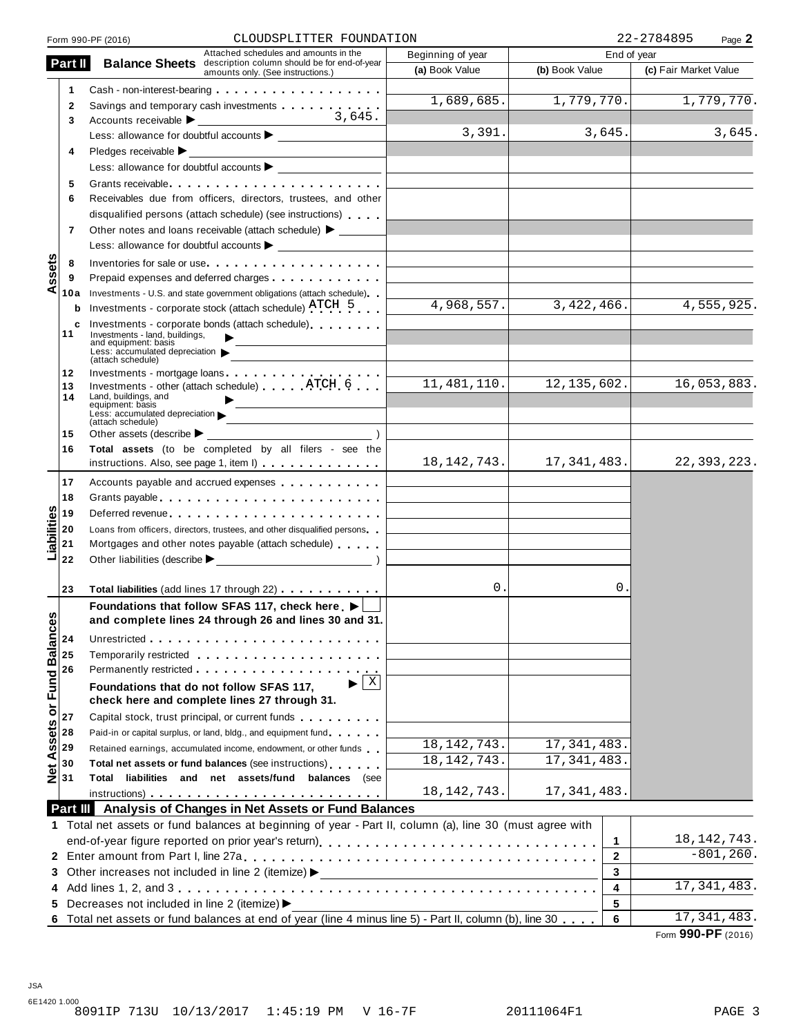|             |                                                                    | CLOUDSPLITTER FOUNDATION<br>Form 990-PF (2016)                                                                                                                                                                                 |                   |                               | 22-2784895<br>Page 2  |
|-------------|--------------------------------------------------------------------|--------------------------------------------------------------------------------------------------------------------------------------------------------------------------------------------------------------------------------|-------------------|-------------------------------|-----------------------|
|             | Part II                                                            | Attached schedules and amounts in the                                                                                                                                                                                          | Beginning of year | End of year                   |                       |
|             |                                                                    | <b>Balance Sheets</b> description column should be for end-of-year<br>amounts only. (See instructions.)                                                                                                                        | (a) Book Value    | (b) Book Value                | (c) Fair Market Value |
|             | 1                                                                  |                                                                                                                                                                                                                                |                   |                               |                       |
|             | $\mathbf{2}$                                                       | Savings and temporary cash investments                                                                                                                                                                                         | 1,689,685.        | 1,779,770.                    | 1,779,770.            |
|             | 3                                                                  | 3,645.                                                                                                                                                                                                                         |                   |                               |                       |
|             |                                                                    |                                                                                                                                                                                                                                | 3,391.            | 3,645.                        | 3,645.                |
| ssets<br>⋖  | 4                                                                  | Pledges receivable $\blacktriangleright$                                                                                                                                                                                       |                   |                               |                       |
|             |                                                                    |                                                                                                                                                                                                                                |                   |                               |                       |
|             | 5                                                                  | Grants receivable entering the state of the state of the state of the state of the state of the state of the state of the state of the state of the state of the state of the state of the state of the state of the state of  |                   |                               |                       |
|             | 6                                                                  | Receivables due from officers, directors, trustees, and other                                                                                                                                                                  |                   |                               |                       |
|             |                                                                    | disqualified persons (attach schedule) (see instructions)                                                                                                                                                                      |                   |                               |                       |
|             | 7                                                                  | Other notes and loans receivable (attach schedule) > _______                                                                                                                                                                   |                   |                               |                       |
|             |                                                                    | Less: allowance for doubtful accounts >                                                                                                                                                                                        |                   |                               |                       |
|             | 8                                                                  | Inventories for sale or use $\cdots \cdots \cdots$                                                                                                                                                                             |                   |                               |                       |
|             | 9                                                                  | Prepaid expenses and deferred charges <b>Expenses Expenses EXPLORER PROPERTY</b>                                                                                                                                               |                   |                               |                       |
|             | 10a                                                                | Investments - U.S. and state government obligations (attach schedule)                                                                                                                                                          |                   |                               |                       |
|             | b                                                                  | Investments - corporate stock (attach schedule) ATCH 5                                                                                                                                                                         | 4,968,557.        | 3,422,466.                    | 4,555,925.            |
|             | c                                                                  | Investments - corporate bonds (attach schedule)                                                                                                                                                                                |                   |                               |                       |
|             | 11                                                                 | Investments - land, buildings,<br>and equipment: basis                                                                                                                                                                         |                   |                               |                       |
|             |                                                                    | Less: accumulated depreciation                                                                                                                                                                                                 |                   |                               |                       |
|             | 12                                                                 | (attach schedule)<br>Investments - mortgage loans                                                                                                                                                                              |                   |                               |                       |
|             | 13                                                                 | Investments - other (attach schedule) ________ ATCH_6                                                                                                                                                                          | 11,481,110.       | 12, 135, 602.                 | 16,053,883.           |
|             | 14                                                                 | Land, buildings, and<br>equipment: basis                                                                                                                                                                                       |                   |                               |                       |
|             |                                                                    | Less: accumulated depreciation $\blacktriangleright$                                                                                                                                                                           |                   |                               |                       |
|             | 15                                                                 | <u> 1989 - Johann Barn, mars an t-Amerikaansk kommunister (</u><br>(attach schedule)<br>Other assets (describe $\blacktriangleright$                                                                                           |                   |                               |                       |
|             | 16                                                                 | Total assets (to be completed by all filers - see the                                                                                                                                                                          |                   |                               |                       |
|             |                                                                    | instructions. Also, see page 1, item I)                                                                                                                                                                                        |                   | $18, 142, 743.$ 17, 341, 483. | 22,393,223.           |
|             | 17                                                                 | Accounts payable and accrued expenses                                                                                                                                                                                          |                   |                               |                       |
|             | 18                                                                 | Grants payable entering the service of the service of the service of the service of the service of the service                                                                                                                 |                   |                               |                       |
|             | 19                                                                 | Deferred revenue expansion of the state of the state of the state of the state of the state of the state of the state of the state of the state of the state of the state of the state of the state of the state of the state  |                   |                               |                       |
|             | 20                                                                 | Loans from officers, directors, trustees, and other disqualified persons                                                                                                                                                       |                   |                               |                       |
| Liabilities | 21                                                                 | Mortgages and other notes payable (attach schedule)                                                                                                                                                                            |                   |                               |                       |
|             | 22                                                                 |                                                                                                                                                                                                                                |                   |                               |                       |
|             |                                                                    |                                                                                                                                                                                                                                |                   |                               |                       |
|             | 23                                                                 | Total liabilities (add lines 17 through 22)                                                                                                                                                                                    | 0.                | 0.                            |                       |
|             |                                                                    | Foundations that follow SFAS 117, check here ▶                                                                                                                                                                                 |                   |                               |                       |
| w           |                                                                    | and complete lines 24 through 26 and lines 30 and 31                                                                                                                                                                           |                   |                               |                       |
|             |                                                                    | Unrestricted entering the state of the state of the state of the state of the state of the state of the state of the state of the state of the state of the state of the state of the state of the state of the state of the s |                   |                               |                       |
|             |                                                                    |                                                                                                                                                                                                                                |                   |                               |                       |
|             |                                                                    |                                                                                                                                                                                                                                |                   |                               |                       |
|             |                                                                    | Χ<br>Foundations that do not follow SFAS 117,                                                                                                                                                                                  |                   |                               |                       |
|             |                                                                    | check here and complete lines 27 through 31.                                                                                                                                                                                   |                   |                               |                       |
|             | Net Assets or Fund Balance<br>$\frac{3}{2}$ assets or Fund Balance | Capital stock, trust principal, or current funds                                                                                                                                                                               |                   |                               |                       |
|             |                                                                    | Paid-in or capital surplus, or land, bldg., and equipment fund                                                                                                                                                                 |                   |                               |                       |
|             |                                                                    | Retained earnings, accumulated income, endowment, or other funds                                                                                                                                                               | 18, 142, 743.     | 17, 341, 483.                 |                       |
|             |                                                                    | Total net assets or fund balances (see instructions)                                                                                                                                                                           | 18, 142, 743.     | 17, 341, 483.                 |                       |
|             |                                                                    | Total liabilities and net assets/fund balances (see                                                                                                                                                                            |                   |                               |                       |
|             |                                                                    | $instructions)$                                                                                                                                                                                                                | 18, 142, 743.     | 17, 341, 483.                 |                       |
|             |                                                                    | Part III Analysis of Changes in Net Assets or Fund Balances                                                                                                                                                                    |                   |                               |                       |
|             |                                                                    | 1 Total net assets or fund balances at beginning of year - Part II, column (a), line 30 (must agree with                                                                                                                       |                   |                               |                       |
|             |                                                                    |                                                                                                                                                                                                                                |                   | 1                             | 18, 142, 743.         |
|             |                                                                    |                                                                                                                                                                                                                                |                   | 2                             | $-801, 260.$          |
|             |                                                                    | 3 Other increases not included in line 2 (itemize) >                                                                                                                                                                           |                   | 3                             |                       |
|             |                                                                    |                                                                                                                                                                                                                                |                   | 4                             | 17,341,483.           |
| 5           |                                                                    | Decreases not included in line 2 (itemize) ▶                                                                                                                                                                                   |                   | 5                             |                       |
|             |                                                                    | 6 Total net assets or fund balances at end of year (line 4 minus line 5) - Part II, column (b), line 30                                                                                                                        |                   | 6                             | 17, 341, 483.         |
|             |                                                                    |                                                                                                                                                                                                                                |                   |                               |                       |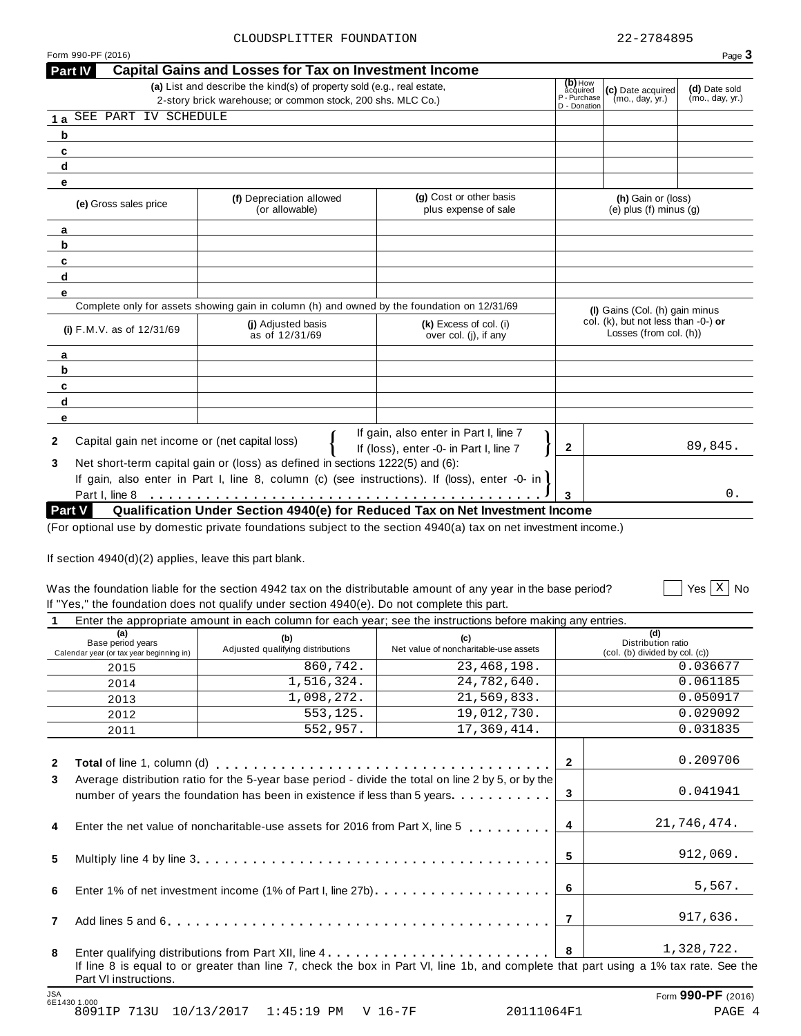$\boxed{\phantom{1}}$  Yes  $\boxed{\text{X}}$  No

|                | Part IV                                       | <b>Capital Gains and Losses for Tax on Investment Income</b>                                                                          |                                                                                 |                                                     |                                                                  |                                  |
|----------------|-----------------------------------------------|---------------------------------------------------------------------------------------------------------------------------------------|---------------------------------------------------------------------------------|-----------------------------------------------------|------------------------------------------------------------------|----------------------------------|
|                |                                               | (a) List and describe the kind(s) of property sold (e.g., real estate,<br>2-story brick warehouse; or common stock, 200 shs. MLC Co.) |                                                                                 | (b) How<br>acquired<br>P - Purchase<br>D - Donation | (c) Date acquired<br>(mo., day, yr.)                             | (d) Date sold<br>(mo., day, yr.) |
| 1a             | SEE PART IV SCHEDULE                          |                                                                                                                                       |                                                                                 |                                                     |                                                                  |                                  |
| b              |                                               |                                                                                                                                       |                                                                                 |                                                     |                                                                  |                                  |
| c              |                                               |                                                                                                                                       |                                                                                 |                                                     |                                                                  |                                  |
| d              |                                               |                                                                                                                                       |                                                                                 |                                                     |                                                                  |                                  |
| е              |                                               |                                                                                                                                       |                                                                                 |                                                     |                                                                  |                                  |
|                | (e) Gross sales price                         | (f) Depreciation allowed<br>(or allowable)                                                                                            | (g) Cost or other basis<br>plus expense of sale                                 |                                                     | (h) Gain or (loss)<br>$(e)$ plus $(f)$ minus $(q)$               |                                  |
| a              |                                               |                                                                                                                                       |                                                                                 |                                                     |                                                                  |                                  |
| b              |                                               |                                                                                                                                       |                                                                                 |                                                     |                                                                  |                                  |
| c              |                                               |                                                                                                                                       |                                                                                 |                                                     |                                                                  |                                  |
| d              |                                               |                                                                                                                                       |                                                                                 |                                                     |                                                                  |                                  |
| е              |                                               |                                                                                                                                       |                                                                                 |                                                     |                                                                  |                                  |
|                |                                               | Complete only for assets showing gain in column (h) and owned by the foundation on 12/31/69                                           |                                                                                 |                                                     | (I) Gains (Col. (h) gain minus                                   |                                  |
|                | (i) $F.M.V.$ as of $12/31/69$                 | (i) Adjusted basis<br>as of 12/31/69                                                                                                  | (k) Excess of col. (i)<br>over col. (i), if any                                 |                                                     | col. (k), but not less than $-0$ -) or<br>Losses (from col. (h)) |                                  |
| a              |                                               |                                                                                                                                       |                                                                                 |                                                     |                                                                  |                                  |
| b              |                                               |                                                                                                                                       |                                                                                 |                                                     |                                                                  |                                  |
| c              |                                               |                                                                                                                                       |                                                                                 |                                                     |                                                                  |                                  |
| d              |                                               |                                                                                                                                       |                                                                                 |                                                     |                                                                  |                                  |
| е              |                                               |                                                                                                                                       |                                                                                 |                                                     |                                                                  |                                  |
| $\overline{2}$ | Capital gain net income or (net capital loss) |                                                                                                                                       | If gain, also enter in Part I, line 7<br>If (loss), enter -0- in Part I, line 7 | 2                                                   |                                                                  | 89,845.                          |
| 3              |                                               | Net short-term capital gain or (loss) as defined in sections 1222(5) and (6):                                                         |                                                                                 |                                                     |                                                                  |                                  |
|                |                                               | If gain, also enter in Part I, line 8, column (c) (see instructions). If (loss), enter -0- in l                                       |                                                                                 |                                                     |                                                                  |                                  |
|                | Part I, line 8                                |                                                                                                                                       |                                                                                 | 3                                                   |                                                                  | 0.                               |

#### **Part V Qualification Under Section 4940(e) for Reduced Tax on Net Investment Income**

(For optional use by domestic private foundations subject to the section 4940(a) tax on net investment income.)

If section  $4940(d)(2)$  applies, leave this part blank.

# Was the foundation liable for the section 4942 tax on the distributable amount of any year in the base period? If "Yes," the foundation does not qualify under section 4940(e). Do not complete this part. Yes No

|  |  | $100, 100$ requirement about not quality and or occupit to reflect be not complete this part. |                                                                                                       |
|--|--|-----------------------------------------------------------------------------------------------|-------------------------------------------------------------------------------------------------------|
|  |  |                                                                                               | Enter the appropriate amount in each column for each year: see the instructions before making any ent |

|                     |                                                                      |                                                                           | Enter the appropriate amount in each column for each year; see the instructions before making any entries.                           |              |                                                             |
|---------------------|----------------------------------------------------------------------|---------------------------------------------------------------------------|--------------------------------------------------------------------------------------------------------------------------------------|--------------|-------------------------------------------------------------|
|                     | (a)<br>Base period years<br>Calendar year (or tax year beginning in) | (b)<br>Adjusted qualifying distributions                                  | (c)<br>Net value of noncharitable-use assets                                                                                         |              | (d)<br>Distribution ratio<br>(col. (b) divided by col. (c)) |
|                     | 2015                                                                 | 860,742.                                                                  | 23, 468, 198.                                                                                                                        |              | 0.036677                                                    |
|                     | 2014                                                                 | 1,516,324.                                                                | 24,782,640.                                                                                                                          |              | 0.061185                                                    |
|                     | 2013                                                                 | 1,098,272.                                                                | 21,569,833.                                                                                                                          |              | 0.050917                                                    |
|                     | 2012                                                                 | 553,125.                                                                  | 19,012,730.                                                                                                                          |              | 0.029092                                                    |
|                     | 2011                                                                 | 552,957.                                                                  | 17,369,414.                                                                                                                          |              | 0.031835                                                    |
| $\overline{2}$<br>3 |                                                                      |                                                                           | Average distribution ratio for the 5-year base period - divide the total on line 2 by 5, or by the                                   | $\mathbf{2}$ | 0.209706                                                    |
|                     |                                                                      | number of years the foundation has been in existence if less than 5 years |                                                                                                                                      | 3            | 0.041941                                                    |
| 4                   |                                                                      |                                                                           |                                                                                                                                      | 4            | 21,746,474.                                                 |
| 5                   |                                                                      |                                                                           |                                                                                                                                      | 5            | 912,069.                                                    |
| 6                   |                                                                      |                                                                           | Enter 1% of net investment income (1% of Part I, line 27b)                                                                           | 6            | 5,567.                                                      |
| $\overline{7}$      |                                                                      |                                                                           |                                                                                                                                      | 7            | 917,636.                                                    |
| 8                   | Part VI instructions.                                                |                                                                           | If line 8 is equal to or greater than line 7, check the box in Part VI, line 1b, and complete that part using a 1% tax rate. See the | 8            | 1,328,722.                                                  |

| Form 990-PF (2016) | Page $\bullet$ |
|--------------------|----------------|
|                    |                |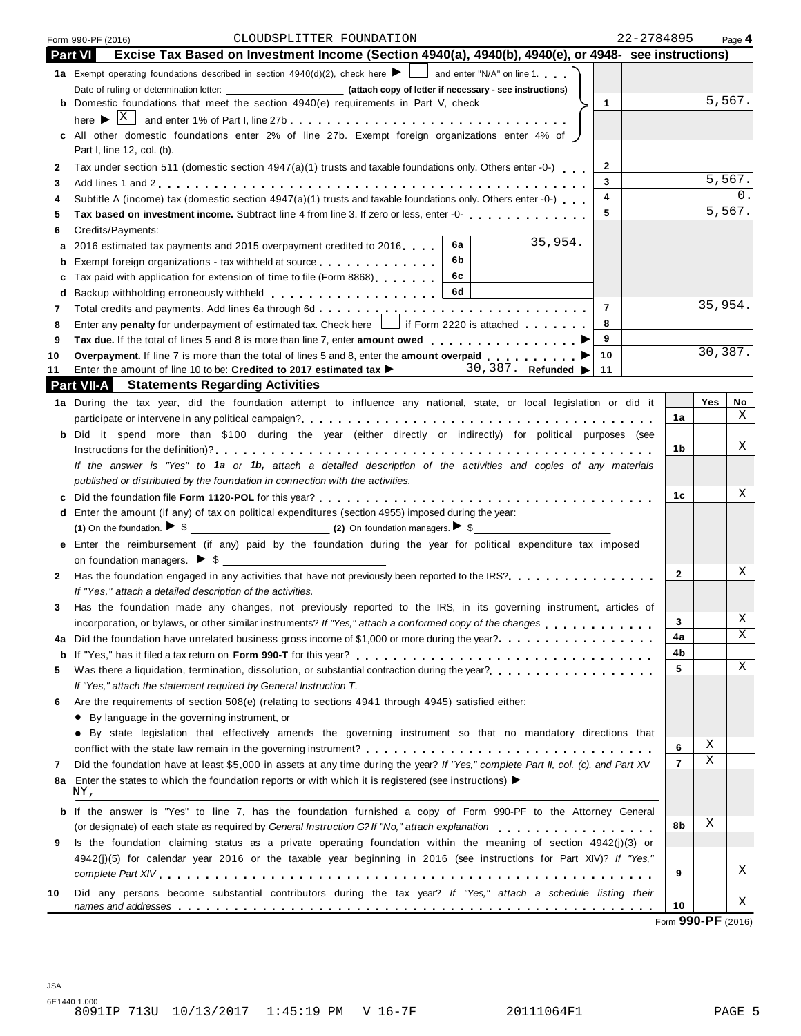| Form 990-PF (2016) |  |
|--------------------|--|
|                    |  |

| Excise Tax Based on Investment Income (Section 4940(a), 4940(b), 4940(e), or 4948- see instructions)<br><b>Part VI</b><br>1a Exempt operating foundations described in section $4940(d)(2)$ , check here $\blacktriangleright$<br>and enter "N/A" on line 1.<br>$\mathbf{1}$<br><b>b</b> Domestic foundations that meet the section 4940(e) requirements in Part V, check<br>c All other domestic foundations enter 2% of line 27b. Exempt foreign organizations enter 4% of<br>Part I, line 12, col. (b).<br>2<br>Tax under section 511 (domestic section 4947(a)(1) trusts and taxable foundations only. Others enter -0-)<br>2<br>3<br>3<br>4<br>Subtitle A (income) tax (domestic section $4947(a)(1)$ trusts and taxable foundations only. Others enter -0-) $\ldots$<br>5<br>Tax based on investment income. Subtract line 4 from line 3. If zero or less, enter -0-<br>5<br>Credits/Payments:<br>6<br>35,954.<br>6а<br>2016 estimated tax payments and 2015 overpayment credited to 2016.<br>a<br>6b<br>Exempt foreign organizations - tax withheld at source<br>b<br>6c<br>Tax paid with application for extension of time to file (Form 8868)<br>c<br>6d<br>Backup withholding erroneously withheld [1] [1] [1] Backup withholding erroneously withheld<br>$\overline{7}$<br>7<br>8<br>Enter any penalty for underpayment of estimated tax. Check here     if Form 2220 is attached<br>8<br>9<br>9<br>10<br>Overpayment. If line 7 is more than the total of lines 5 and 8, enter the amount overpaid<br>10<br>Enter the amount of line 10 to be: Credited to 2017 estimated tax $\blacktriangleright$ 30, 387. Refunded $\blacktriangleright$<br>11<br>11<br><b>Part VII-A</b> Statements Regarding Activities<br>1a During the tax year, did the foundation attempt to influence any national, state, or local legislation or did it<br>1a<br>b Did it spend more than \$100 during the year (either directly or indirectly) for political purposes (see<br>1b<br>If the answer is "Yes" to 1a or 1b, attach a detailed description of the activities and copies of any materials<br>published or distributed by the foundation in connection with the activities.<br>1c<br>d Enter the amount (if any) of tax on political expenditures (section 4955) imposed during the year:<br>(1) On the foundation. $\blacktriangleright$ \$ (2) On foundation managers. $\blacktriangleright$ \$<br>e Enter the reimbursement (if any) paid by the foundation during the year for political expenditure tax imposed<br>2<br>Has the foundation engaged in any activities that have not previously been reported to the IRS?.<br>2<br>If "Yes," attach a detailed description of the activities.<br>Has the foundation made any changes, not previously reported to the IRS, in its governing instrument, articles of<br>3<br>3<br>4a<br>4a<br>4b<br>b<br>5<br>5<br>If "Yes," attach the statement required by General Instruction T.<br>Are the requirements of section 508(e) (relating to sections 4941 through 4945) satisfied either:<br>6<br>• By language in the governing instrument, or<br>• By state legislation that effectively amends the governing instrument so that no mandatory directions that<br>Χ<br>6<br>Χ<br>$\overline{7}$<br>Did the foundation have at least \$5,000 in assets at any time during the year? If "Yes," complete Part II, col. (c), and Part XV<br>7<br>Enter the states to which the foundation reports or with which it is registered (see instructions) $\blacktriangleright$<br>8а<br>NY,<br>b If the answer is "Yes" to line 7, has the foundation furnished a copy of Form 990-PF to the Attorney General<br>Χ<br>8b<br>(or designate) of each state as required by General Instruction G? If "No," attach explanation enterprise under the state of the state of the state of the state of the state of the state of the state of the state of the st<br>Is the foundation claiming status as a private operating foundation within the meaning of section 4942(j)(3) or<br>9<br>4942(j)(5) for calendar year 2016 or the taxable year beginning in 2016 (see instructions for Part XIV)? If "Yes,"<br>9<br>Did any persons become substantial contributors during the tax year? If "Yes," attach a schedule listing their<br>10 | CLOUDSPLITTER FOUNDATION<br>Form 990-PF (2016) | 22-2784895 |         | Page 4      |
|----------------------------------------------------------------------------------------------------------------------------------------------------------------------------------------------------------------------------------------------------------------------------------------------------------------------------------------------------------------------------------------------------------------------------------------------------------------------------------------------------------------------------------------------------------------------------------------------------------------------------------------------------------------------------------------------------------------------------------------------------------------------------------------------------------------------------------------------------------------------------------------------------------------------------------------------------------------------------------------------------------------------------------------------------------------------------------------------------------------------------------------------------------------------------------------------------------------------------------------------------------------------------------------------------------------------------------------------------------------------------------------------------------------------------------------------------------------------------------------------------------------------------------------------------------------------------------------------------------------------------------------------------------------------------------------------------------------------------------------------------------------------------------------------------------------------------------------------------------------------------------------------------------------------------------------------------------------------------------------------------------------------------------------------------------------------------------------------------------------------------------------------------------------------------------------------------------------------------------------------------------------------------------------------------------------------------------------------------------------------------------------------------------------------------------------------------------------------------------------------------------------------------------------------------------------------------------------------------------------------------------------------------------------------------------------------------------------------------------------------------------------------------------------------------------------------------------------------------------------------------------------------------------------------------------------------------------------------------------------------------------------------------------------------------------------------------------------------------------------------------------------------------------------------------------------------------------------------------------------------------------------------------------------------------------------------------------------------------------------------------------------------------------------------------------------------------------------------------------------------------------------------------------------------------------------------------------------------------------------------------------------------------------------------------------------------------------------------------------------------------------------------------------------------------------------------------------------------------------------------------------------------------------------------------------------------------------------------------------------------------------------------------------------------------------------------------------------------------------------------------------------------------------------------------------------------------------------------------------------------------------------------------------|------------------------------------------------|------------|---------|-------------|
|                                                                                                                                                                                                                                                                                                                                                                                                                                                                                                                                                                                                                                                                                                                                                                                                                                                                                                                                                                                                                                                                                                                                                                                                                                                                                                                                                                                                                                                                                                                                                                                                                                                                                                                                                                                                                                                                                                                                                                                                                                                                                                                                                                                                                                                                                                                                                                                                                                                                                                                                                                                                                                                                                                                                                                                                                                                                                                                                                                                                                                                                                                                                                                                                                                                                                                                                                                                                                                                                                                                                                                                                                                                                                                                                                                                                                                                                                                                                                                                                                                                                                                                                                                                                                                                                                  |                                                |            |         |             |
|                                                                                                                                                                                                                                                                                                                                                                                                                                                                                                                                                                                                                                                                                                                                                                                                                                                                                                                                                                                                                                                                                                                                                                                                                                                                                                                                                                                                                                                                                                                                                                                                                                                                                                                                                                                                                                                                                                                                                                                                                                                                                                                                                                                                                                                                                                                                                                                                                                                                                                                                                                                                                                                                                                                                                                                                                                                                                                                                                                                                                                                                                                                                                                                                                                                                                                                                                                                                                                                                                                                                                                                                                                                                                                                                                                                                                                                                                                                                                                                                                                                                                                                                                                                                                                                                                  |                                                |            |         |             |
|                                                                                                                                                                                                                                                                                                                                                                                                                                                                                                                                                                                                                                                                                                                                                                                                                                                                                                                                                                                                                                                                                                                                                                                                                                                                                                                                                                                                                                                                                                                                                                                                                                                                                                                                                                                                                                                                                                                                                                                                                                                                                                                                                                                                                                                                                                                                                                                                                                                                                                                                                                                                                                                                                                                                                                                                                                                                                                                                                                                                                                                                                                                                                                                                                                                                                                                                                                                                                                                                                                                                                                                                                                                                                                                                                                                                                                                                                                                                                                                                                                                                                                                                                                                                                                                                                  |                                                |            |         |             |
|                                                                                                                                                                                                                                                                                                                                                                                                                                                                                                                                                                                                                                                                                                                                                                                                                                                                                                                                                                                                                                                                                                                                                                                                                                                                                                                                                                                                                                                                                                                                                                                                                                                                                                                                                                                                                                                                                                                                                                                                                                                                                                                                                                                                                                                                                                                                                                                                                                                                                                                                                                                                                                                                                                                                                                                                                                                                                                                                                                                                                                                                                                                                                                                                                                                                                                                                                                                                                                                                                                                                                                                                                                                                                                                                                                                                                                                                                                                                                                                                                                                                                                                                                                                                                                                                                  |                                                |            | 5,567.  |             |
|                                                                                                                                                                                                                                                                                                                                                                                                                                                                                                                                                                                                                                                                                                                                                                                                                                                                                                                                                                                                                                                                                                                                                                                                                                                                                                                                                                                                                                                                                                                                                                                                                                                                                                                                                                                                                                                                                                                                                                                                                                                                                                                                                                                                                                                                                                                                                                                                                                                                                                                                                                                                                                                                                                                                                                                                                                                                                                                                                                                                                                                                                                                                                                                                                                                                                                                                                                                                                                                                                                                                                                                                                                                                                                                                                                                                                                                                                                                                                                                                                                                                                                                                                                                                                                                                                  |                                                |            |         |             |
|                                                                                                                                                                                                                                                                                                                                                                                                                                                                                                                                                                                                                                                                                                                                                                                                                                                                                                                                                                                                                                                                                                                                                                                                                                                                                                                                                                                                                                                                                                                                                                                                                                                                                                                                                                                                                                                                                                                                                                                                                                                                                                                                                                                                                                                                                                                                                                                                                                                                                                                                                                                                                                                                                                                                                                                                                                                                                                                                                                                                                                                                                                                                                                                                                                                                                                                                                                                                                                                                                                                                                                                                                                                                                                                                                                                                                                                                                                                                                                                                                                                                                                                                                                                                                                                                                  |                                                |            |         |             |
|                                                                                                                                                                                                                                                                                                                                                                                                                                                                                                                                                                                                                                                                                                                                                                                                                                                                                                                                                                                                                                                                                                                                                                                                                                                                                                                                                                                                                                                                                                                                                                                                                                                                                                                                                                                                                                                                                                                                                                                                                                                                                                                                                                                                                                                                                                                                                                                                                                                                                                                                                                                                                                                                                                                                                                                                                                                                                                                                                                                                                                                                                                                                                                                                                                                                                                                                                                                                                                                                                                                                                                                                                                                                                                                                                                                                                                                                                                                                                                                                                                                                                                                                                                                                                                                                                  |                                                |            |         |             |
|                                                                                                                                                                                                                                                                                                                                                                                                                                                                                                                                                                                                                                                                                                                                                                                                                                                                                                                                                                                                                                                                                                                                                                                                                                                                                                                                                                                                                                                                                                                                                                                                                                                                                                                                                                                                                                                                                                                                                                                                                                                                                                                                                                                                                                                                                                                                                                                                                                                                                                                                                                                                                                                                                                                                                                                                                                                                                                                                                                                                                                                                                                                                                                                                                                                                                                                                                                                                                                                                                                                                                                                                                                                                                                                                                                                                                                                                                                                                                                                                                                                                                                                                                                                                                                                                                  |                                                |            |         |             |
|                                                                                                                                                                                                                                                                                                                                                                                                                                                                                                                                                                                                                                                                                                                                                                                                                                                                                                                                                                                                                                                                                                                                                                                                                                                                                                                                                                                                                                                                                                                                                                                                                                                                                                                                                                                                                                                                                                                                                                                                                                                                                                                                                                                                                                                                                                                                                                                                                                                                                                                                                                                                                                                                                                                                                                                                                                                                                                                                                                                                                                                                                                                                                                                                                                                                                                                                                                                                                                                                                                                                                                                                                                                                                                                                                                                                                                                                                                                                                                                                                                                                                                                                                                                                                                                                                  |                                                |            |         | 5,567.      |
|                                                                                                                                                                                                                                                                                                                                                                                                                                                                                                                                                                                                                                                                                                                                                                                                                                                                                                                                                                                                                                                                                                                                                                                                                                                                                                                                                                                                                                                                                                                                                                                                                                                                                                                                                                                                                                                                                                                                                                                                                                                                                                                                                                                                                                                                                                                                                                                                                                                                                                                                                                                                                                                                                                                                                                                                                                                                                                                                                                                                                                                                                                                                                                                                                                                                                                                                                                                                                                                                                                                                                                                                                                                                                                                                                                                                                                                                                                                                                                                                                                                                                                                                                                                                                                                                                  |                                                |            |         | 0.          |
|                                                                                                                                                                                                                                                                                                                                                                                                                                                                                                                                                                                                                                                                                                                                                                                                                                                                                                                                                                                                                                                                                                                                                                                                                                                                                                                                                                                                                                                                                                                                                                                                                                                                                                                                                                                                                                                                                                                                                                                                                                                                                                                                                                                                                                                                                                                                                                                                                                                                                                                                                                                                                                                                                                                                                                                                                                                                                                                                                                                                                                                                                                                                                                                                                                                                                                                                                                                                                                                                                                                                                                                                                                                                                                                                                                                                                                                                                                                                                                                                                                                                                                                                                                                                                                                                                  |                                                |            | 5,567.  |             |
|                                                                                                                                                                                                                                                                                                                                                                                                                                                                                                                                                                                                                                                                                                                                                                                                                                                                                                                                                                                                                                                                                                                                                                                                                                                                                                                                                                                                                                                                                                                                                                                                                                                                                                                                                                                                                                                                                                                                                                                                                                                                                                                                                                                                                                                                                                                                                                                                                                                                                                                                                                                                                                                                                                                                                                                                                                                                                                                                                                                                                                                                                                                                                                                                                                                                                                                                                                                                                                                                                                                                                                                                                                                                                                                                                                                                                                                                                                                                                                                                                                                                                                                                                                                                                                                                                  |                                                |            |         |             |
|                                                                                                                                                                                                                                                                                                                                                                                                                                                                                                                                                                                                                                                                                                                                                                                                                                                                                                                                                                                                                                                                                                                                                                                                                                                                                                                                                                                                                                                                                                                                                                                                                                                                                                                                                                                                                                                                                                                                                                                                                                                                                                                                                                                                                                                                                                                                                                                                                                                                                                                                                                                                                                                                                                                                                                                                                                                                                                                                                                                                                                                                                                                                                                                                                                                                                                                                                                                                                                                                                                                                                                                                                                                                                                                                                                                                                                                                                                                                                                                                                                                                                                                                                                                                                                                                                  |                                                |            |         |             |
|                                                                                                                                                                                                                                                                                                                                                                                                                                                                                                                                                                                                                                                                                                                                                                                                                                                                                                                                                                                                                                                                                                                                                                                                                                                                                                                                                                                                                                                                                                                                                                                                                                                                                                                                                                                                                                                                                                                                                                                                                                                                                                                                                                                                                                                                                                                                                                                                                                                                                                                                                                                                                                                                                                                                                                                                                                                                                                                                                                                                                                                                                                                                                                                                                                                                                                                                                                                                                                                                                                                                                                                                                                                                                                                                                                                                                                                                                                                                                                                                                                                                                                                                                                                                                                                                                  |                                                |            |         |             |
|                                                                                                                                                                                                                                                                                                                                                                                                                                                                                                                                                                                                                                                                                                                                                                                                                                                                                                                                                                                                                                                                                                                                                                                                                                                                                                                                                                                                                                                                                                                                                                                                                                                                                                                                                                                                                                                                                                                                                                                                                                                                                                                                                                                                                                                                                                                                                                                                                                                                                                                                                                                                                                                                                                                                                                                                                                                                                                                                                                                                                                                                                                                                                                                                                                                                                                                                                                                                                                                                                                                                                                                                                                                                                                                                                                                                                                                                                                                                                                                                                                                                                                                                                                                                                                                                                  |                                                |            |         |             |
|                                                                                                                                                                                                                                                                                                                                                                                                                                                                                                                                                                                                                                                                                                                                                                                                                                                                                                                                                                                                                                                                                                                                                                                                                                                                                                                                                                                                                                                                                                                                                                                                                                                                                                                                                                                                                                                                                                                                                                                                                                                                                                                                                                                                                                                                                                                                                                                                                                                                                                                                                                                                                                                                                                                                                                                                                                                                                                                                                                                                                                                                                                                                                                                                                                                                                                                                                                                                                                                                                                                                                                                                                                                                                                                                                                                                                                                                                                                                                                                                                                                                                                                                                                                                                                                                                  |                                                |            |         |             |
|                                                                                                                                                                                                                                                                                                                                                                                                                                                                                                                                                                                                                                                                                                                                                                                                                                                                                                                                                                                                                                                                                                                                                                                                                                                                                                                                                                                                                                                                                                                                                                                                                                                                                                                                                                                                                                                                                                                                                                                                                                                                                                                                                                                                                                                                                                                                                                                                                                                                                                                                                                                                                                                                                                                                                                                                                                                                                                                                                                                                                                                                                                                                                                                                                                                                                                                                                                                                                                                                                                                                                                                                                                                                                                                                                                                                                                                                                                                                                                                                                                                                                                                                                                                                                                                                                  |                                                |            | 35,954. |             |
|                                                                                                                                                                                                                                                                                                                                                                                                                                                                                                                                                                                                                                                                                                                                                                                                                                                                                                                                                                                                                                                                                                                                                                                                                                                                                                                                                                                                                                                                                                                                                                                                                                                                                                                                                                                                                                                                                                                                                                                                                                                                                                                                                                                                                                                                                                                                                                                                                                                                                                                                                                                                                                                                                                                                                                                                                                                                                                                                                                                                                                                                                                                                                                                                                                                                                                                                                                                                                                                                                                                                                                                                                                                                                                                                                                                                                                                                                                                                                                                                                                                                                                                                                                                                                                                                                  |                                                |            |         |             |
|                                                                                                                                                                                                                                                                                                                                                                                                                                                                                                                                                                                                                                                                                                                                                                                                                                                                                                                                                                                                                                                                                                                                                                                                                                                                                                                                                                                                                                                                                                                                                                                                                                                                                                                                                                                                                                                                                                                                                                                                                                                                                                                                                                                                                                                                                                                                                                                                                                                                                                                                                                                                                                                                                                                                                                                                                                                                                                                                                                                                                                                                                                                                                                                                                                                                                                                                                                                                                                                                                                                                                                                                                                                                                                                                                                                                                                                                                                                                                                                                                                                                                                                                                                                                                                                                                  |                                                |            |         |             |
|                                                                                                                                                                                                                                                                                                                                                                                                                                                                                                                                                                                                                                                                                                                                                                                                                                                                                                                                                                                                                                                                                                                                                                                                                                                                                                                                                                                                                                                                                                                                                                                                                                                                                                                                                                                                                                                                                                                                                                                                                                                                                                                                                                                                                                                                                                                                                                                                                                                                                                                                                                                                                                                                                                                                                                                                                                                                                                                                                                                                                                                                                                                                                                                                                                                                                                                                                                                                                                                                                                                                                                                                                                                                                                                                                                                                                                                                                                                                                                                                                                                                                                                                                                                                                                                                                  |                                                |            | 30,387. |             |
|                                                                                                                                                                                                                                                                                                                                                                                                                                                                                                                                                                                                                                                                                                                                                                                                                                                                                                                                                                                                                                                                                                                                                                                                                                                                                                                                                                                                                                                                                                                                                                                                                                                                                                                                                                                                                                                                                                                                                                                                                                                                                                                                                                                                                                                                                                                                                                                                                                                                                                                                                                                                                                                                                                                                                                                                                                                                                                                                                                                                                                                                                                                                                                                                                                                                                                                                                                                                                                                                                                                                                                                                                                                                                                                                                                                                                                                                                                                                                                                                                                                                                                                                                                                                                                                                                  |                                                |            |         |             |
|                                                                                                                                                                                                                                                                                                                                                                                                                                                                                                                                                                                                                                                                                                                                                                                                                                                                                                                                                                                                                                                                                                                                                                                                                                                                                                                                                                                                                                                                                                                                                                                                                                                                                                                                                                                                                                                                                                                                                                                                                                                                                                                                                                                                                                                                                                                                                                                                                                                                                                                                                                                                                                                                                                                                                                                                                                                                                                                                                                                                                                                                                                                                                                                                                                                                                                                                                                                                                                                                                                                                                                                                                                                                                                                                                                                                                                                                                                                                                                                                                                                                                                                                                                                                                                                                                  |                                                |            |         |             |
|                                                                                                                                                                                                                                                                                                                                                                                                                                                                                                                                                                                                                                                                                                                                                                                                                                                                                                                                                                                                                                                                                                                                                                                                                                                                                                                                                                                                                                                                                                                                                                                                                                                                                                                                                                                                                                                                                                                                                                                                                                                                                                                                                                                                                                                                                                                                                                                                                                                                                                                                                                                                                                                                                                                                                                                                                                                                                                                                                                                                                                                                                                                                                                                                                                                                                                                                                                                                                                                                                                                                                                                                                                                                                                                                                                                                                                                                                                                                                                                                                                                                                                                                                                                                                                                                                  |                                                |            | Yes     | No          |
|                                                                                                                                                                                                                                                                                                                                                                                                                                                                                                                                                                                                                                                                                                                                                                                                                                                                                                                                                                                                                                                                                                                                                                                                                                                                                                                                                                                                                                                                                                                                                                                                                                                                                                                                                                                                                                                                                                                                                                                                                                                                                                                                                                                                                                                                                                                                                                                                                                                                                                                                                                                                                                                                                                                                                                                                                                                                                                                                                                                                                                                                                                                                                                                                                                                                                                                                                                                                                                                                                                                                                                                                                                                                                                                                                                                                                                                                                                                                                                                                                                                                                                                                                                                                                                                                                  |                                                |            |         | Χ           |
|                                                                                                                                                                                                                                                                                                                                                                                                                                                                                                                                                                                                                                                                                                                                                                                                                                                                                                                                                                                                                                                                                                                                                                                                                                                                                                                                                                                                                                                                                                                                                                                                                                                                                                                                                                                                                                                                                                                                                                                                                                                                                                                                                                                                                                                                                                                                                                                                                                                                                                                                                                                                                                                                                                                                                                                                                                                                                                                                                                                                                                                                                                                                                                                                                                                                                                                                                                                                                                                                                                                                                                                                                                                                                                                                                                                                                                                                                                                                                                                                                                                                                                                                                                                                                                                                                  |                                                |            |         |             |
|                                                                                                                                                                                                                                                                                                                                                                                                                                                                                                                                                                                                                                                                                                                                                                                                                                                                                                                                                                                                                                                                                                                                                                                                                                                                                                                                                                                                                                                                                                                                                                                                                                                                                                                                                                                                                                                                                                                                                                                                                                                                                                                                                                                                                                                                                                                                                                                                                                                                                                                                                                                                                                                                                                                                                                                                                                                                                                                                                                                                                                                                                                                                                                                                                                                                                                                                                                                                                                                                                                                                                                                                                                                                                                                                                                                                                                                                                                                                                                                                                                                                                                                                                                                                                                                                                  |                                                |            |         | Χ           |
|                                                                                                                                                                                                                                                                                                                                                                                                                                                                                                                                                                                                                                                                                                                                                                                                                                                                                                                                                                                                                                                                                                                                                                                                                                                                                                                                                                                                                                                                                                                                                                                                                                                                                                                                                                                                                                                                                                                                                                                                                                                                                                                                                                                                                                                                                                                                                                                                                                                                                                                                                                                                                                                                                                                                                                                                                                                                                                                                                                                                                                                                                                                                                                                                                                                                                                                                                                                                                                                                                                                                                                                                                                                                                                                                                                                                                                                                                                                                                                                                                                                                                                                                                                                                                                                                                  |                                                |            |         |             |
|                                                                                                                                                                                                                                                                                                                                                                                                                                                                                                                                                                                                                                                                                                                                                                                                                                                                                                                                                                                                                                                                                                                                                                                                                                                                                                                                                                                                                                                                                                                                                                                                                                                                                                                                                                                                                                                                                                                                                                                                                                                                                                                                                                                                                                                                                                                                                                                                                                                                                                                                                                                                                                                                                                                                                                                                                                                                                                                                                                                                                                                                                                                                                                                                                                                                                                                                                                                                                                                                                                                                                                                                                                                                                                                                                                                                                                                                                                                                                                                                                                                                                                                                                                                                                                                                                  |                                                |            |         |             |
|                                                                                                                                                                                                                                                                                                                                                                                                                                                                                                                                                                                                                                                                                                                                                                                                                                                                                                                                                                                                                                                                                                                                                                                                                                                                                                                                                                                                                                                                                                                                                                                                                                                                                                                                                                                                                                                                                                                                                                                                                                                                                                                                                                                                                                                                                                                                                                                                                                                                                                                                                                                                                                                                                                                                                                                                                                                                                                                                                                                                                                                                                                                                                                                                                                                                                                                                                                                                                                                                                                                                                                                                                                                                                                                                                                                                                                                                                                                                                                                                                                                                                                                                                                                                                                                                                  |                                                |            |         | Χ           |
|                                                                                                                                                                                                                                                                                                                                                                                                                                                                                                                                                                                                                                                                                                                                                                                                                                                                                                                                                                                                                                                                                                                                                                                                                                                                                                                                                                                                                                                                                                                                                                                                                                                                                                                                                                                                                                                                                                                                                                                                                                                                                                                                                                                                                                                                                                                                                                                                                                                                                                                                                                                                                                                                                                                                                                                                                                                                                                                                                                                                                                                                                                                                                                                                                                                                                                                                                                                                                                                                                                                                                                                                                                                                                                                                                                                                                                                                                                                                                                                                                                                                                                                                                                                                                                                                                  |                                                |            |         |             |
|                                                                                                                                                                                                                                                                                                                                                                                                                                                                                                                                                                                                                                                                                                                                                                                                                                                                                                                                                                                                                                                                                                                                                                                                                                                                                                                                                                                                                                                                                                                                                                                                                                                                                                                                                                                                                                                                                                                                                                                                                                                                                                                                                                                                                                                                                                                                                                                                                                                                                                                                                                                                                                                                                                                                                                                                                                                                                                                                                                                                                                                                                                                                                                                                                                                                                                                                                                                                                                                                                                                                                                                                                                                                                                                                                                                                                                                                                                                                                                                                                                                                                                                                                                                                                                                                                  |                                                |            |         |             |
|                                                                                                                                                                                                                                                                                                                                                                                                                                                                                                                                                                                                                                                                                                                                                                                                                                                                                                                                                                                                                                                                                                                                                                                                                                                                                                                                                                                                                                                                                                                                                                                                                                                                                                                                                                                                                                                                                                                                                                                                                                                                                                                                                                                                                                                                                                                                                                                                                                                                                                                                                                                                                                                                                                                                                                                                                                                                                                                                                                                                                                                                                                                                                                                                                                                                                                                                                                                                                                                                                                                                                                                                                                                                                                                                                                                                                                                                                                                                                                                                                                                                                                                                                                                                                                                                                  |                                                |            |         |             |
|                                                                                                                                                                                                                                                                                                                                                                                                                                                                                                                                                                                                                                                                                                                                                                                                                                                                                                                                                                                                                                                                                                                                                                                                                                                                                                                                                                                                                                                                                                                                                                                                                                                                                                                                                                                                                                                                                                                                                                                                                                                                                                                                                                                                                                                                                                                                                                                                                                                                                                                                                                                                                                                                                                                                                                                                                                                                                                                                                                                                                                                                                                                                                                                                                                                                                                                                                                                                                                                                                                                                                                                                                                                                                                                                                                                                                                                                                                                                                                                                                                                                                                                                                                                                                                                                                  |                                                |            |         |             |
|                                                                                                                                                                                                                                                                                                                                                                                                                                                                                                                                                                                                                                                                                                                                                                                                                                                                                                                                                                                                                                                                                                                                                                                                                                                                                                                                                                                                                                                                                                                                                                                                                                                                                                                                                                                                                                                                                                                                                                                                                                                                                                                                                                                                                                                                                                                                                                                                                                                                                                                                                                                                                                                                                                                                                                                                                                                                                                                                                                                                                                                                                                                                                                                                                                                                                                                                                                                                                                                                                                                                                                                                                                                                                                                                                                                                                                                                                                                                                                                                                                                                                                                                                                                                                                                                                  |                                                |            |         | Χ           |
|                                                                                                                                                                                                                                                                                                                                                                                                                                                                                                                                                                                                                                                                                                                                                                                                                                                                                                                                                                                                                                                                                                                                                                                                                                                                                                                                                                                                                                                                                                                                                                                                                                                                                                                                                                                                                                                                                                                                                                                                                                                                                                                                                                                                                                                                                                                                                                                                                                                                                                                                                                                                                                                                                                                                                                                                                                                                                                                                                                                                                                                                                                                                                                                                                                                                                                                                                                                                                                                                                                                                                                                                                                                                                                                                                                                                                                                                                                                                                                                                                                                                                                                                                                                                                                                                                  |                                                |            |         |             |
|                                                                                                                                                                                                                                                                                                                                                                                                                                                                                                                                                                                                                                                                                                                                                                                                                                                                                                                                                                                                                                                                                                                                                                                                                                                                                                                                                                                                                                                                                                                                                                                                                                                                                                                                                                                                                                                                                                                                                                                                                                                                                                                                                                                                                                                                                                                                                                                                                                                                                                                                                                                                                                                                                                                                                                                                                                                                                                                                                                                                                                                                                                                                                                                                                                                                                                                                                                                                                                                                                                                                                                                                                                                                                                                                                                                                                                                                                                                                                                                                                                                                                                                                                                                                                                                                                  |                                                |            |         |             |
|                                                                                                                                                                                                                                                                                                                                                                                                                                                                                                                                                                                                                                                                                                                                                                                                                                                                                                                                                                                                                                                                                                                                                                                                                                                                                                                                                                                                                                                                                                                                                                                                                                                                                                                                                                                                                                                                                                                                                                                                                                                                                                                                                                                                                                                                                                                                                                                                                                                                                                                                                                                                                                                                                                                                                                                                                                                                                                                                                                                                                                                                                                                                                                                                                                                                                                                                                                                                                                                                                                                                                                                                                                                                                                                                                                                                                                                                                                                                                                                                                                                                                                                                                                                                                                                                                  |                                                |            |         | $\mathbf X$ |
|                                                                                                                                                                                                                                                                                                                                                                                                                                                                                                                                                                                                                                                                                                                                                                                                                                                                                                                                                                                                                                                                                                                                                                                                                                                                                                                                                                                                                                                                                                                                                                                                                                                                                                                                                                                                                                                                                                                                                                                                                                                                                                                                                                                                                                                                                                                                                                                                                                                                                                                                                                                                                                                                                                                                                                                                                                                                                                                                                                                                                                                                                                                                                                                                                                                                                                                                                                                                                                                                                                                                                                                                                                                                                                                                                                                                                                                                                                                                                                                                                                                                                                                                                                                                                                                                                  |                                                |            |         | Χ           |
|                                                                                                                                                                                                                                                                                                                                                                                                                                                                                                                                                                                                                                                                                                                                                                                                                                                                                                                                                                                                                                                                                                                                                                                                                                                                                                                                                                                                                                                                                                                                                                                                                                                                                                                                                                                                                                                                                                                                                                                                                                                                                                                                                                                                                                                                                                                                                                                                                                                                                                                                                                                                                                                                                                                                                                                                                                                                                                                                                                                                                                                                                                                                                                                                                                                                                                                                                                                                                                                                                                                                                                                                                                                                                                                                                                                                                                                                                                                                                                                                                                                                                                                                                                                                                                                                                  |                                                |            |         |             |
|                                                                                                                                                                                                                                                                                                                                                                                                                                                                                                                                                                                                                                                                                                                                                                                                                                                                                                                                                                                                                                                                                                                                                                                                                                                                                                                                                                                                                                                                                                                                                                                                                                                                                                                                                                                                                                                                                                                                                                                                                                                                                                                                                                                                                                                                                                                                                                                                                                                                                                                                                                                                                                                                                                                                                                                                                                                                                                                                                                                                                                                                                                                                                                                                                                                                                                                                                                                                                                                                                                                                                                                                                                                                                                                                                                                                                                                                                                                                                                                                                                                                                                                                                                                                                                                                                  |                                                |            |         | Χ           |
|                                                                                                                                                                                                                                                                                                                                                                                                                                                                                                                                                                                                                                                                                                                                                                                                                                                                                                                                                                                                                                                                                                                                                                                                                                                                                                                                                                                                                                                                                                                                                                                                                                                                                                                                                                                                                                                                                                                                                                                                                                                                                                                                                                                                                                                                                                                                                                                                                                                                                                                                                                                                                                                                                                                                                                                                                                                                                                                                                                                                                                                                                                                                                                                                                                                                                                                                                                                                                                                                                                                                                                                                                                                                                                                                                                                                                                                                                                                                                                                                                                                                                                                                                                                                                                                                                  |                                                |            |         |             |
|                                                                                                                                                                                                                                                                                                                                                                                                                                                                                                                                                                                                                                                                                                                                                                                                                                                                                                                                                                                                                                                                                                                                                                                                                                                                                                                                                                                                                                                                                                                                                                                                                                                                                                                                                                                                                                                                                                                                                                                                                                                                                                                                                                                                                                                                                                                                                                                                                                                                                                                                                                                                                                                                                                                                                                                                                                                                                                                                                                                                                                                                                                                                                                                                                                                                                                                                                                                                                                                                                                                                                                                                                                                                                                                                                                                                                                                                                                                                                                                                                                                                                                                                                                                                                                                                                  |                                                |            |         |             |
|                                                                                                                                                                                                                                                                                                                                                                                                                                                                                                                                                                                                                                                                                                                                                                                                                                                                                                                                                                                                                                                                                                                                                                                                                                                                                                                                                                                                                                                                                                                                                                                                                                                                                                                                                                                                                                                                                                                                                                                                                                                                                                                                                                                                                                                                                                                                                                                                                                                                                                                                                                                                                                                                                                                                                                                                                                                                                                                                                                                                                                                                                                                                                                                                                                                                                                                                                                                                                                                                                                                                                                                                                                                                                                                                                                                                                                                                                                                                                                                                                                                                                                                                                                                                                                                                                  |                                                |            |         |             |
|                                                                                                                                                                                                                                                                                                                                                                                                                                                                                                                                                                                                                                                                                                                                                                                                                                                                                                                                                                                                                                                                                                                                                                                                                                                                                                                                                                                                                                                                                                                                                                                                                                                                                                                                                                                                                                                                                                                                                                                                                                                                                                                                                                                                                                                                                                                                                                                                                                                                                                                                                                                                                                                                                                                                                                                                                                                                                                                                                                                                                                                                                                                                                                                                                                                                                                                                                                                                                                                                                                                                                                                                                                                                                                                                                                                                                                                                                                                                                                                                                                                                                                                                                                                                                                                                                  |                                                |            |         |             |
|                                                                                                                                                                                                                                                                                                                                                                                                                                                                                                                                                                                                                                                                                                                                                                                                                                                                                                                                                                                                                                                                                                                                                                                                                                                                                                                                                                                                                                                                                                                                                                                                                                                                                                                                                                                                                                                                                                                                                                                                                                                                                                                                                                                                                                                                                                                                                                                                                                                                                                                                                                                                                                                                                                                                                                                                                                                                                                                                                                                                                                                                                                                                                                                                                                                                                                                                                                                                                                                                                                                                                                                                                                                                                                                                                                                                                                                                                                                                                                                                                                                                                                                                                                                                                                                                                  |                                                |            |         |             |
|                                                                                                                                                                                                                                                                                                                                                                                                                                                                                                                                                                                                                                                                                                                                                                                                                                                                                                                                                                                                                                                                                                                                                                                                                                                                                                                                                                                                                                                                                                                                                                                                                                                                                                                                                                                                                                                                                                                                                                                                                                                                                                                                                                                                                                                                                                                                                                                                                                                                                                                                                                                                                                                                                                                                                                                                                                                                                                                                                                                                                                                                                                                                                                                                                                                                                                                                                                                                                                                                                                                                                                                                                                                                                                                                                                                                                                                                                                                                                                                                                                                                                                                                                                                                                                                                                  |                                                |            |         |             |
|                                                                                                                                                                                                                                                                                                                                                                                                                                                                                                                                                                                                                                                                                                                                                                                                                                                                                                                                                                                                                                                                                                                                                                                                                                                                                                                                                                                                                                                                                                                                                                                                                                                                                                                                                                                                                                                                                                                                                                                                                                                                                                                                                                                                                                                                                                                                                                                                                                                                                                                                                                                                                                                                                                                                                                                                                                                                                                                                                                                                                                                                                                                                                                                                                                                                                                                                                                                                                                                                                                                                                                                                                                                                                                                                                                                                                                                                                                                                                                                                                                                                                                                                                                                                                                                                                  |                                                |            |         |             |
|                                                                                                                                                                                                                                                                                                                                                                                                                                                                                                                                                                                                                                                                                                                                                                                                                                                                                                                                                                                                                                                                                                                                                                                                                                                                                                                                                                                                                                                                                                                                                                                                                                                                                                                                                                                                                                                                                                                                                                                                                                                                                                                                                                                                                                                                                                                                                                                                                                                                                                                                                                                                                                                                                                                                                                                                                                                                                                                                                                                                                                                                                                                                                                                                                                                                                                                                                                                                                                                                                                                                                                                                                                                                                                                                                                                                                                                                                                                                                                                                                                                                                                                                                                                                                                                                                  |                                                |            |         |             |
|                                                                                                                                                                                                                                                                                                                                                                                                                                                                                                                                                                                                                                                                                                                                                                                                                                                                                                                                                                                                                                                                                                                                                                                                                                                                                                                                                                                                                                                                                                                                                                                                                                                                                                                                                                                                                                                                                                                                                                                                                                                                                                                                                                                                                                                                                                                                                                                                                                                                                                                                                                                                                                                                                                                                                                                                                                                                                                                                                                                                                                                                                                                                                                                                                                                                                                                                                                                                                                                                                                                                                                                                                                                                                                                                                                                                                                                                                                                                                                                                                                                                                                                                                                                                                                                                                  |                                                |            |         |             |
|                                                                                                                                                                                                                                                                                                                                                                                                                                                                                                                                                                                                                                                                                                                                                                                                                                                                                                                                                                                                                                                                                                                                                                                                                                                                                                                                                                                                                                                                                                                                                                                                                                                                                                                                                                                                                                                                                                                                                                                                                                                                                                                                                                                                                                                                                                                                                                                                                                                                                                                                                                                                                                                                                                                                                                                                                                                                                                                                                                                                                                                                                                                                                                                                                                                                                                                                                                                                                                                                                                                                                                                                                                                                                                                                                                                                                                                                                                                                                                                                                                                                                                                                                                                                                                                                                  |                                                |            |         |             |
|                                                                                                                                                                                                                                                                                                                                                                                                                                                                                                                                                                                                                                                                                                                                                                                                                                                                                                                                                                                                                                                                                                                                                                                                                                                                                                                                                                                                                                                                                                                                                                                                                                                                                                                                                                                                                                                                                                                                                                                                                                                                                                                                                                                                                                                                                                                                                                                                                                                                                                                                                                                                                                                                                                                                                                                                                                                                                                                                                                                                                                                                                                                                                                                                                                                                                                                                                                                                                                                                                                                                                                                                                                                                                                                                                                                                                                                                                                                                                                                                                                                                                                                                                                                                                                                                                  |                                                |            |         |             |
|                                                                                                                                                                                                                                                                                                                                                                                                                                                                                                                                                                                                                                                                                                                                                                                                                                                                                                                                                                                                                                                                                                                                                                                                                                                                                                                                                                                                                                                                                                                                                                                                                                                                                                                                                                                                                                                                                                                                                                                                                                                                                                                                                                                                                                                                                                                                                                                                                                                                                                                                                                                                                                                                                                                                                                                                                                                                                                                                                                                                                                                                                                                                                                                                                                                                                                                                                                                                                                                                                                                                                                                                                                                                                                                                                                                                                                                                                                                                                                                                                                                                                                                                                                                                                                                                                  |                                                |            |         |             |
|                                                                                                                                                                                                                                                                                                                                                                                                                                                                                                                                                                                                                                                                                                                                                                                                                                                                                                                                                                                                                                                                                                                                                                                                                                                                                                                                                                                                                                                                                                                                                                                                                                                                                                                                                                                                                                                                                                                                                                                                                                                                                                                                                                                                                                                                                                                                                                                                                                                                                                                                                                                                                                                                                                                                                                                                                                                                                                                                                                                                                                                                                                                                                                                                                                                                                                                                                                                                                                                                                                                                                                                                                                                                                                                                                                                                                                                                                                                                                                                                                                                                                                                                                                                                                                                                                  |                                                |            |         | Χ           |
|                                                                                                                                                                                                                                                                                                                                                                                                                                                                                                                                                                                                                                                                                                                                                                                                                                                                                                                                                                                                                                                                                                                                                                                                                                                                                                                                                                                                                                                                                                                                                                                                                                                                                                                                                                                                                                                                                                                                                                                                                                                                                                                                                                                                                                                                                                                                                                                                                                                                                                                                                                                                                                                                                                                                                                                                                                                                                                                                                                                                                                                                                                                                                                                                                                                                                                                                                                                                                                                                                                                                                                                                                                                                                                                                                                                                                                                                                                                                                                                                                                                                                                                                                                                                                                                                                  |                                                |            |         |             |
| 10                                                                                                                                                                                                                                                                                                                                                                                                                                                                                                                                                                                                                                                                                                                                                                                                                                                                                                                                                                                                                                                                                                                                                                                                                                                                                                                                                                                                                                                                                                                                                                                                                                                                                                                                                                                                                                                                                                                                                                                                                                                                                                                                                                                                                                                                                                                                                                                                                                                                                                                                                                                                                                                                                                                                                                                                                                                                                                                                                                                                                                                                                                                                                                                                                                                                                                                                                                                                                                                                                                                                                                                                                                                                                                                                                                                                                                                                                                                                                                                                                                                                                                                                                                                                                                                                               |                                                |            |         | Χ           |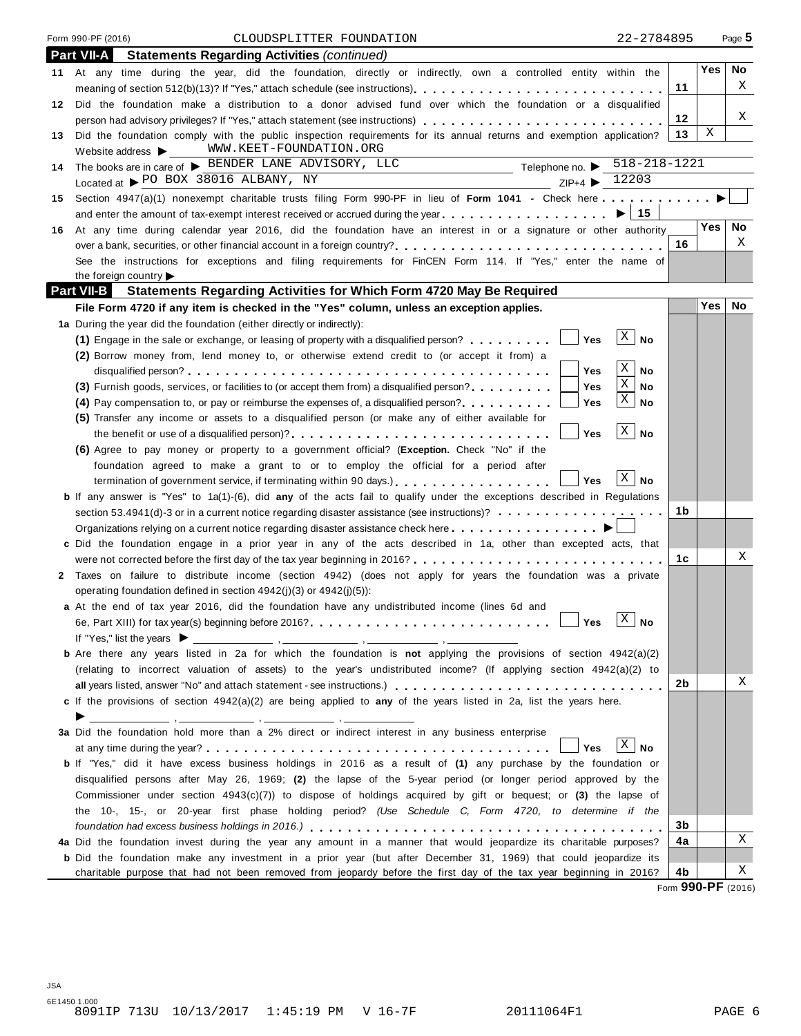|    | Form 990-PF (2016)<br>22-2784895<br>CLOUDSPLITTER FOUNDATION                                                                                                                        |    |     | Page 5 |
|----|-------------------------------------------------------------------------------------------------------------------------------------------------------------------------------------|----|-----|--------|
|    | <b>Part VII-A</b><br><b>Statements Regarding Activities (continued)</b>                                                                                                             |    |     |        |
|    | 11 At any time during the year, did the foundation, directly or indirectly, own a controlled entity within the                                                                      |    | Yes | No     |
|    | meaning of section 512(b)(13)? If "Yes," attach schedule (see instructions)                                                                                                         | 11 |     | X      |
|    | 12 Did the foundation make a distribution to a donor advised fund over which the foundation or a disqualified                                                                       |    |     |        |
|    | person had advisory privileges? If "Yes," attach statement (see instructions)                                                                                                       | 12 |     | Χ      |
| 13 | Did the foundation comply with the public inspection requirements for its annual returns and exemption application?                                                                 | 13 | Χ   |        |
|    | WWW.KEET-FOUNDATION.ORG<br>Website address $\blacktriangleright$                                                                                                                    |    |     |        |
| 14 | Telephone no. $\triangleright$ 518-218-1221<br>The books are in care of > BENDER LANE ADVISORY, LLC                                                                                 |    |     |        |
|    | Located at > PO BOX 38016 ALBANY, NY<br>$ZIP+4$ $\triangleright$ 12203                                                                                                              |    |     |        |
| 15 | Section 4947(a)(1) nonexempt charitable trusts filing Form 990-PF in lieu of Form 1041 - Check here                                                                                 |    |     |        |
|    | and enter the amount of tax-exempt interest received or accrued during the year $\dots \dots \dots \dots \dots \dots \longrightarrow 15$                                            |    |     |        |
| 16 | At any time during calendar year 2016, did the foundation have an interest in or a signature or other authority                                                                     |    | Yes | No     |
|    |                                                                                                                                                                                     | 16 |     | X      |
|    | See the instructions for exceptions and filing requirements for FinCEN Form 114. If "Yes," enter the name of                                                                        |    |     |        |
|    | the foreign country                                                                                                                                                                 |    |     |        |
|    | <b>Part VII-B</b> Statements Regarding Activities for Which Form 4720 May Be Required                                                                                               |    | Yes | No     |
|    | File Form 4720 if any item is checked in the "Yes" column, unless an exception applies.                                                                                             |    |     |        |
|    | 1a During the year did the foundation (either directly or indirectly):<br> X <br>Yes<br><b>No</b>                                                                                   |    |     |        |
|    | (1) Engage in the sale or exchange, or leasing of property with a disqualified person?<br>(2) Borrow money from, lend money to, or otherwise extend credit to (or accept it from) a |    |     |        |
|    | X<br>No<br>Yes                                                                                                                                                                      |    |     |        |
|    | $\, {\rm X}$<br>(3) Furnish goods, services, or facilities to (or accept them from) a disqualified person?<br>Yes<br>No                                                             |    |     |        |
|    | X<br>Yes<br>No<br>(4) Pay compensation to, or pay or reimburse the expenses of, a disqualified person?                                                                              |    |     |        |
|    | (5) Transfer any income or assets to a disqualified person (or make any of either available for                                                                                     |    |     |        |
|    | X <br><b>No</b><br>Yes                                                                                                                                                              |    |     |        |
|    | (6) Agree to pay money or property to a government official? (Exception. Check "No" if the                                                                                          |    |     |        |
|    | foundation agreed to make a grant to or to employ the official for a period after                                                                                                   |    |     |        |
|    | X <br><b>No</b><br>termination of government service, if terminating within 90 days.).<br>Yes                                                                                       |    |     |        |
|    | <b>b</b> If any answer is "Yes" to 1a(1)-(6), did any of the acts fail to qualify under the exceptions described in Regulations                                                     |    |     |        |
|    |                                                                                                                                                                                     | 1b |     |        |
|    | Organizations relying on a current notice regarding disaster assistance check here ▶ L                                                                                              |    |     |        |
|    | c Did the foundation engage in a prior year in any of the acts described in 1a, other than excepted acts, that                                                                      |    |     |        |
|    | were not corrected before the first day of the tax year beginning in 2016? $\ldots$ , $\ldots$ , $\ldots$ , $\ldots$ , $\ldots$ , $\ldots$ , $\ldots$                               | 1c |     | Χ      |
|    | 2 Taxes on failure to distribute income (section 4942) (does not apply for years the foundation was a private                                                                       |    |     |        |
|    | operating foundation defined in section $4942(i)(3)$ or $4942(i)(5)$ :                                                                                                              |    |     |        |
|    | a At the end of tax year 2016, did the foundation have any undistributed income (lines 6d and<br>$\Box$<br>$\overline{z}$                                                           |    |     |        |
|    | $\mathbb{A}$ No                                                                                                                                                                     |    |     |        |
|    |                                                                                                                                                                                     |    |     |        |
|    | <b>b</b> Are there any years listed in 2a for which the foundation is not applying the provisions of section 4942(a)(2)                                                             |    |     |        |
|    | (relating to incorrect valuation of assets) to the year's undistributed income? (If applying section 4942(a)(2) to                                                                  |    |     | Χ      |
|    |                                                                                                                                                                                     | 2b |     |        |
|    | c If the provisions of section 4942(a)(2) are being applied to any of the years listed in 2a, list the years here.                                                                  |    |     |        |
|    | ▶                                                                                                                                                                                   |    |     |        |
|    | 3a Did the foundation hold more than a 2% direct or indirect interest in any business enterprise<br>$\mathbf{X} \mid \mathbf{N}$ o                                                  |    |     |        |
|    | Yes<br><b>b</b> If "Yes," did it have excess business holdings in 2016 as a result of (1) any purchase by the foundation or                                                         |    |     |        |
|    | disqualified persons after May 26, 1969; (2) the lapse of the 5-year period (or longer period approved by the                                                                       |    |     |        |
|    | Commissioner under section $4943(c)(7)$ ) to dispose of holdings acquired by gift or bequest; or (3) the lapse of                                                                   |    |     |        |
|    | the 10-, 15-, or 20-year first phase holding period? (Use Schedule C, Form 4720, to determine if the                                                                                |    |     |        |
|    |                                                                                                                                                                                     | 3b |     |        |
|    | 4a Did the foundation invest during the year any amount in a manner that would jeopardize its charitable purposes?                                                                  | 4a |     | Χ      |
|    | <b>b</b> Did the foundation make any investment in a prior year (but after December 31, 1969) that could jeopardize its                                                             |    |     |        |
|    | charitable purpose that had not been removed from jeopardy before the first day of the tax year beginning in 2016?                                                                  | 4b |     | Χ      |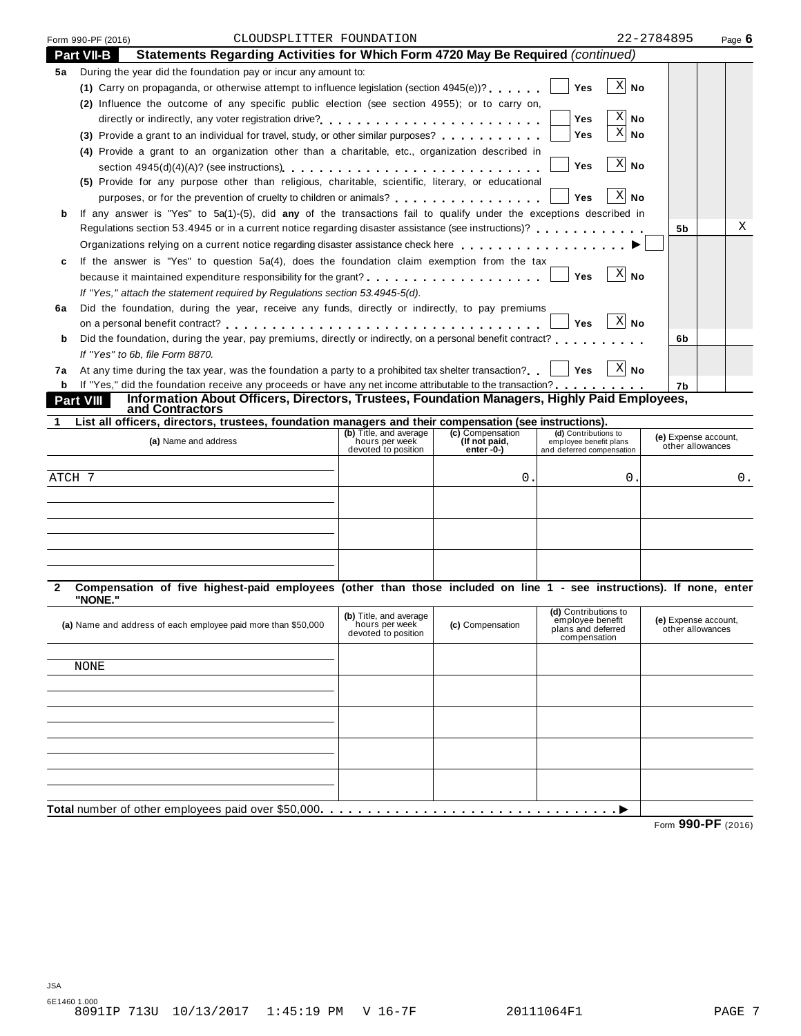|        | Form 990-PF (2016) | CLOUDSPLITTER FOUNDATION                                                                                             |                                                                 |                                                   |                                                                             | 22-2784895                               | Page $6$ |
|--------|--------------------|----------------------------------------------------------------------------------------------------------------------|-----------------------------------------------------------------|---------------------------------------------------|-----------------------------------------------------------------------------|------------------------------------------|----------|
|        | <b>Part VII-B</b>  | Statements Regarding Activities for Which Form 4720 May Be Required (continued)                                      |                                                                 |                                                   |                                                                             |                                          |          |
| 5а     |                    | During the year did the foundation pay or incur any amount to:                                                       |                                                                 |                                                   |                                                                             |                                          |          |
|        |                    | (1) Carry on propaganda, or otherwise attempt to influence legislation (section $4945(e)$ )?                         |                                                                 |                                                   | $X$ No<br>Yes                                                               |                                          |          |
|        |                    | (2) Influence the outcome of any specific public election (see section 4955); or to carry on,                        |                                                                 |                                                   |                                                                             |                                          |          |
|        |                    |                                                                                                                      |                                                                 |                                                   | $X $ No<br>Yes                                                              |                                          |          |
|        |                    | (3) Provide a grant to an individual for travel, study, or other similar purposes?                                   |                                                                 |                                                   | $\mathbf X$<br>Yes                                                          | No                                       |          |
|        |                    | (4) Provide a grant to an organization other than a charitable, etc., organization described in                      |                                                                 |                                                   |                                                                             |                                          |          |
|        |                    |                                                                                                                      |                                                                 |                                                   | $X$ No<br><b>Yes</b>                                                        |                                          |          |
|        |                    | (5) Provide for any purpose other than religious, charitable, scientific, literary, or educational                   |                                                                 |                                                   |                                                                             |                                          |          |
|        |                    | purposes, or for the prevention of cruelty to children or animals?                                                   |                                                                 |                                                   | $X$ No<br><b>Yes</b>                                                        |                                          |          |
| b      |                    | If any answer is "Yes" to 5a(1)-(5), did any of the transactions fail to qualify under the exceptions described in   |                                                                 |                                                   |                                                                             |                                          |          |
|        |                    | Regulations section 53.4945 or in a current notice regarding disaster assistance (see instructions)?                 |                                                                 |                                                   |                                                                             | 5b                                       | Χ        |
|        |                    | Organizations relying on a current notice regarding disaster assistance check here                                   |                                                                 |                                                   |                                                                             |                                          |          |
| c      |                    | If the answer is "Yes" to question $5a(4)$ , does the foundation claim exemption from the tax                        |                                                                 |                                                   |                                                                             |                                          |          |
|        |                    |                                                                                                                      |                                                                 |                                                   | $X$ No<br>Yes                                                               |                                          |          |
|        |                    | If "Yes," attach the statement required by Regulations section 53.4945-5(d).                                         |                                                                 |                                                   |                                                                             |                                          |          |
| 6а     |                    | Did the foundation, during the year, receive any funds, directly or indirectly, to pay premiums                      |                                                                 |                                                   |                                                                             |                                          |          |
|        |                    |                                                                                                                      |                                                                 |                                                   | $X$ No<br><b>Yes</b>                                                        |                                          |          |
| b      |                    | Did the foundation, during the year, pay premiums, directly or indirectly, on a personal benefit contract?           |                                                                 |                                                   |                                                                             | 6b                                       |          |
|        |                    | If "Yes" to 6b, file Form 8870.                                                                                      |                                                                 |                                                   |                                                                             |                                          |          |
| 7a     |                    | At any time during the tax year, was the foundation a party to a prohibited tax shelter transaction? $\vert$   Yes   |                                                                 |                                                   | $ X $ No                                                                    |                                          |          |
| b      |                    | If "Yes," did the foundation receive any proceeds or have any net income attributable to the transaction?            |                                                                 |                                                   |                                                                             | 7b                                       |          |
|        | <b>Part VIII</b>   | Information About Officers, Directors, Trustees, Foundation Managers, Highly Paid Employees,<br>and Contractors      |                                                                 |                                                   |                                                                             |                                          |          |
| 1      |                    | List all officers, directors, trustees, foundation managers and their compensation (see instructions).               |                                                                 |                                                   |                                                                             |                                          |          |
|        |                    | (a) Name and address                                                                                                 | (b) Title, and average<br>hours per week<br>devoted to position | (c) Compensation<br>(If not paid,<br>$enter - 0-$ | (d) Contributions to<br>employee benefit plans<br>and deferred compensation | (e) Expense account,<br>other allowances |          |
|        |                    |                                                                                                                      |                                                                 |                                                   |                                                                             |                                          |          |
| ATCH 7 |                    |                                                                                                                      |                                                                 |                                                   |                                                                             |                                          |          |
|        |                    |                                                                                                                      |                                                                 | 0.                                                | 0.                                                                          |                                          | 0.       |
|        |                    |                                                                                                                      |                                                                 |                                                   |                                                                             |                                          |          |
|        |                    |                                                                                                                      |                                                                 |                                                   |                                                                             |                                          |          |
|        |                    |                                                                                                                      |                                                                 |                                                   |                                                                             |                                          |          |
|        |                    |                                                                                                                      |                                                                 |                                                   |                                                                             |                                          |          |
|        |                    |                                                                                                                      |                                                                 |                                                   |                                                                             |                                          |          |
|        |                    |                                                                                                                      |                                                                 |                                                   |                                                                             |                                          |          |
| 2      |                    | Compensation of five highest-paid employees (other than those included on line 1 - see instructions). If none, enter |                                                                 |                                                   |                                                                             |                                          |          |
|        | "NONE."            | (a) Name and address of each employee paid more than \$50,000                                                        | (b) Title, and average<br>hours per week                        | (c) Compensation                                  | (d) Contributions to<br>employee benefit                                    | (e) Expense account,                     |          |
|        |                    |                                                                                                                      | devoted to position                                             |                                                   | plans and deferred<br>compensation                                          | other allowances                         |          |
|        |                    |                                                                                                                      |                                                                 |                                                   |                                                                             |                                          |          |
|        | NONE               |                                                                                                                      |                                                                 |                                                   |                                                                             |                                          |          |
|        |                    |                                                                                                                      |                                                                 |                                                   |                                                                             |                                          |          |
|        |                    |                                                                                                                      |                                                                 |                                                   |                                                                             |                                          |          |
|        |                    |                                                                                                                      |                                                                 |                                                   |                                                                             |                                          |          |
|        |                    |                                                                                                                      |                                                                 |                                                   |                                                                             |                                          |          |
|        |                    |                                                                                                                      |                                                                 |                                                   |                                                                             |                                          |          |
|        |                    |                                                                                                                      |                                                                 |                                                   |                                                                             |                                          |          |
|        |                    |                                                                                                                      |                                                                 |                                                   |                                                                             |                                          |          |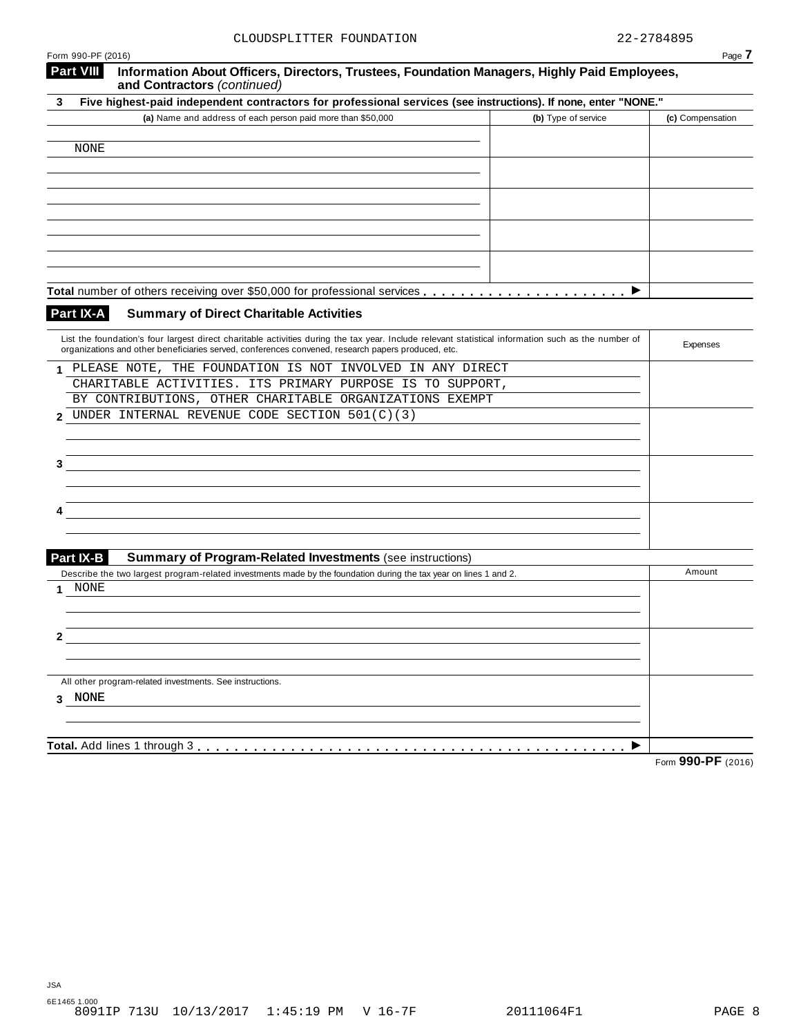| Form 990-PF (2016)                                                                                                                                                                                 |                     | Page 7           |
|----------------------------------------------------------------------------------------------------------------------------------------------------------------------------------------------------|---------------------|------------------|
| <b>Part VIII</b><br>Information About Officers, Directors, Trustees, Foundation Managers, Highly Paid Employees,<br>and Contractors (continued)                                                    |                     |                  |
| Five highest-paid independent contractors for professional services (see instructions). If none, enter "NONE."<br>3                                                                                |                     |                  |
| (a) Name and address of each person paid more than \$50,000                                                                                                                                        | (b) Type of service | (c) Compensation |
| NONE                                                                                                                                                                                               |                     |                  |
|                                                                                                                                                                                                    |                     |                  |
|                                                                                                                                                                                                    |                     |                  |
|                                                                                                                                                                                                    |                     |                  |
|                                                                                                                                                                                                    |                     |                  |
|                                                                                                                                                                                                    |                     |                  |
|                                                                                                                                                                                                    |                     |                  |
|                                                                                                                                                                                                    |                     |                  |
|                                                                                                                                                                                                    | ▶                   |                  |
| Part IX-A<br><b>Summary of Direct Charitable Activities</b>                                                                                                                                        |                     |                  |
| List the foundation's four largest direct charitable activities during the tax year. Include relevant statistical information such as the number of                                                |                     |                  |
| organizations and other beneficiaries served, conferences convened, research papers produced, etc.                                                                                                 |                     | Expenses         |
| PLEASE NOTE, THE FOUNDATION IS NOT INVOLVED IN ANY DIRECT<br>1.                                                                                                                                    |                     |                  |
| CHARITABLE ACTIVITIES. ITS PRIMARY PURPOSE IS TO SUPPORT,                                                                                                                                          |                     |                  |
| BY CONTRIBUTIONS, OTHER CHARITABLE ORGANIZATIONS EXEMPT                                                                                                                                            |                     |                  |
| UNDER INTERNAL REVENUE CODE SECTION 501(C)(3)<br>2                                                                                                                                                 |                     |                  |
|                                                                                                                                                                                                    |                     |                  |
|                                                                                                                                                                                                    |                     |                  |
| 3                                                                                                                                                                                                  |                     |                  |
|                                                                                                                                                                                                    |                     |                  |
|                                                                                                                                                                                                    |                     |                  |
|                                                                                                                                                                                                    |                     |                  |
|                                                                                                                                                                                                    |                     |                  |
| Part IX-B<br><b>Summary of Program-Related Investments (see instructions)</b><br>Describe the two largest program-related investments made by the foundation during the tax year on lines 1 and 2. |                     | Amount           |
| <b>NONE</b>                                                                                                                                                                                        |                     |                  |
|                                                                                                                                                                                                    |                     |                  |
|                                                                                                                                                                                                    |                     |                  |
|                                                                                                                                                                                                    |                     |                  |
|                                                                                                                                                                                                    |                     |                  |
| All other program-related investments. See instructions.                                                                                                                                           |                     |                  |
| 3 NONE                                                                                                                                                                                             |                     |                  |
|                                                                                                                                                                                                    |                     |                  |
|                                                                                                                                                                                                    |                     |                  |
|                                                                                                                                                                                                    | ▶                   |                  |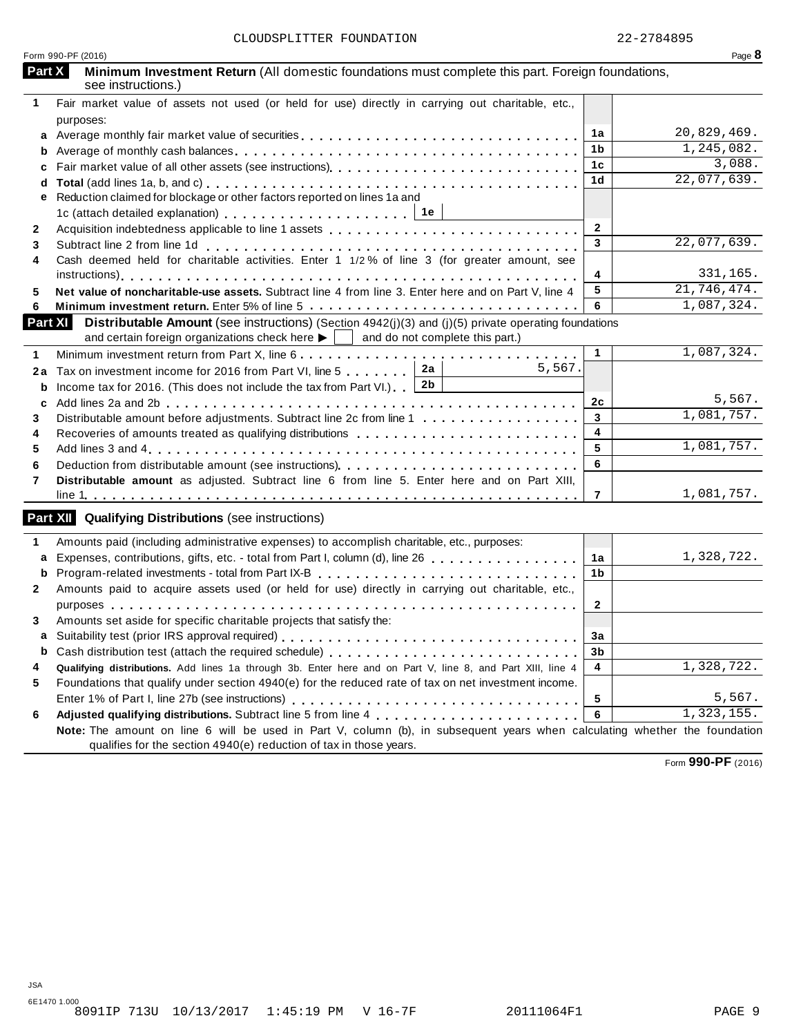| Form 990-PF (2016)                                                                                                                                                                                                                          |                | Page 8      |
|---------------------------------------------------------------------------------------------------------------------------------------------------------------------------------------------------------------------------------------------|----------------|-------------|
| Part X<br>Minimum Investment Return (All domestic foundations must complete this part. Foreign foundations,<br>see instructions.)                                                                                                           |                |             |
| Fair market value of assets not used (or held for use) directly in carrying out charitable, etc.,<br>1<br>purposes:                                                                                                                         |                |             |
| a                                                                                                                                                                                                                                           | 1a             | 20,829,469. |
| b                                                                                                                                                                                                                                           | 1b             | 1,245,082.  |
| c                                                                                                                                                                                                                                           | 1c             | 3,088.      |
| d                                                                                                                                                                                                                                           | 1 <sub>d</sub> | 22,077,639. |
| Reduction claimed for blockage or other factors reported on lines 1a and<br>е                                                                                                                                                               |                |             |
|                                                                                                                                                                                                                                             |                |             |
| $\mathbf{2}$                                                                                                                                                                                                                                | $\overline{2}$ |             |
| 3                                                                                                                                                                                                                                           | 3              | 22,077,639. |
| Cash deemed held for charitable activities. Enter 1 1/2% of line 3 (for greater amount, see<br>4                                                                                                                                            |                |             |
|                                                                                                                                                                                                                                             | 4              | 331,165.    |
| Net value of noncharitable-use assets. Subtract line 4 from line 3. Enter here and on Part V, line 4                                                                                                                                        | 5              | 21,746,474. |
|                                                                                                                                                                                                                                             | 6              | 1,087,324.  |
| <b>Part XI</b><br><b>Distributable Amount</b> (see instructions) (Section 4942(j)(3) and (j)(5) private operating foundations<br>and certain foreign organizations check here $\blacktriangleright$ $\vert$ and do not complete this part.) |                |             |
|                                                                                                                                                                                                                                             | $\mathbf{1}$   | 1,087,324.  |
| 5,567.<br>2a<br>Tax on investment income for 2016 from Part VI, line 5<br>2a                                                                                                                                                                |                |             |
| 2b<br>Income tax for 2016. (This does not include the tax from Part VI.) [<br>b                                                                                                                                                             |                |             |
| c                                                                                                                                                                                                                                           | 2c             | 5,567.      |
| Distributable amount before adjustments. Subtract line 2c from line 1                                                                                                                                                                       | $\mathbf{3}$   | 1,081,757.  |
| Recoveries of amounts treated as qualifying distributions                                                                                                                                                                                   | 4              |             |
|                                                                                                                                                                                                                                             | 5              | 1,081,757.  |
| Deduction from distributable amount (see instructions)                                                                                                                                                                                      | 6              |             |
| Distributable amount as adjusted. Subtract line 6 from line 5. Enter here and on Part XIII,                                                                                                                                                 |                |             |
|                                                                                                                                                                                                                                             | $\overline{7}$ | 1,081,757.  |
| <b>Part XII</b> Qualifying Distributions (see instructions)                                                                                                                                                                                 |                |             |
| Amounts paid (including administrative expenses) to accomplish charitable, etc., purposes:                                                                                                                                                  |                |             |
| Expenses, contributions, gifts, etc. - total from Part I, column (d), line 26<br>a                                                                                                                                                          | 1a             | 1,328,722.  |
| b                                                                                                                                                                                                                                           | 1b             |             |
| Amounts paid to acquire assets used (or held for use) directly in carrying out charitable, etc.,                                                                                                                                            |                |             |
|                                                                                                                                                                                                                                             | $\mathbf{2}$   |             |
|                                                                                                                                                                                                                                             |                |             |
|                                                                                                                                                                                                                                             |                |             |
| Amounts set aside for specific charitable projects that satisfy the:                                                                                                                                                                        | 3a             |             |
|                                                                                                                                                                                                                                             | 3b             |             |
|                                                                                                                                                                                                                                             | 4              | 1,328,722.  |
| Qualifying distributions. Add lines 1a through 3b. Enter here and on Part V, line 8, and Part XIII, line 4<br>Foundations that qualify under section 4940(e) for the reduced rate of tax on net investment income.                          |                |             |
|                                                                                                                                                                                                                                             | 5              | 5,567.      |
| 3.<br>b<br>4<br>5<br>6                                                                                                                                                                                                                      | 6              | 1,323,155.  |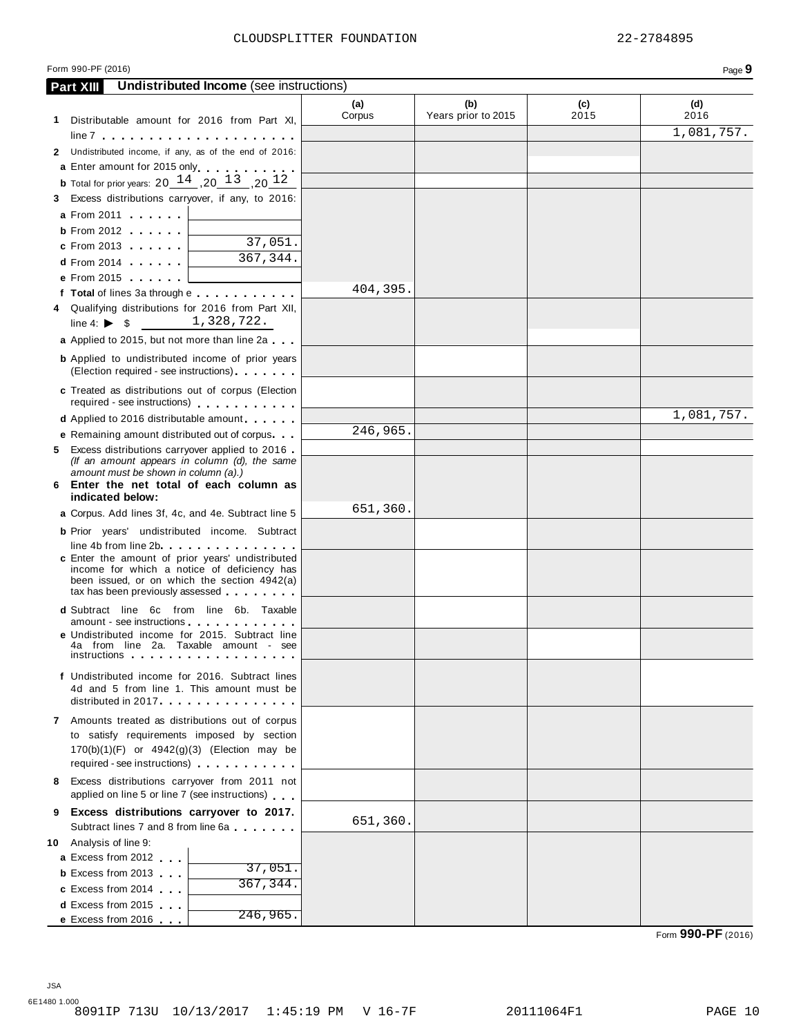#### Form 990-PF (2016) Page **9**

| <b>Undistributed Income</b> (see instructions)<br><b>Part XIII</b>                                             |          |                            |             |             |
|----------------------------------------------------------------------------------------------------------------|----------|----------------------------|-------------|-------------|
|                                                                                                                | (a)      | (b)<br>Years prior to 2015 | (c)<br>2015 | (d)<br>2016 |
| 1 Distributable amount for 2016 from Part XI,                                                                  | Corpus   |                            |             |             |
|                                                                                                                |          |                            |             | 1,081,757.  |
| 2 Undistributed income, if any, as of the end of 2016:                                                         |          |                            |             |             |
| a Enter amount for 2015 only enter-                                                                            |          |                            |             |             |
| <b>b</b> Total for prior years: 20 $14$ , 20 $13$ , 20 $12$                                                    |          |                            |             |             |
| 3 Excess distributions carryover, if any, to 2016:                                                             |          |                            |             |             |
| <b>a</b> From 2011 <b>a</b><br>$b$ From 2012                                                                   |          |                            |             |             |
| 37,051.<br>$c$ From 2013                                                                                       |          |                            |             |             |
| 367,344.<br>$d$ From 2014                                                                                      |          |                            |             |             |
| e From 2015                                                                                                    |          |                            |             |             |
| f Total of lines 3a through e                                                                                  | 404,395  |                            |             |             |
| 4 Qualifying distributions for 2016 from Part XII,                                                             |          |                            |             |             |
| 1,328,722.<br>line 4: $\triangleright$ \$                                                                      |          |                            |             |             |
| a Applied to 2015, but not more than line 2a                                                                   |          |                            |             |             |
| <b>b</b> Applied to undistributed income of prior years                                                        |          |                            |             |             |
| (Election required - see instructions)                                                                         |          |                            |             |             |
| c Treated as distributions out of corpus (Election                                                             |          |                            |             |             |
| required - see instructions) example and the set of the set of the set of the set of the set of the set of the |          |                            |             | 1,081,757.  |
| <b>d</b> Applied to 2016 distributable amount                                                                  | 246,965. |                            |             |             |
| <b>e</b> Remaining amount distributed out of corpus<br>5 Excess distributions carryover applied to 2016        |          |                            |             |             |
| (If an amount appears in column (d), the same                                                                  |          |                            |             |             |
| amount must be shown in column (a).)<br>6 Enter the net total of each column as                                |          |                            |             |             |
| indicated below:                                                                                               |          |                            |             |             |
| a Corpus. Add lines 3f, 4c, and 4e. Subtract line 5                                                            | 651,360. |                            |             |             |
| <b>b</b> Prior years' undistributed income. Subtract                                                           |          |                            |             |             |
| line 4b from line 2b.                                                                                          |          |                            |             |             |
| c Enter the amount of prior years' undistributed<br>income for which a notice of deficiency has                |          |                            |             |             |
| been issued, or on which the section 4942(a)                                                                   |          |                            |             |             |
| tax has been previously assessed                                                                               |          |                            |             |             |
| d Subtract line 6c from line 6b. Taxable<br>amount - see instructions                                          |          |                            |             |             |
| e Undistributed income for 2015. Subtract line                                                                 |          |                            |             |             |
| 4a from line 2a. Taxable amount - see<br>instructions                                                          |          |                            |             |             |
| f Undistributed income for 2016. Subtract lines                                                                |          |                            |             |             |
| 4d and 5 from line 1. This amount must be                                                                      |          |                            |             |             |
| distributed in 2017                                                                                            |          |                            |             |             |
| 7 Amounts treated as distributions out of corpus                                                               |          |                            |             |             |
| to satisfy requirements imposed by section                                                                     |          |                            |             |             |
| 170(b)(1)(F) or 4942(g)(3) (Election may be                                                                    |          |                            |             |             |
| required - see instructions) example.                                                                          |          |                            |             |             |
| 8 Excess distributions carryover from 2011 not<br>applied on line 5 or line 7 (see instructions)               |          |                            |             |             |
| 9 Excess distributions carryover to 2017.                                                                      |          |                            |             |             |
| Subtract lines 7 and 8 from line 6a                                                                            | 651,360. |                            |             |             |
| 10 Analysis of line 9:                                                                                         |          |                            |             |             |
| <b>a</b> Excess from 2012<br>37,051.                                                                           |          |                            |             |             |
| <b>b</b> Excess from 2013<br>367, 344.                                                                         |          |                            |             |             |
| c Excess from 2014                                                                                             |          |                            |             |             |
| d Excess from 2015<br>246,965.<br>e Excess from 2016                                                           |          |                            |             |             |
|                                                                                                                |          |                            |             |             |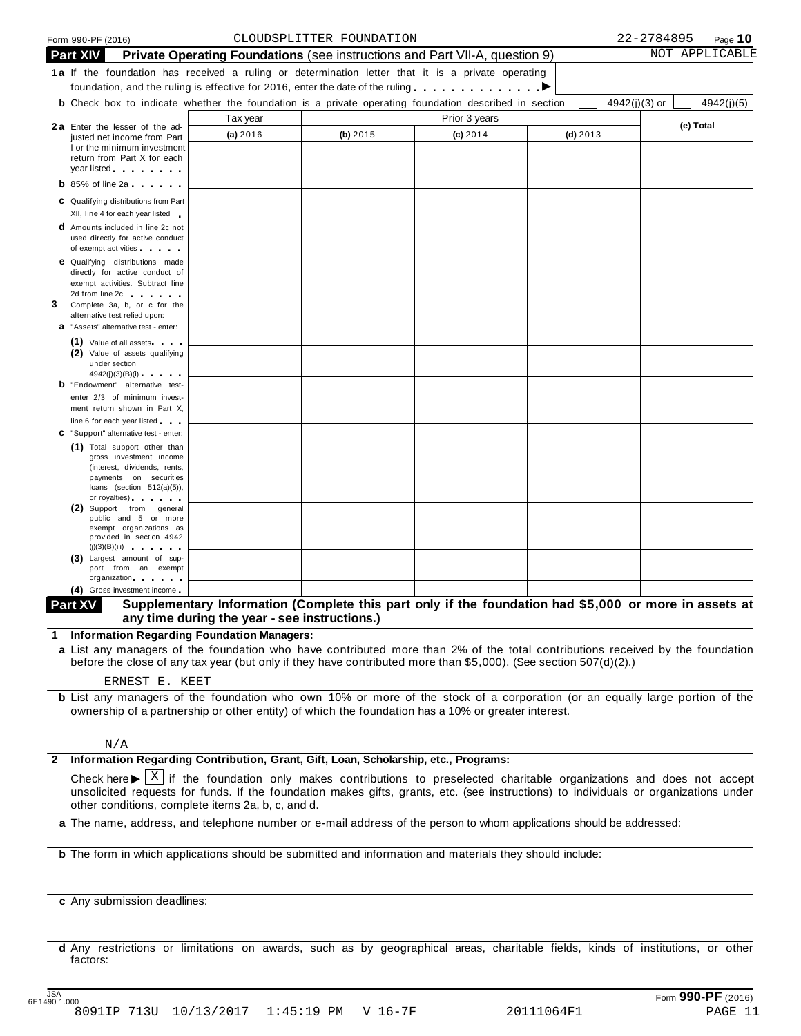|   | Form 990-PF (2016)                                                                                                                                                                                                                                                  |          | CLOUDSPLITTER FOUNDATION                                                           |               |            |               | 22-2784895 | Page 10        |
|---|---------------------------------------------------------------------------------------------------------------------------------------------------------------------------------------------------------------------------------------------------------------------|----------|------------------------------------------------------------------------------------|---------------|------------|---------------|------------|----------------|
|   | <b>Part XIV</b>                                                                                                                                                                                                                                                     |          | <b>Private Operating Foundations</b> (see instructions and Part VII-A, question 9) |               |            |               |            | NOT APPLICABLE |
|   | 1a If the foundation has received a ruling or determination letter that it is a private operating                                                                                                                                                                   |          |                                                                                    |               |            |               |            |                |
|   | foundation, and the ruling is effective for 2016, enter the date of the ruling $\dots \dots \dots$                                                                                                                                                                  |          |                                                                                    |               |            |               |            |                |
|   | <b>b</b> Check box to indicate whether the foundation is a private operating foundation described in section                                                                                                                                                        |          |                                                                                    |               |            | 4942(j)(3) or |            | 4942(j)(5)     |
|   | 2a Enter the lesser of the ad-                                                                                                                                                                                                                                      | Tax year |                                                                                    | Prior 3 years |            |               |            | (e) Total      |
|   | justed net income from Part                                                                                                                                                                                                                                         | (a) 2016 | (b) 2015                                                                           | $(c)$ 2014    | $(d)$ 2013 |               |            |                |
|   | I or the minimum investment                                                                                                                                                                                                                                         |          |                                                                                    |               |            |               |            |                |
|   | return from Part X for each<br>year listed <b>the contract of the set of the set of the set of the set of the set of the set of the set of the set of the set of the set of the set of the set of the set of the set of the set of the set of the set of the se</b> |          |                                                                                    |               |            |               |            |                |
|   | $\mathbf b$ 85% of line 2a                                                                                                                                                                                                                                          |          |                                                                                    |               |            |               |            |                |
|   | C Qualifying distributions from Part                                                                                                                                                                                                                                |          |                                                                                    |               |            |               |            |                |
|   | XII, line 4 for each year listed                                                                                                                                                                                                                                    |          |                                                                                    |               |            |               |            |                |
|   | <b>d</b> Amounts included in line 2c not<br>used directly for active conduct                                                                                                                                                                                        |          |                                                                                    |               |            |               |            |                |
|   | of exempt activities and the state of                                                                                                                                                                                                                               |          |                                                                                    |               |            |               |            |                |
|   | <b>e</b> Qualifying distributions made                                                                                                                                                                                                                              |          |                                                                                    |               |            |               |            |                |
|   | directly for active conduct of<br>exempt activities. Subtract line                                                                                                                                                                                                  |          |                                                                                    |               |            |               |            |                |
|   | 2d from line 2c and the state of the state of the state of the state of the state of the state of the state of                                                                                                                                                      |          |                                                                                    |               |            |               |            |                |
| 3 | Complete 3a, b, or c for the<br>alternative test relied upon:                                                                                                                                                                                                       |          |                                                                                    |               |            |               |            |                |
|   | <b>a</b> "Assets" alternative test - enter:                                                                                                                                                                                                                         |          |                                                                                    |               |            |               |            |                |
|   | (1) Value of all assets                                                                                                                                                                                                                                             |          |                                                                                    |               |            |               |            |                |
|   | (2) Value of assets qualifying<br>under section                                                                                                                                                                                                                     |          |                                                                                    |               |            |               |            |                |
|   | 4942(j)(3)(B)(i)                                                                                                                                                                                                                                                    |          |                                                                                    |               |            |               |            |                |
|   | <b>b</b> "Endowment" alternative test-                                                                                                                                                                                                                              |          |                                                                                    |               |            |               |            |                |
|   | enter 2/3 of minimum invest-<br>ment return shown in Part X,                                                                                                                                                                                                        |          |                                                                                    |               |            |               |            |                |
|   | line 6 for each year listed                                                                                                                                                                                                                                         |          |                                                                                    |               |            |               |            |                |
|   | C "Support" alternative test - enter:                                                                                                                                                                                                                               |          |                                                                                    |               |            |               |            |                |
|   | (1) Total support other than                                                                                                                                                                                                                                        |          |                                                                                    |               |            |               |            |                |
|   | gross investment income<br>(interest, dividends, rents,                                                                                                                                                                                                             |          |                                                                                    |               |            |               |            |                |
|   | payments on securities                                                                                                                                                                                                                                              |          |                                                                                    |               |            |               |            |                |
|   | loans (section 512(a)(5)),<br>or royalties) and the control of                                                                                                                                                                                                      |          |                                                                                    |               |            |               |            |                |
|   | (2) Support from general<br>public and 5 or more                                                                                                                                                                                                                    |          |                                                                                    |               |            |               |            |                |
|   | exempt organizations as                                                                                                                                                                                                                                             |          |                                                                                    |               |            |               |            |                |
|   | provided in section 4942                                                                                                                                                                                                                                            |          |                                                                                    |               |            |               |            |                |
|   | (3) Largest amount of sup-                                                                                                                                                                                                                                          |          |                                                                                    |               |            |               |            |                |
|   | port from an exempt<br>organization.                                                                                                                                                                                                                                |          |                                                                                    |               |            |               |            |                |
|   | (A) Cross invostment income                                                                                                                                                                                                                                         |          |                                                                                    |               |            |               |            |                |

#### Supplementary Information (Complete this part only if the foundation had \$5,000 or more in assets at **any time during the year - see instructions.) Part XV**

**1 Information Regarding Foundation Managers:**

**a** List any managers of the foundation who have contributed more than 2% of the total contributions received by the foundation before the close of any tax year (but only if they have contributed more than \$5,000). (See section 507(d)(2).)

#### ERNEST E. KEET

**b** List any managers of the foundation who own 10% or more of the stock of a corporation (or an equally large portion of the ownership of a partnership or other entity) of which the foundation has a 10% or greater interest.

#### N/A

#### **2 Information Regarding Contribution, Grant, Gift, Loan, Scholarship, etc., Programs:**

Check here  $\blacktriangleright \overline{X}$  if the foundation only makes contributions to preselected charitable organizations and does not accept<br>unsolicited requests for funds. If the foundation makes gifts, grants, etc. (see instructions other conditions, complete items 2a, b, c, and d. X

**a** The name, address, and telephone number or e-mail address of the person to whom applications should be addressed:

**b** The form in which applications should be submitted and information and materials they should include:

**c** Any submission deadlines:

**d** Any restrictions or limitations on awards, such as by geographical areas, charitable fields, kinds of institutions, or other factors: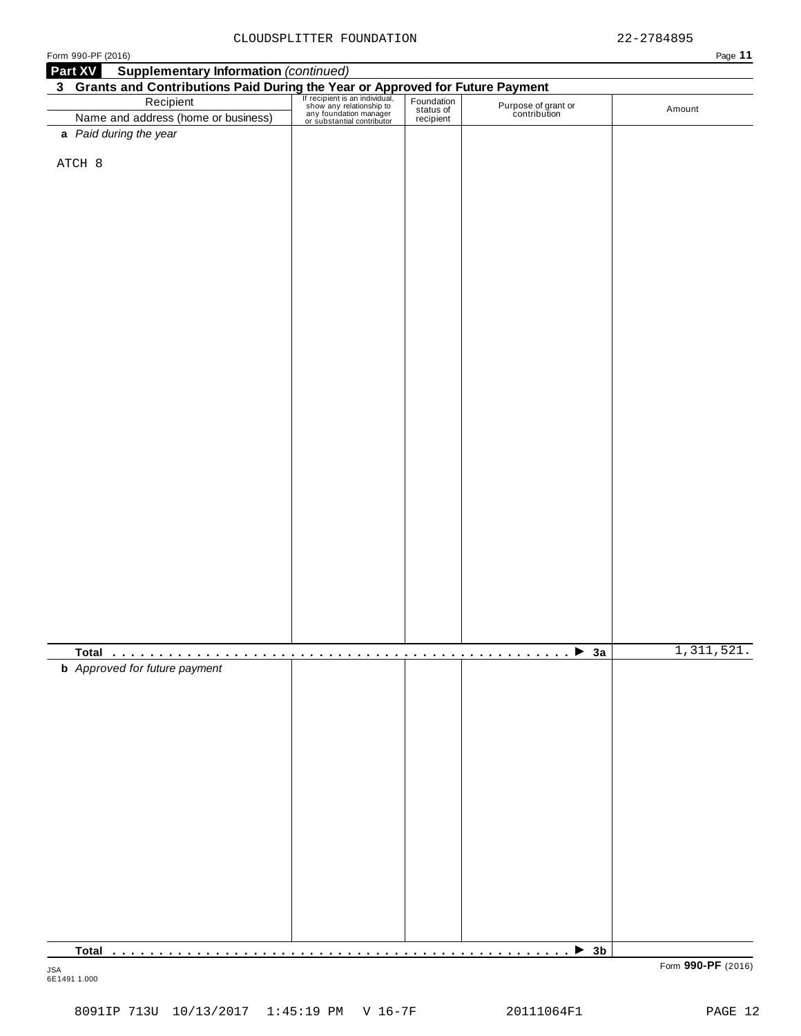| Part XV                              | <b>Supplementary Information (continued)</b>                                                                                                                                                                                                 |                                     |            |
|--------------------------------------|----------------------------------------------------------------------------------------------------------------------------------------------------------------------------------------------------------------------------------------------|-------------------------------------|------------|
|                                      |                                                                                                                                                                                                                                              |                                     |            |
|                                      | <b>3 Grants and Contributions Paid During the Year or Approved for Future Payment</b><br>Recipient Fection of the Contribution of the Contribution and address (home or business) <b>Exception Contribution</b><br>Mame and address (home or |                                     |            |
|                                      |                                                                                                                                                                                                                                              | Purpose of grant or<br>contribution | Amount     |
|                                      |                                                                                                                                                                                                                                              |                                     |            |
| a Paid during the year               |                                                                                                                                                                                                                                              |                                     |            |
|                                      |                                                                                                                                                                                                                                              |                                     |            |
| ATCH 8                               |                                                                                                                                                                                                                                              |                                     |            |
|                                      |                                                                                                                                                                                                                                              |                                     |            |
|                                      |                                                                                                                                                                                                                                              |                                     |            |
|                                      |                                                                                                                                                                                                                                              |                                     |            |
|                                      |                                                                                                                                                                                                                                              |                                     |            |
|                                      |                                                                                                                                                                                                                                              |                                     |            |
|                                      |                                                                                                                                                                                                                                              |                                     |            |
|                                      |                                                                                                                                                                                                                                              |                                     |            |
|                                      |                                                                                                                                                                                                                                              |                                     |            |
|                                      |                                                                                                                                                                                                                                              |                                     |            |
|                                      |                                                                                                                                                                                                                                              |                                     |            |
|                                      |                                                                                                                                                                                                                                              |                                     |            |
|                                      |                                                                                                                                                                                                                                              |                                     |            |
|                                      |                                                                                                                                                                                                                                              |                                     |            |
|                                      |                                                                                                                                                                                                                                              |                                     |            |
|                                      |                                                                                                                                                                                                                                              |                                     |            |
|                                      |                                                                                                                                                                                                                                              |                                     |            |
|                                      |                                                                                                                                                                                                                                              |                                     |            |
|                                      |                                                                                                                                                                                                                                              |                                     |            |
|                                      |                                                                                                                                                                                                                                              |                                     |            |
|                                      |                                                                                                                                                                                                                                              |                                     |            |
|                                      |                                                                                                                                                                                                                                              |                                     |            |
|                                      |                                                                                                                                                                                                                                              |                                     |            |
|                                      |                                                                                                                                                                                                                                              |                                     |            |
|                                      |                                                                                                                                                                                                                                              |                                     |            |
|                                      |                                                                                                                                                                                                                                              |                                     |            |
|                                      |                                                                                                                                                                                                                                              |                                     |            |
|                                      |                                                                                                                                                                                                                                              |                                     |            |
|                                      |                                                                                                                                                                                                                                              |                                     |            |
|                                      |                                                                                                                                                                                                                                              |                                     |            |
|                                      |                                                                                                                                                                                                                                              |                                     |            |
|                                      |                                                                                                                                                                                                                                              |                                     |            |
|                                      |                                                                                                                                                                                                                                              |                                     |            |
|                                      |                                                                                                                                                                                                                                              |                                     |            |
|                                      |                                                                                                                                                                                                                                              |                                     |            |
|                                      |                                                                                                                                                                                                                                              |                                     | 1,311,521. |
|                                      |                                                                                                                                                                                                                                              |                                     |            |
| <b>b</b> Approved for future payment |                                                                                                                                                                                                                                              |                                     |            |
|                                      |                                                                                                                                                                                                                                              |                                     |            |
|                                      |                                                                                                                                                                                                                                              |                                     |            |
|                                      |                                                                                                                                                                                                                                              |                                     |            |
|                                      |                                                                                                                                                                                                                                              |                                     |            |
|                                      |                                                                                                                                                                                                                                              |                                     |            |
|                                      |                                                                                                                                                                                                                                              |                                     |            |
|                                      |                                                                                                                                                                                                                                              |                                     |            |
|                                      |                                                                                                                                                                                                                                              |                                     |            |
|                                      |                                                                                                                                                                                                                                              |                                     |            |
|                                      |                                                                                                                                                                                                                                              |                                     |            |
|                                      |                                                                                                                                                                                                                                              |                                     |            |
|                                      |                                                                                                                                                                                                                                              |                                     |            |
|                                      |                                                                                                                                                                                                                                              |                                     |            |
|                                      |                                                                                                                                                                                                                                              |                                     |            |
|                                      |                                                                                                                                                                                                                                              |                                     |            |
|                                      |                                                                                                                                                                                                                                              |                                     |            |
|                                      |                                                                                                                                                                                                                                              |                                     |            |
|                                      |                                                                                                                                                                                                                                              |                                     |            |
|                                      |                                                                                                                                                                                                                                              |                                     |            |
|                                      |                                                                                                                                                                                                                                              |                                     |            |
| <b>Total</b>                         |                                                                                                                                                                                                                                              | $\rightarrow$ 3b                    |            |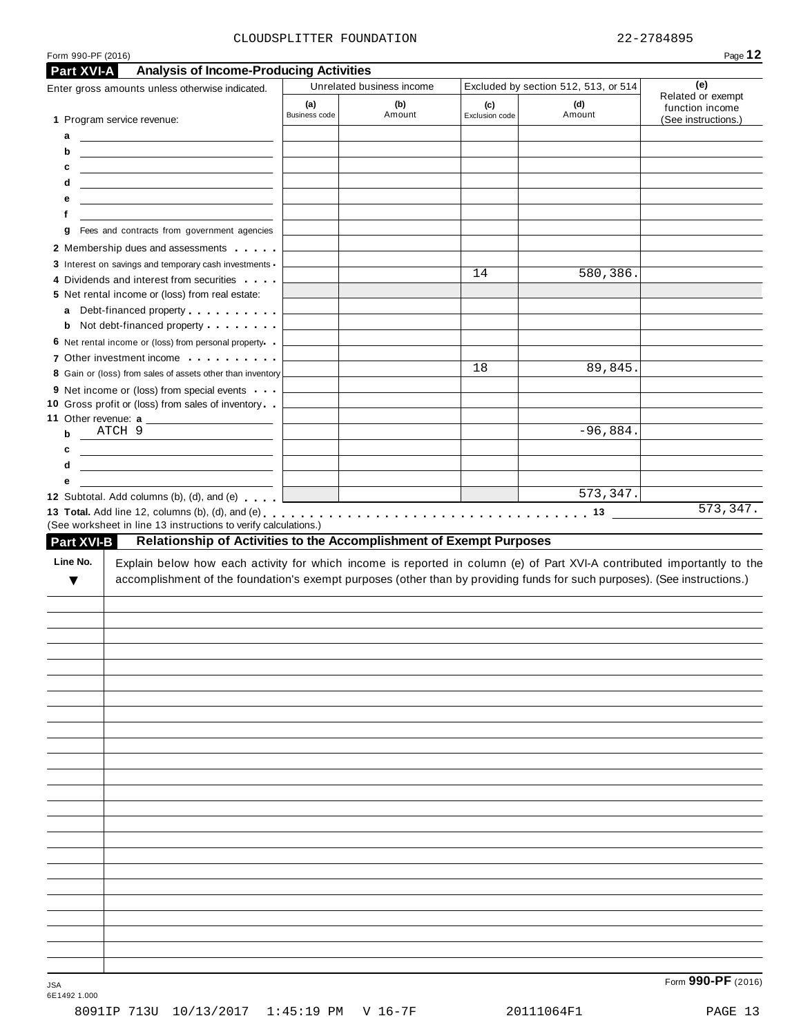| <b>Analysis of Income-Producing Activities</b><br>Part XVI-A                                                                                                                                                                                              |                             |                           |                       |                                      | (e)                                    |
|-----------------------------------------------------------------------------------------------------------------------------------------------------------------------------------------------------------------------------------------------------------|-----------------------------|---------------------------|-----------------------|--------------------------------------|----------------------------------------|
| Enter gross amounts unless otherwise indicated.                                                                                                                                                                                                           |                             | Unrelated business income |                       | Excluded by section 512, 513, or 514 | Related or exempt                      |
| 1 Program service revenue:                                                                                                                                                                                                                                | (a)<br><b>Business code</b> | (b)<br>Amount             | (c)<br>Exclusion code | (d)<br>Amount                        | function income<br>(See instructions.) |
| а<br><u> Alexandria de la conte</u>                                                                                                                                                                                                                       |                             |                           |                       |                                      |                                        |
| b<br><u> 1989 - Andrea State Barbara, amerikan personal (h. 1989).</u>                                                                                                                                                                                    |                             |                           |                       |                                      |                                        |
| c<br><u> 1989 - John Harry Harry Harry Harry Harry Harry Harry Harry Harry Harry Harry Harry Harry Harry Harry Harry H</u>                                                                                                                                |                             |                           |                       |                                      |                                        |
| d<br><u> 1989 - Andrea Barbara, amerikan personal (h. 1989).</u>                                                                                                                                                                                          |                             |                           |                       |                                      |                                        |
| е<br><u> 1989 - Andrea State Barbara, amerikan personal di personal dengan personal dengan personal dengan personal de</u>                                                                                                                                |                             |                           |                       |                                      |                                        |
| f                                                                                                                                                                                                                                                         |                             |                           |                       |                                      |                                        |
| Fees and contracts from government agencies<br>g                                                                                                                                                                                                          |                             |                           |                       |                                      |                                        |
| 2 Membership dues and assessments                                                                                                                                                                                                                         |                             |                           |                       |                                      |                                        |
| 3 Interest on savings and temporary cash investments -                                                                                                                                                                                                    |                             |                           | 14                    | 580,386.                             |                                        |
| 4 Dividends and interest from securities                                                                                                                                                                                                                  |                             |                           |                       |                                      |                                        |
| 5 Net rental income or (loss) from real estate:                                                                                                                                                                                                           |                             |                           |                       |                                      |                                        |
| Debt-financed property entertainment of the state of<br>а                                                                                                                                                                                                 |                             |                           |                       |                                      |                                        |
| Not debt-financed property <b>contains the set of the set of the set of the set of the set of the set of the set of the set of the set of the set of the set of the set of the set of the set of the set of the set of the set o</b><br>b                 |                             |                           |                       |                                      |                                        |
| 6 Net rental income or (loss) from personal property .                                                                                                                                                                                                    |                             |                           |                       |                                      |                                        |
| 7 Other investment income                                                                                                                                                                                                                                 |                             |                           | 18                    | 89,845.                              |                                        |
| 8 Gain or (loss) from sales of assets other than inventory                                                                                                                                                                                                |                             |                           |                       |                                      |                                        |
| 9 Net income or (loss) from special events                                                                                                                                                                                                                |                             |                           |                       |                                      |                                        |
| 10 Gross profit or (loss) from sales of inventory                                                                                                                                                                                                         |                             |                           |                       |                                      |                                        |
| ATCH 9                                                                                                                                                                                                                                                    |                             |                           |                       | $-96,884.$                           |                                        |
| $\mathbf b$<br><u> 1989 - John Stone, Amerikan besteht der Stone (</u>                                                                                                                                                                                    |                             |                           |                       |                                      |                                        |
| c                                                                                                                                                                                                                                                         |                             |                           |                       |                                      |                                        |
| d                                                                                                                                                                                                                                                         |                             |                           |                       |                                      |                                        |
| е<br>12 Subtotal. Add columns (b), (d), and (e)                                                                                                                                                                                                           |                             |                           |                       | 573, 347.                            |                                        |
| (See worksheet in line 13 instructions to verify calculations.)<br><b>Part XVI-B</b><br>Relationship of Activities to the Accomplishment of Exempt Purposes<br>Line No.                                                                                   |                             |                           |                       |                                      |                                        |
| Explain below how each activity for which income is reported in column (e) of Part XVI-A contributed importantly to the<br>accomplishment of the foundation's exempt purposes (other than by providing funds for such purposes). (See instructions.)<br>▼ |                             |                           |                       |                                      |                                        |
|                                                                                                                                                                                                                                                           |                             |                           |                       |                                      | 573, 347.                              |
|                                                                                                                                                                                                                                                           |                             |                           |                       |                                      |                                        |
|                                                                                                                                                                                                                                                           |                             |                           |                       |                                      |                                        |
|                                                                                                                                                                                                                                                           |                             |                           |                       |                                      |                                        |
|                                                                                                                                                                                                                                                           |                             |                           |                       |                                      |                                        |
|                                                                                                                                                                                                                                                           |                             |                           |                       |                                      |                                        |
|                                                                                                                                                                                                                                                           |                             |                           |                       |                                      |                                        |
|                                                                                                                                                                                                                                                           |                             |                           |                       |                                      |                                        |
|                                                                                                                                                                                                                                                           |                             |                           |                       |                                      |                                        |
|                                                                                                                                                                                                                                                           |                             |                           |                       |                                      |                                        |
|                                                                                                                                                                                                                                                           |                             |                           |                       |                                      |                                        |
|                                                                                                                                                                                                                                                           |                             |                           |                       |                                      |                                        |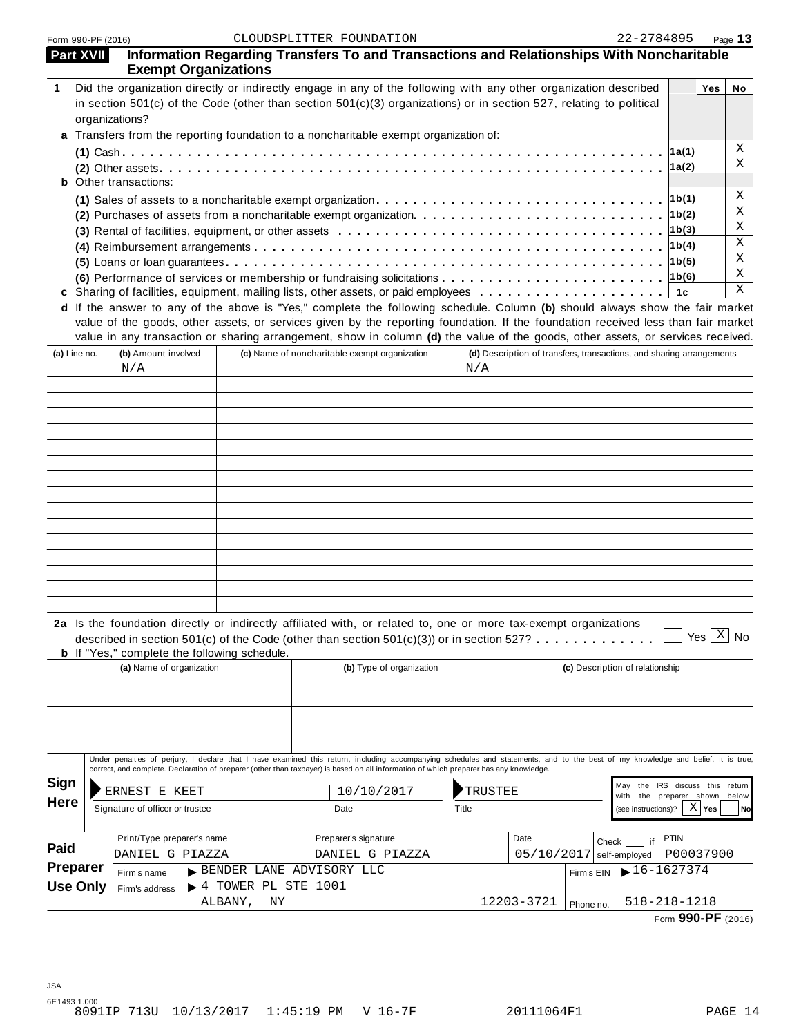| <b>Part XVII</b> |  | <b>Exempt Organizations</b>                                                                                                                                                                                                                                                    |                                           |                                               |                          |                |                 | Information Regarding Transfers To and Transactions and Relationships With Noncharitable |                  |            |    |
|------------------|--|--------------------------------------------------------------------------------------------------------------------------------------------------------------------------------------------------------------------------------------------------------------------------------|-------------------------------------------|-----------------------------------------------|--------------------------|----------------|-----------------|------------------------------------------------------------------------------------------|------------------|------------|----|
| 1                |  | Did the organization directly or indirectly engage in any of the following with any other organization described<br>in section 501(c) of the Code (other than section 501(c)(3) organizations) or in section 527, relating to political<br>organizations?                      |                                           |                                               |                          |                |                 |                                                                                          |                  | Yes        | No |
|                  |  | a Transfers from the reporting foundation to a noncharitable exempt organization of:                                                                                                                                                                                           |                                           |                                               |                          |                |                 |                                                                                          |                  |            | Χ  |
|                  |  |                                                                                                                                                                                                                                                                                |                                           |                                               |                          |                | ∣1a(1)<br>1a(2) |                                                                                          | X                |            |    |
|                  |  | <b>b</b> Other transactions:                                                                                                                                                                                                                                                   |                                           |                                               |                          |                |                 |                                                                                          |                  |            | Χ  |
|                  |  |                                                                                                                                                                                                                                                                                |                                           |                                               |                          |                |                 |                                                                                          | 1b(1)            |            | X  |
|                  |  |                                                                                                                                                                                                                                                                                |                                           |                                               |                          |                |                 |                                                                                          | 1b(2) <br> 1b(3) |            | X  |
|                  |  |                                                                                                                                                                                                                                                                                |                                           |                                               |                          |                |                 |                                                                                          |                  |            | X  |
|                  |  |                                                                                                                                                                                                                                                                                |                                           |                                               |                          |                |                 |                                                                                          |                  |            | X  |
|                  |  |                                                                                                                                                                                                                                                                                |                                           |                                               |                          |                |                 |                                                                                          |                  |            | X  |
|                  |  |                                                                                                                                                                                                                                                                                |                                           |                                               |                          |                |                 |                                                                                          |                  |            | X  |
|                  |  | d If the answer to any of the above is "Yes," complete the following schedule. Column (b) should always show the fair market                                                                                                                                                   |                                           |                                               |                          |                |                 |                                                                                          |                  |            |    |
|                  |  | value of the goods, other assets, or services given by the reporting foundation. If the foundation received less than fair market<br>value in any transaction or sharing arrangement, show in column (d) the value of the goods, other assets, or services received.           |                                           |                                               |                          |                |                 |                                                                                          |                  |            |    |
| (a) Line no.     |  | (b) Amount involved                                                                                                                                                                                                                                                            |                                           | (c) Name of noncharitable exempt organization |                          |                |                 | (d) Description of transfers, transactions, and sharing arrangements                     |                  |            |    |
|                  |  | N/A                                                                                                                                                                                                                                                                            |                                           |                                               |                          | N/A            |                 |                                                                                          |                  |            |    |
|                  |  |                                                                                                                                                                                                                                                                                |                                           |                                               |                          |                |                 |                                                                                          |                  |            |    |
|                  |  |                                                                                                                                                                                                                                                                                |                                           |                                               |                          |                |                 |                                                                                          |                  |            |    |
|                  |  |                                                                                                                                                                                                                                                                                |                                           |                                               |                          |                |                 |                                                                                          |                  |            |    |
|                  |  |                                                                                                                                                                                                                                                                                |                                           |                                               |                          |                |                 |                                                                                          |                  |            |    |
|                  |  |                                                                                                                                                                                                                                                                                |                                           |                                               |                          |                |                 |                                                                                          |                  |            |    |
|                  |  |                                                                                                                                                                                                                                                                                |                                           |                                               |                          |                |                 |                                                                                          |                  |            |    |
|                  |  |                                                                                                                                                                                                                                                                                |                                           |                                               |                          |                |                 |                                                                                          |                  |            |    |
|                  |  |                                                                                                                                                                                                                                                                                |                                           |                                               |                          |                |                 |                                                                                          |                  |            |    |
|                  |  |                                                                                                                                                                                                                                                                                |                                           |                                               |                          |                |                 |                                                                                          |                  |            |    |
|                  |  |                                                                                                                                                                                                                                                                                |                                           |                                               |                          |                |                 |                                                                                          |                  |            |    |
|                  |  |                                                                                                                                                                                                                                                                                |                                           |                                               |                          |                |                 |                                                                                          |                  |            |    |
|                  |  |                                                                                                                                                                                                                                                                                |                                           |                                               |                          |                |                 |                                                                                          |                  |            |    |
|                  |  |                                                                                                                                                                                                                                                                                |                                           |                                               |                          |                |                 |                                                                                          |                  |            |    |
|                  |  |                                                                                                                                                                                                                                                                                |                                           |                                               |                          |                |                 |                                                                                          |                  |            |    |
|                  |  | 2a Is the foundation directly or indirectly affiliated with, or related to, one or more tax-exempt organizations<br>described in section 501(c) of the Code (other than section 501(c)(3)) or in section 527? $\dots$ .<br><b>b</b> If "Yes," complete the following schedule. |                                           |                                               |                          |                |                 |                                                                                          |                  | Yes $X$ No |    |
|                  |  | (a) Name of organization                                                                                                                                                                                                                                                       |                                           |                                               | (b) Type of organization |                |                 | (c) Description of relationship                                                          |                  |            |    |
|                  |  |                                                                                                                                                                                                                                                                                |                                           |                                               |                          |                |                 |                                                                                          |                  |            |    |
|                  |  |                                                                                                                                                                                                                                                                                |                                           |                                               |                          |                |                 |                                                                                          |                  |            |    |
|                  |  | Under penalties of perjury, I declare that I have examined this return, including accompanying schedules and statements, and to the best of my knowledge and belief, it is true,                                                                                               |                                           |                                               |                          |                |                 |                                                                                          |                  |            |    |
|                  |  | correct, and complete. Declaration of preparer (other than taxpayer) is based on all information of which preparer has any knowledge.                                                                                                                                          |                                           |                                               |                          |                |                 |                                                                                          |                  |            |    |
| Sign             |  | ERNEST E KEET                                                                                                                                                                                                                                                                  |                                           |                                               | 10/10/2017               | <b>TRUSTEE</b> |                 | May the IRS discuss this return                                                          |                  |            |    |
| <b>Here</b>      |  |                                                                                                                                                                                                                                                                                |                                           |                                               |                          |                |                 | the preparer shown below<br>with                                                         |                  |            |    |
|                  |  | Signature of officer or trustee                                                                                                                                                                                                                                                |                                           | Date                                          |                          | Title          |                 | (see instructions)?                                                                      |                  | $X $ Yes   | No |
|                  |  | Print/Type preparer's name                                                                                                                                                                                                                                                     |                                           | Preparer's signature                          |                          |                | Date            | Check<br>if                                                                              | <b>PTIN</b>      |            |    |
| Paid             |  | DANIEL G PIAZZA                                                                                                                                                                                                                                                                |                                           | DANIEL G PIAZZA                               |                          |                |                 | 05/10/2017 self-employed                                                                 | P00037900        |            |    |
| Preparer         |  | Firm's name                                                                                                                                                                                                                                                                    |                                           | BENDER LANE ADVISORY LLC                      |                          |                |                 | $\blacktriangleright$ 16-1627374<br>Firm's EIN                                           |                  |            |    |
| <b>Use Only</b>  |  | Firm's address                                                                                                                                                                                                                                                                 | $\blacktriangleright$ 4 TOWER PL STE 1001 |                                               |                          |                |                 |                                                                                          |                  |            |    |
|                  |  |                                                                                                                                                                                                                                                                                | ALBANY,<br>ΝY                             |                                               |                          |                | 12203-3721      | $518 - 218 - 1218$<br>Phone no.                                                          |                  |            |    |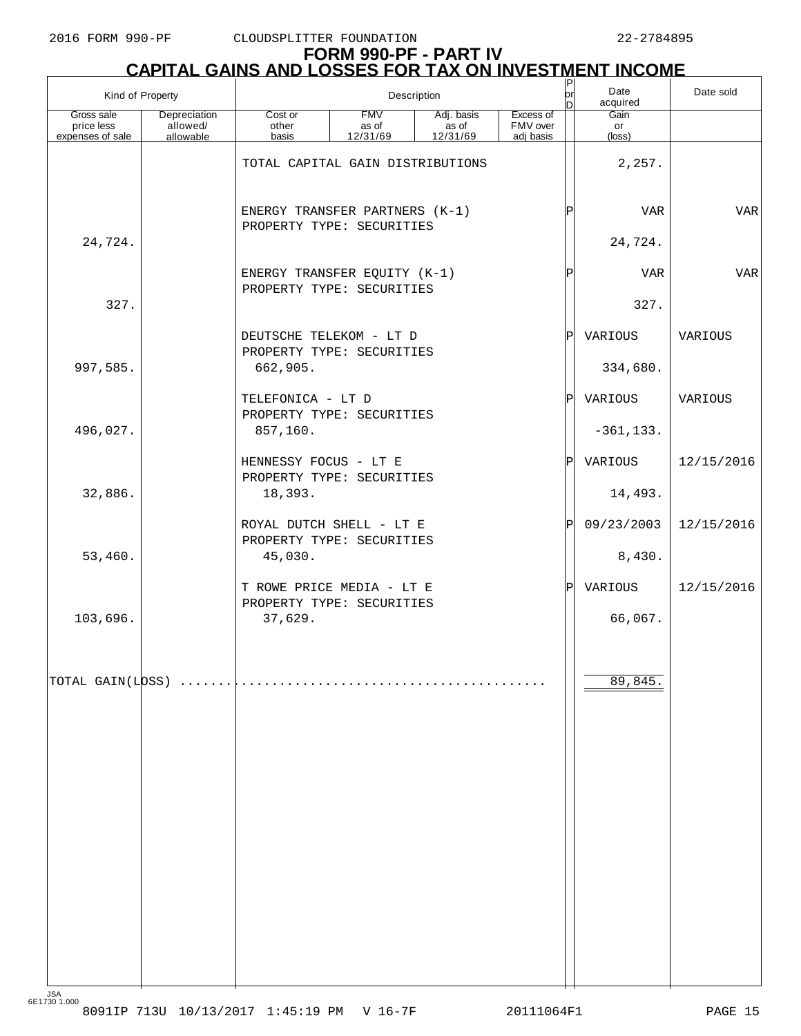# **FORM 990-PF - PART IV CAPITAL GAINS AND LOSSES FOR TAX ON INVESTMENT INCOME**

|                                               | Kind of Property                      | Description                                                 |                                 |                                               |                                    | $ \mathsf{P} $<br>orl | Date<br>acquired     | Date sold  |
|-----------------------------------------------|---------------------------------------|-------------------------------------------------------------|---------------------------------|-----------------------------------------------|------------------------------------|-----------------------|----------------------|------------|
| Gross sale<br>price less<br>expenses of sale  | Depreciation<br>allowed/<br>allowable | Cost or<br>other<br>basis                                   | <b>FMV</b><br>as of<br>12/31/69 | Adj. basis<br>$\overline{a}$ s of<br>12/31/69 | Excess of<br>FMV over<br>adj basis |                       | Gain<br>or<br>(loss) |            |
|                                               |                                       | TOTAL CAPITAL GAIN DISTRIBUTIONS                            |                                 |                                               |                                    |                       | 2,257.               |            |
|                                               |                                       | ENERGY TRANSFER PARTNERS (K-1)<br>PROPERTY TYPE: SECURITIES |                                 |                                               |                                    |                       | VAR                  | <b>VAR</b> |
| 24,724.                                       |                                       |                                                             |                                 |                                               |                                    |                       | 24,724.              |            |
|                                               |                                       | ENERGY TRANSFER EQUITY (K-1)<br>PROPERTY TYPE: SECURITIES   |                                 |                                               |                                    | ΙP                    | VAR                  | <b>VAR</b> |
| 327.                                          |                                       |                                                             |                                 |                                               |                                    |                       | 327.                 |            |
|                                               |                                       | DEUTSCHE TELEKOM - LT D<br>PROPERTY TYPE: SECURITIES        |                                 |                                               |                                    | Pl                    | VARIOUS              | VARIOUS    |
| 997,585.                                      |                                       | 662,905.                                                    |                                 |                                               |                                    |                       | 334,680.             |            |
|                                               |                                       | TELEFONICA - LT D<br>PROPERTY TYPE: SECURITIES              |                                 |                                               |                                    | Pl                    | VARIOUS              | VARIOUS    |
| 496,027.                                      |                                       | 857,160.                                                    |                                 |                                               |                                    |                       | $-361, 133.$         |            |
|                                               |                                       | HENNESSY FOCUS - LT E<br>PROPERTY TYPE: SECURITIES          |                                 |                                               |                                    | Þl                    | VARIOUS              | 12/15/2016 |
| 32,886.                                       |                                       | 18,393.                                                     |                                 |                                               |                                    |                       | 14,493.              |            |
|                                               |                                       | ROYAL DUTCH SHELL - LT E<br>PROPERTY TYPE: SECURITIES       |                                 |                                               |                                    | Pl                    | 09/23/2003           | 12/15/2016 |
| 53,460.                                       |                                       | 45,030.                                                     |                                 |                                               |                                    |                       | 8,430.               |            |
|                                               |                                       | T ROWE PRICE MEDIA - LT E<br>PROPERTY TYPE: SECURITIES      |                                 |                                               |                                    | Pl                    | VARIOUS              | 12/15/2016 |
| 103,696.                                      |                                       | 37,629.                                                     |                                 |                                               |                                    |                       | 66,067.              |            |
|                                               |                                       |                                                             |                                 |                                               |                                    |                       |                      |            |
| $\boxed{\text{TOTAL GAIN(LDSS)} \dots \dots}$ |                                       |                                                             |                                 |                                               |                                    |                       | 89,845.              |            |
|                                               |                                       |                                                             |                                 |                                               |                                    |                       |                      |            |
|                                               |                                       |                                                             |                                 |                                               |                                    |                       |                      |            |
|                                               |                                       |                                                             |                                 |                                               |                                    |                       |                      |            |
|                                               |                                       |                                                             |                                 |                                               |                                    |                       |                      |            |
|                                               |                                       |                                                             |                                 |                                               |                                    |                       |                      |            |
|                                               |                                       |                                                             |                                 |                                               |                                    |                       |                      |            |
|                                               |                                       |                                                             |                                 |                                               |                                    |                       |                      |            |
|                                               |                                       |                                                             |                                 |                                               |                                    |                       |                      |            |
|                                               |                                       |                                                             |                                 |                                               |                                    |                       |                      |            |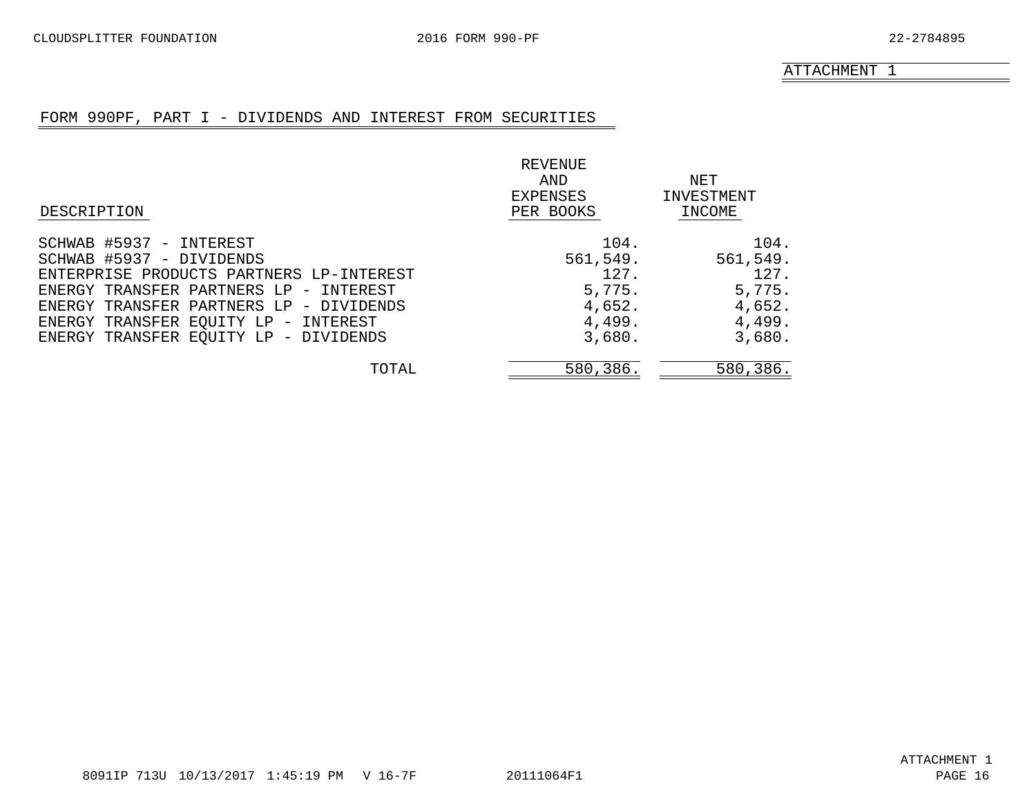#### FORM 990PF, PART I - DIVIDENDS AND INTEREST FROM SECURITIES

<span id="page-14-0"></span>

|                                          | REVENUE   |            |
|------------------------------------------|-----------|------------|
|                                          | AND       | NET        |
|                                          | EXPENSES  | INVESTMENT |
| DESCRIPTION                              | PER BOOKS | INCOME     |
| SCHWAB #5937 - INTEREST                  | 104.      | 104.       |
| SCHWAB #5937 - DIVIDENDS                 | 561,549.  | 561,549.   |
| ENTERPRISE PRODUCTS PARTNERS LP-INTEREST | 127.      | 127.       |
| ENERGY TRANSFER PARTNERS LP - INTEREST   | 5,775.    | 5,775.     |
| ENERGY TRANSFER PARTNERS LP - DIVIDENDS  | 4,652.    | 4,652.     |
| ENERGY TRANSFER EQUITY LP - INTEREST     | 4,499.    | 4,499.     |
| ENERGY TRANSFER EQUITY LP - DIVIDENDS    | 3,680.    | 3,680.     |
| TOTAL                                    | 580,386.  | 580,386.   |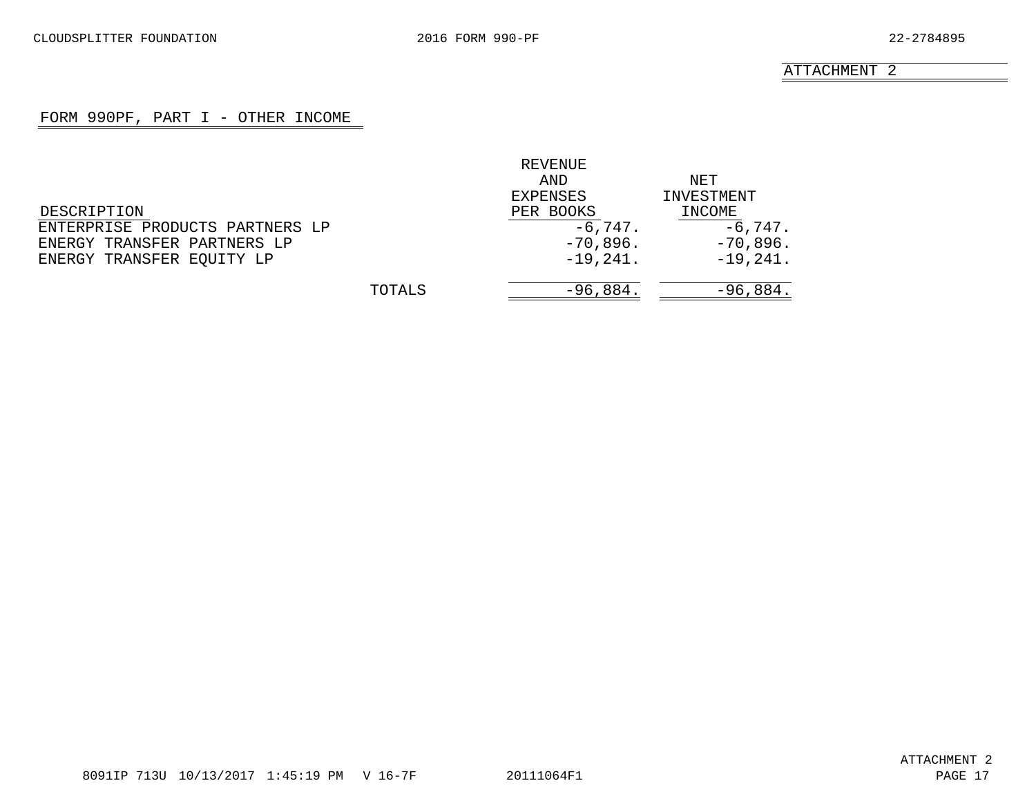### FORM 990PF, PART I - OTHER INCOME

<span id="page-15-0"></span>

|                                 |        | REVENUE    |            |
|---------------------------------|--------|------------|------------|
|                                 |        | AND        | NET        |
|                                 |        | EXPENSES   | INVESTMENT |
| DESCRIPTION                     |        | PER BOOKS  | INCOME     |
| ENTERPRISE PRODUCTS PARTNERS LP |        | $-6,747.$  | $-6,747.$  |
| ENERGY TRANSFER PARTNERS LP     |        | $-70,896.$ | $-70,896.$ |
| ENERGY TRANSFER EQUITY LP       |        | $-19,241.$ | $-19,241.$ |
|                                 | TOTALS | $-96,884.$ | $-96,884.$ |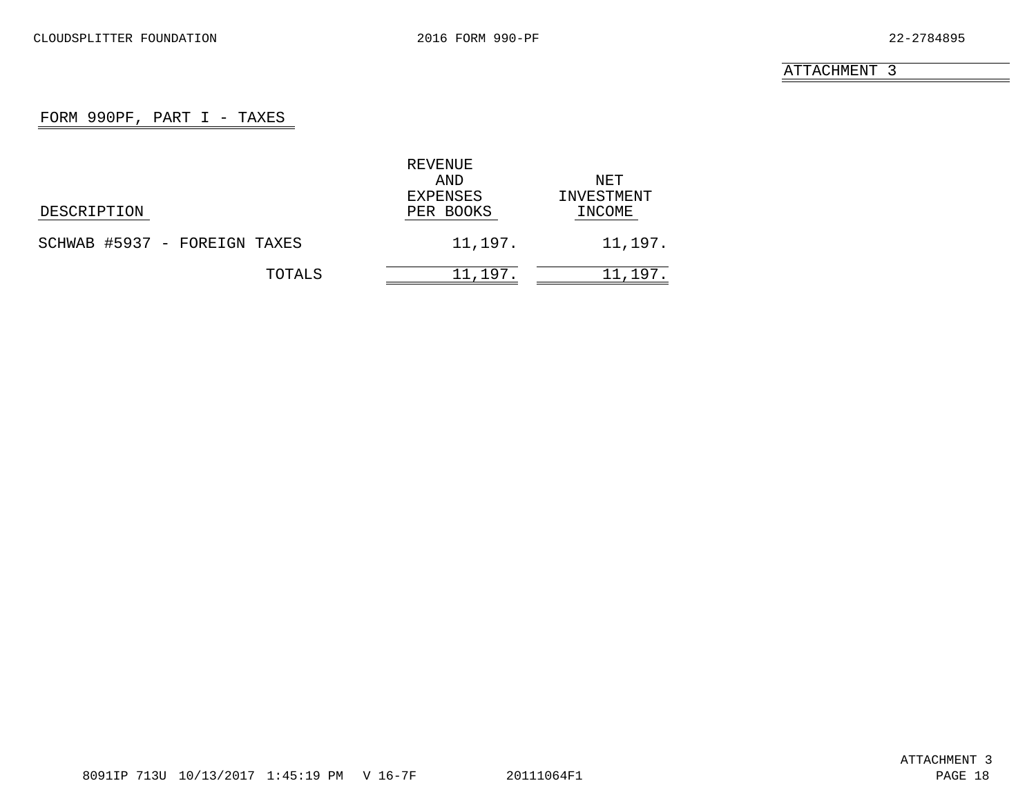# FORM 990PF, PART  $I$  - TAXES

<span id="page-16-0"></span>

|                              | REVENUE   |            |
|------------------------------|-----------|------------|
|                              | AND       | NET        |
|                              | EXPENSES  | INVESTMENT |
| DESCRIPTION                  | PER BOOKS | INCOME     |
| SCHWAB #5937 - FOREIGN TAXES | 11,197.   | 11,197.    |
| TOTALS                       | 11,197    | 11,197.    |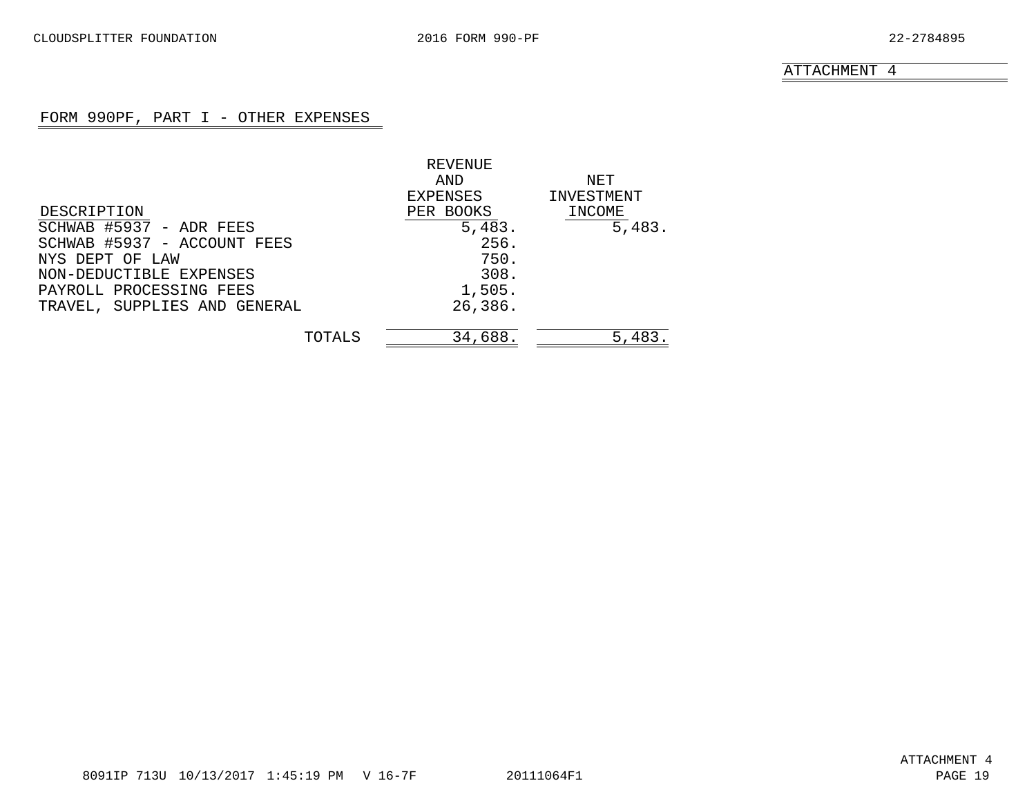### FORM 990PF, PART I - OTHER EXPENSES

<span id="page-17-0"></span>

|                              | REVENUE   |            |
|------------------------------|-----------|------------|
|                              | AND       | NET        |
|                              | EXPENSES  | INVESTMENT |
| DESCRIPTION                  | PER BOOKS | INCOME     |
| SCHWAB #5937 - ADR FEES      | 5,483.    | 5,483.     |
| SCHWAB #5937 - ACCOUNT FEES  | 256.      |            |
| NYS DEPT OF LAW              | 750.      |            |
| NON-DEDUCTIBLE EXPENSES      | 308.      |            |
| PAYROLL PROCESSING FEES      | 1,505.    |            |
| TRAVEL, SUPPLIES AND GENERAL | 26,386.   |            |
|                              |           |            |
| TOTALS                       | 34,688    | 5,483      |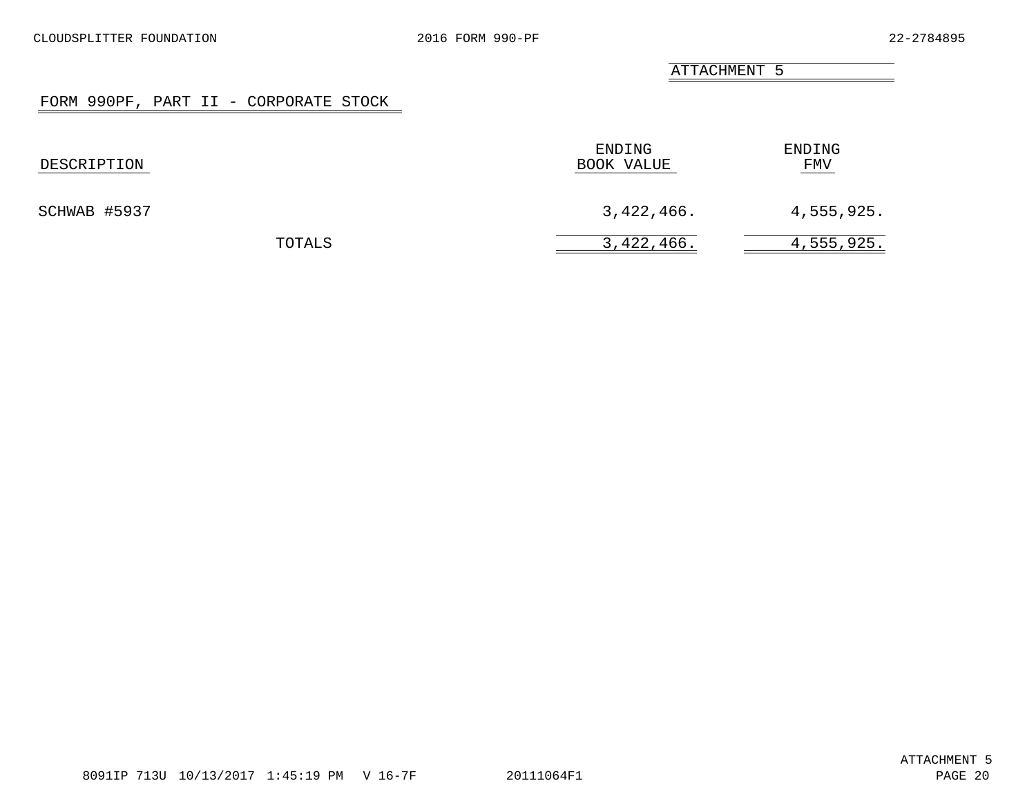#### FORM 990PF, PART II - CORPORATE STOCK

<span id="page-18-0"></span>

| DESCRIPTION  | ENDING<br>BOOK VALUE | ENDING<br><b>FMV</b> |
|--------------|----------------------|----------------------|
| SCHWAB #5937 | 3,422,466.           | 4,555,925.           |
| TOTALS       | 3,422,466.           | 4,555,925.           |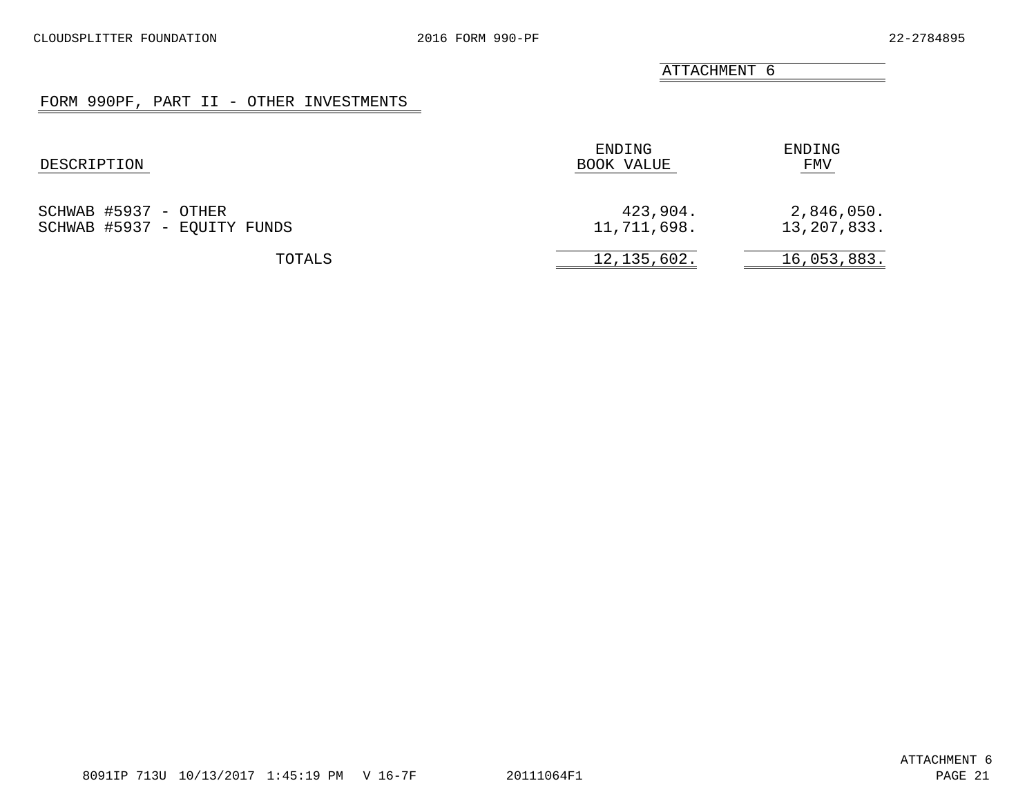#### FORM 990PF, PART II - OTHER INVESTMENTS

<span id="page-19-0"></span>

| DESCRIPTION                                         | ENDING<br>BOOK VALUE    | ENDING<br>FMV             |
|-----------------------------------------------------|-------------------------|---------------------------|
| SCHWAB #5937 - OTHER<br>SCHWAB #5937 - EQUITY FUNDS | 423,904.<br>11,711,698. | 2,846,050.<br>13,207,833. |
| TOTALS                                              | 12, 135, 602.           | 16,053,883.               |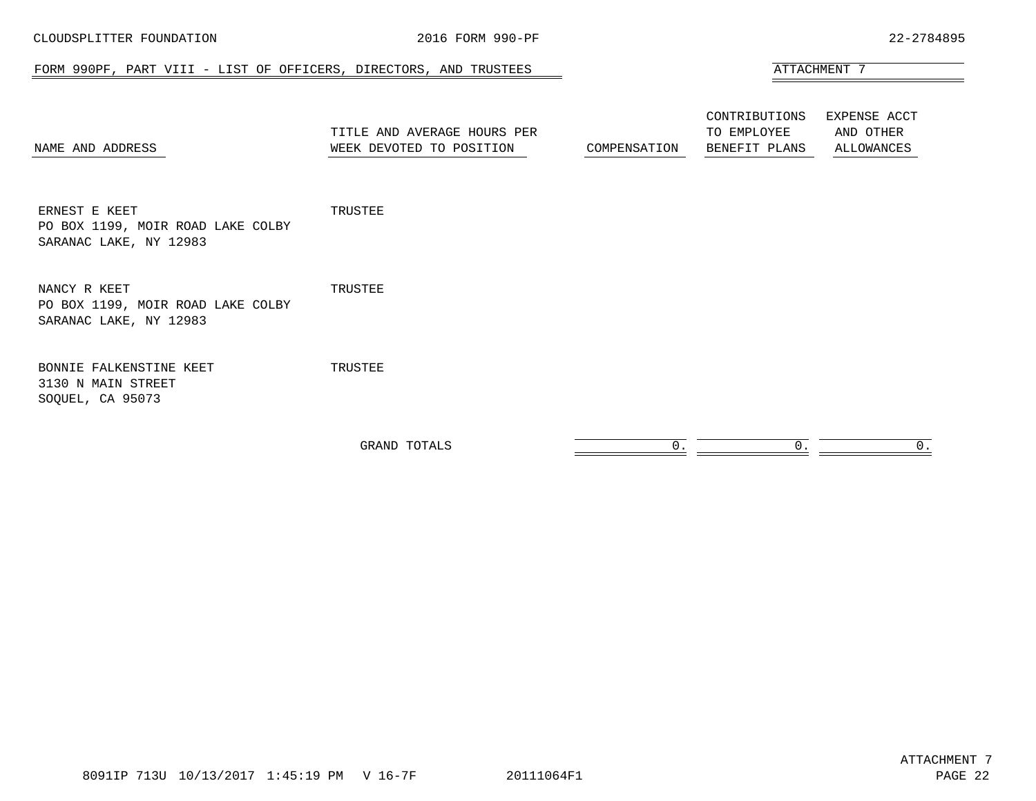<span id="page-20-0"></span>

| CLOUDSPLITTER FOUNDATION                                                     | 2016 FORM 990-PF                                        |               |                                               | 22-2784895                              |  |
|------------------------------------------------------------------------------|---------------------------------------------------------|---------------|-----------------------------------------------|-----------------------------------------|--|
| FORM 990PF, PART VIII - LIST OF OFFICERS, DIRECTORS, AND TRUSTEES            |                                                         |               | ATTACHMENT 7                                  |                                         |  |
| NAME AND ADDRESS                                                             | TITLE AND AVERAGE HOURS PER<br>WEEK DEVOTED TO POSITION | COMPENSATION  | CONTRIBUTIONS<br>TO EMPLOYEE<br>BENEFIT PLANS | EXPENSE ACCT<br>AND OTHER<br>ALLOWANCES |  |
| ERNEST E KEET<br>PO BOX 1199, MOIR ROAD LAKE COLBY<br>SARANAC LAKE, NY 12983 | TRUSTEE                                                 |               |                                               |                                         |  |
| NANCY R KEET<br>PO BOX 1199, MOIR ROAD LAKE COLBY<br>SARANAC LAKE, NY 12983  | TRUSTEE                                                 |               |                                               |                                         |  |
| BONNIE FALKENSTINE KEET<br>3130 N MAIN STREET<br>SOQUEL, CA 95073            | TRUSTEE                                                 |               |                                               |                                         |  |
|                                                                              | $\sim$                                                  | $\sim$ $\sim$ | $\sim$ $\sim$                                 | $\sim$ $\sim$                           |  |

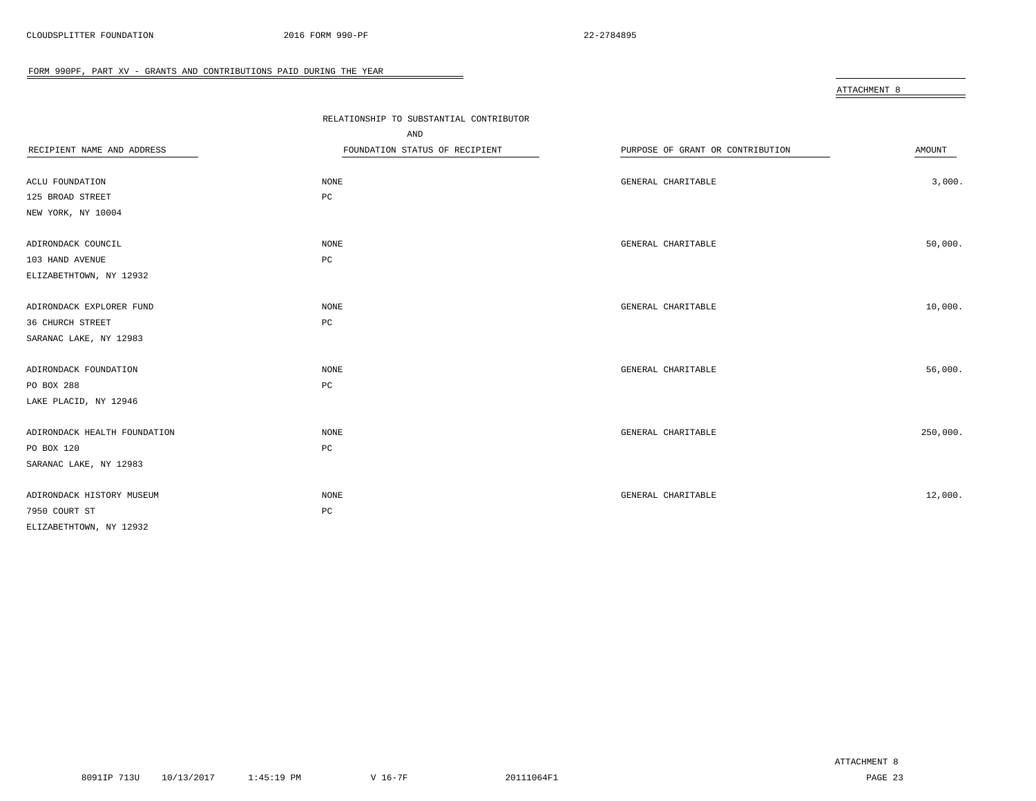<span id="page-21-0"></span>

|                              |                                         |                                  | ATTACHMENT 8  |
|------------------------------|-----------------------------------------|----------------------------------|---------------|
|                              |                                         |                                  |               |
|                              | RELATIONSHIP TO SUBSTANTIAL CONTRIBUTOR |                                  |               |
|                              | AND                                     |                                  |               |
| RECIPIENT NAME AND ADDRESS   | FOUNDATION STATUS OF RECIPIENT          | PURPOSE OF GRANT OR CONTRIBUTION | <b>AMOUNT</b> |
|                              |                                         |                                  |               |
| ACLU FOUNDATION              | NONE                                    | GENERAL CHARITABLE               | 3,000.        |
| 125 BROAD STREET             | PC                                      |                                  |               |
| NEW YORK, NY 10004           |                                         |                                  |               |
| ADIRONDACK COUNCIL           | NONE                                    | GENERAL CHARITABLE               | 50,000.       |
| 103 HAND AVENUE              | $_{\rm PC}$                             |                                  |               |
| ELIZABETHTOWN, NY 12932      |                                         |                                  |               |
| ADIRONDACK EXPLORER FUND     | NONE                                    | GENERAL CHARITABLE               | 10,000.       |
| 36 CHURCH STREET             | $_{\rm PC}$                             |                                  |               |
| SARANAC LAKE, NY 12983       |                                         |                                  |               |
| ADIRONDACK FOUNDATION        | NONE                                    | GENERAL CHARITABLE               | 56,000.       |
| PO BOX 288                   | PC                                      |                                  |               |
| LAKE PLACID, NY 12946        |                                         |                                  |               |
| ADIRONDACK HEALTH FOUNDATION | $\rm{NONE}$                             | GENERAL CHARITABLE               | 250,000.      |
| PO BOX 120                   | PC                                      |                                  |               |
| SARANAC LAKE, NY 12983       |                                         |                                  |               |
| ADIRONDACK HISTORY MUSEUM    | NONE                                    | GENERAL CHARITABLE               | 12,000.       |
| 7950 COURT ST                | PC                                      |                                  |               |
| ELIZABETHTOWN, NY 12932      |                                         |                                  |               |

 $\overline{\phantom{0}}$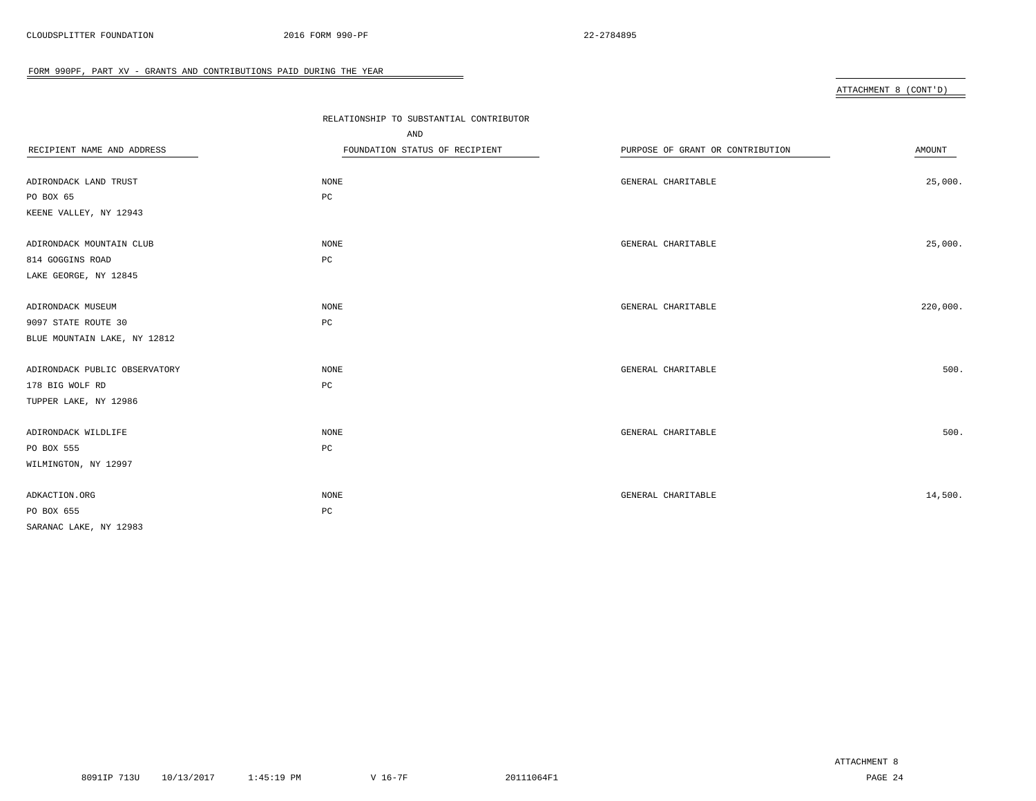|                               | RELATIONSHIP TO SUBSTANTIAL CONTRIBUTOR |                                  |          |
|-------------------------------|-----------------------------------------|----------------------------------|----------|
|                               | AND                                     |                                  |          |
| RECIPIENT NAME AND ADDRESS    | FOUNDATION STATUS OF RECIPIENT          | PURPOSE OF GRANT OR CONTRIBUTION | AMOUNT   |
|                               |                                         |                                  |          |
| ADIRONDACK LAND TRUST         | <b>NONE</b>                             | GENERAL CHARITABLE               | 25,000.  |
| PO BOX 65                     | PC                                      |                                  |          |
| KEENE VALLEY, NY 12943        |                                         |                                  |          |
|                               |                                         |                                  |          |
| ADIRONDACK MOUNTAIN CLUB      | <b>NONE</b>                             | GENERAL CHARITABLE               | 25,000.  |
| 814 GOGGINS ROAD              | PC                                      |                                  |          |
| LAKE GEORGE, NY 12845         |                                         |                                  |          |
|                               |                                         |                                  |          |
| ADIRONDACK MUSEUM             | <b>NONE</b>                             | GENERAL CHARITABLE               | 220,000. |
| 9097 STATE ROUTE 30           | PC                                      |                                  |          |
| BLUE MOUNTAIN LAKE, NY 12812  |                                         |                                  |          |
|                               |                                         |                                  |          |
| ADIRONDACK PUBLIC OBSERVATORY | <b>NONE</b>                             | GENERAL CHARITABLE               | 500.     |
| 178 BIG WOLF RD               | PC                                      |                                  |          |
| TUPPER LAKE, NY 12986         |                                         |                                  |          |
|                               |                                         |                                  |          |
| ADIRONDACK WILDLIFE           | <b>NONE</b>                             | GENERAL CHARITABLE               | 500.     |
| PO BOX 555                    | PC                                      |                                  |          |
| WILMINGTON, NY 12997          |                                         |                                  |          |
|                               |                                         |                                  |          |
| ADKACTION.ORG                 | <b>NONE</b>                             | GENERAL CHARITABLE               | 14,500.  |
| PO BOX 655                    | $_{\rm PC}$                             |                                  |          |
| SARANAC LAKE, NY 12983        |                                         |                                  |          |

8091IP 713U 10/13/2017 1:45:19 PM V 16-7F 20111064F1 PAGE 24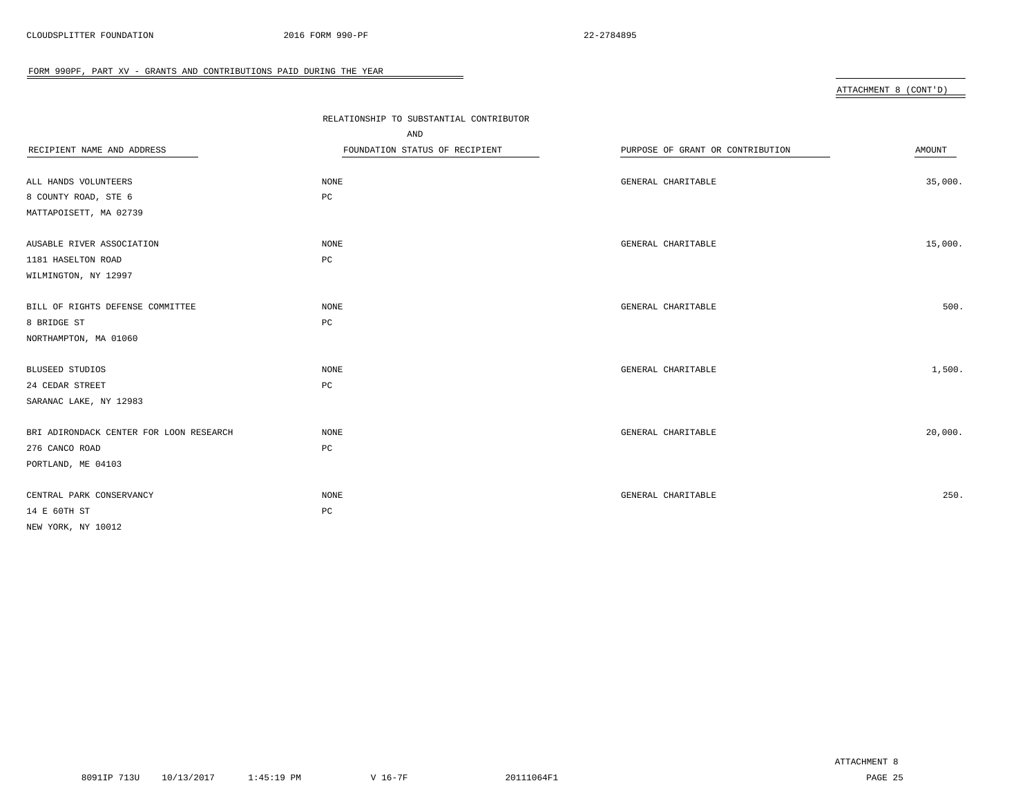|                                         | RELATIONSHIP TO SUBSTANTIAL CONTRIBUTOR |                                  |         |  |
|-----------------------------------------|-----------------------------------------|----------------------------------|---------|--|
|                                         | AND                                     |                                  |         |  |
| RECIPIENT NAME AND ADDRESS              | FOUNDATION STATUS OF RECIPIENT          | PURPOSE OF GRANT OR CONTRIBUTION | AMOUNT  |  |
|                                         |                                         |                                  |         |  |
| ALL HANDS VOLUNTEERS                    | NONE                                    | GENERAL CHARITABLE               | 35,000. |  |
| 8 COUNTY ROAD, STE 6                    | $_{\rm PC}$                             |                                  |         |  |
| MATTAPOISETT, MA 02739                  |                                         |                                  |         |  |
| AUSABLE RIVER ASSOCIATION               | NONE                                    | GENERAL CHARITABLE               | 15,000. |  |
| 1181 HASELTON ROAD                      | PC                                      |                                  |         |  |
| WILMINGTON, NY 12997                    |                                         |                                  |         |  |
| BILL OF RIGHTS DEFENSE COMMITTEE        | NONE                                    | GENERAL CHARITABLE               | 500.    |  |
| 8 BRIDGE ST                             | $_{\rm PC}$                             |                                  |         |  |
| NORTHAMPTON, MA 01060                   |                                         |                                  |         |  |
| BLUSEED STUDIOS                         | NONE                                    | GENERAL CHARITABLE               | 1,500.  |  |
| 24 CEDAR STREET                         | PC                                      |                                  |         |  |
| SARANAC LAKE, NY 12983                  |                                         |                                  |         |  |
| BRI ADIRONDACK CENTER FOR LOON RESEARCH | NONE                                    | GENERAL CHARITABLE               | 20,000. |  |
| 276 CANCO ROAD                          | PC                                      |                                  |         |  |
| PORTLAND, ME 04103                      |                                         |                                  |         |  |
| CENTRAL PARK CONSERVANCY                | NONE                                    | GENERAL CHARITABLE               | 250.    |  |
| 14 E 60TH ST                            | $_{\rm PC}$                             |                                  |         |  |
| NEW YORK, NY 10012                      |                                         |                                  |         |  |

 $\overline{\phantom{a}}$ 

ATTACHMENT 8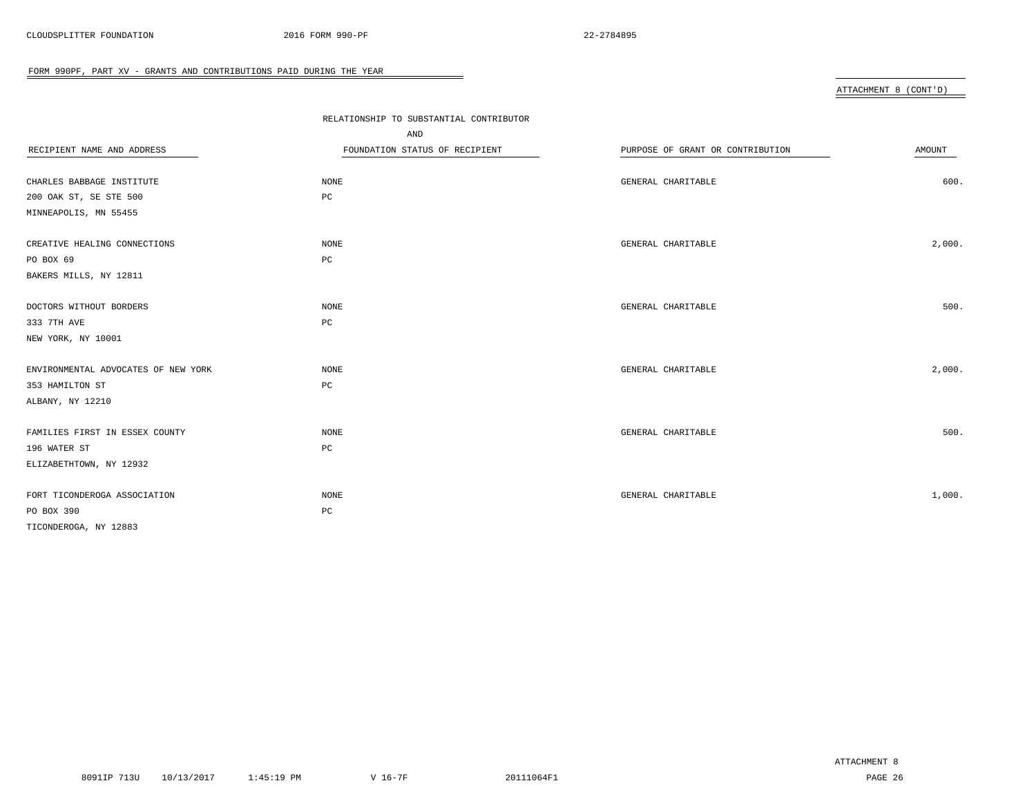ATTACHMENT 8 (CONT'D)

|                                     | RELATIONSHIP TO SUBSTANTIAL CONTRIBUTOR |                                  |        |
|-------------------------------------|-----------------------------------------|----------------------------------|--------|
|                                     | AND                                     |                                  |        |
| RECIPIENT NAME AND ADDRESS          | FOUNDATION STATUS OF RECIPIENT          | PURPOSE OF GRANT OR CONTRIBUTION | AMOUNT |
|                                     |                                         |                                  |        |
| CHARLES BABBAGE INSTITUTE           | NONE                                    | GENERAL CHARITABLE               | 600.   |
| 200 OAK ST, SE STE 500              | $_{\rm PC}$                             |                                  |        |
| MINNEAPOLIS, MN 55455               |                                         |                                  |        |
| CREATIVE HEALING CONNECTIONS        | NONE                                    | GENERAL CHARITABLE               | 2,000. |
| PO BOX 69                           | PC                                      |                                  |        |
| BAKERS MILLS, NY 12811              |                                         |                                  |        |
| DOCTORS WITHOUT BORDERS             | NONE                                    | GENERAL CHARITABLE               | 500.   |
| 333 7TH AVE                         | PC                                      |                                  |        |
| NEW YORK, NY 10001                  |                                         |                                  |        |
| ENVIRONMENTAL ADVOCATES OF NEW YORK | NONE                                    | GENERAL CHARITABLE               | 2,000. |
| 353 HAMILTON ST                     | $_{\rm PC}$                             |                                  |        |
| ALBANY, NY 12210                    |                                         |                                  |        |
| FAMILIES FIRST IN ESSEX COUNTY      | $\rm{NONE}$                             | GENERAL CHARITABLE               | 500.   |
| 196 WATER ST                        | PC                                      |                                  |        |
| ELIZABETHTOWN, NY 12932             |                                         |                                  |        |
|                                     | $\rm{NONE}$                             | GENERAL CHARITABLE               | 1,000. |
| FORT TICONDEROGA ASSOCIATION        | $_{\rm PC}$                             |                                  |        |
| PO BOX 390                          |                                         |                                  |        |
| TICONDEROGA, NY 12883               |                                         |                                  |        |

 $\overline{\phantom{a}}$ 

ATTACHMENT 8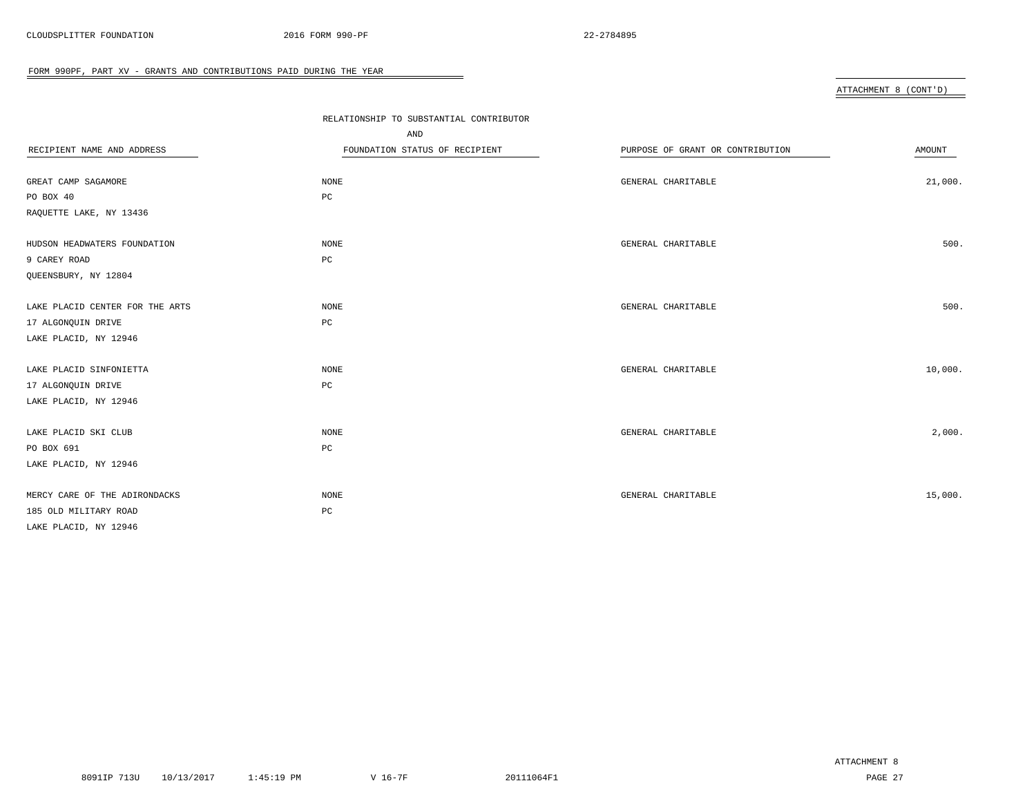LAKE PLACID, NY 12946

#### FORM 990PF, PART XV - GRANTS AND CONTRIBUTIONS PAID DURING THE YEAR

|                                 | RELATIONSHIP TO SUBSTANTIAL CONTRIBUTOR |                                  |         |
|---------------------------------|-----------------------------------------|----------------------------------|---------|
|                                 | AND                                     |                                  |         |
| RECIPIENT NAME AND ADDRESS      | FOUNDATION STATUS OF RECIPIENT          | PURPOSE OF GRANT OR CONTRIBUTION | AMOUNT  |
|                                 |                                         |                                  |         |
| GREAT CAMP SAGAMORE             | <b>NONE</b>                             | GENERAL CHARITABLE               | 21,000. |
| PO BOX 40                       | $_{\rm PC}$                             |                                  |         |
| RAQUETTE LAKE, NY 13436         |                                         |                                  |         |
|                                 |                                         |                                  |         |
| HUDSON HEADWATERS FOUNDATION    | <b>NONE</b>                             | GENERAL CHARITABLE               | 500.    |
| 9 CAREY ROAD                    | $_{\rm PC}$                             |                                  |         |
| QUEENSBURY, NY 12804            |                                         |                                  |         |
|                                 |                                         |                                  |         |
| LAKE PLACID CENTER FOR THE ARTS | <b>NONE</b>                             | GENERAL CHARITABLE               | 500.    |
| 17 ALGONQUIN DRIVE              | PC                                      |                                  |         |
| LAKE PLACID, NY 12946           |                                         |                                  |         |
|                                 |                                         |                                  |         |
| LAKE PLACID SINFONIETTA         | <b>NONE</b>                             | GENERAL CHARITABLE               | 10,000. |
| 17 ALGONQUIN DRIVE              | PC                                      |                                  |         |
| LAKE PLACID, NY 12946           |                                         |                                  |         |
|                                 |                                         |                                  |         |
| LAKE PLACID SKI CLUB            | NONE                                    | GENERAL CHARITABLE               | 2,000.  |
| PO BOX 691                      | PC                                      |                                  |         |
| LAKE PLACID, NY 12946           |                                         |                                  |         |
|                                 |                                         |                                  |         |
| MERCY CARE OF THE ADIRONDACKS   | NONE                                    | GENERAL CHARITABLE               | 15,000. |
| 185 OLD MILITARY ROAD           | PC                                      |                                  |         |

 $\overline{\phantom{0}}$ 

8091IP 713U 10/13/2017 1:45:19 PM V 16-7F 20111064F1 PAGE 27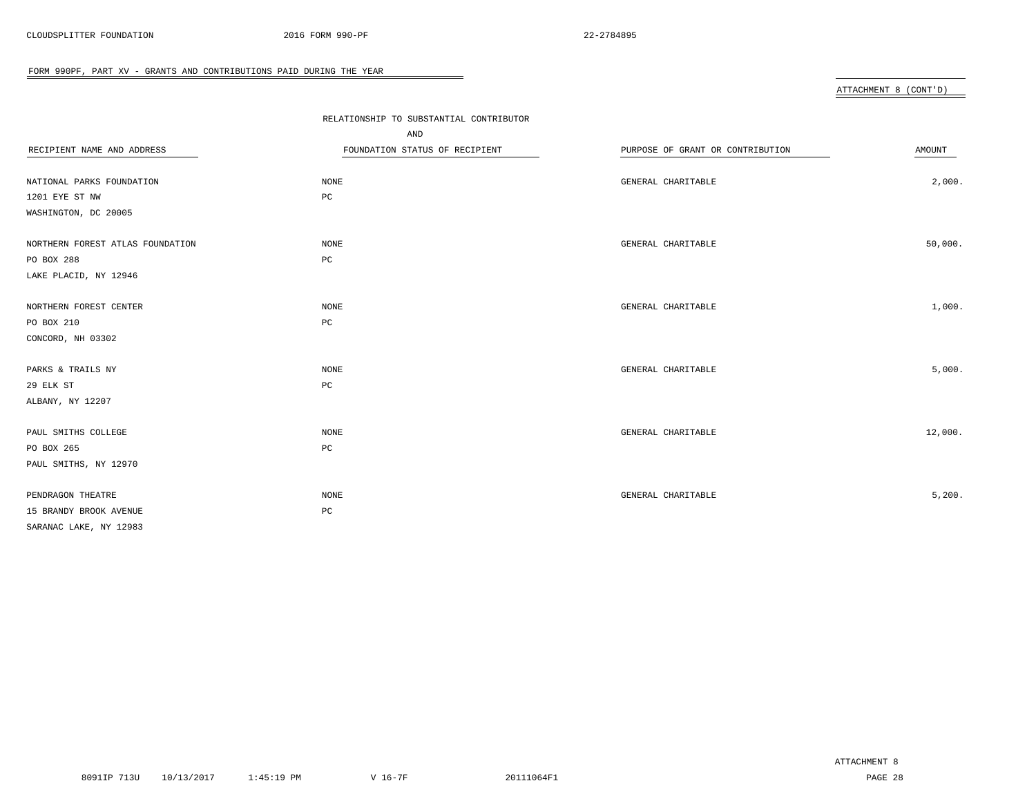|                                  | RELATIONSHIP TO SUBSTANTIAL CONTRIBUTOR |                                  |         |
|----------------------------------|-----------------------------------------|----------------------------------|---------|
|                                  | AND                                     |                                  |         |
| RECIPIENT NAME AND ADDRESS       | FOUNDATION STATUS OF RECIPIENT          | PURPOSE OF GRANT OR CONTRIBUTION | AMOUNT  |
|                                  |                                         |                                  |         |
| NATIONAL PARKS FOUNDATION        | NONE                                    | GENERAL CHARITABLE               | 2,000.  |
| 1201 EYE ST NW                   | $_{\rm PC}$                             |                                  |         |
| WASHINGTON, DC 20005             |                                         |                                  |         |
| NORTHERN FOREST ATLAS FOUNDATION | NONE                                    | GENERAL CHARITABLE               | 50,000. |
| PO BOX 288                       | PC                                      |                                  |         |
| LAKE PLACID, NY 12946            |                                         |                                  |         |
| NORTHERN FOREST CENTER           | NONE                                    | GENERAL CHARITABLE               | 1,000.  |
| PO BOX 210                       | PC                                      |                                  |         |
| CONCORD, NH 03302                |                                         |                                  |         |
| PARKS & TRAILS NY                | NONE                                    | GENERAL CHARITABLE               | 5,000.  |
| 29 ELK ST                        | $_{\rm PC}$                             |                                  |         |
| ALBANY, NY 12207                 |                                         |                                  |         |
| PAUL SMITHS COLLEGE              | NONE                                    | GENERAL CHARITABLE               | 12,000. |
| PO BOX 265                       | PC                                      |                                  |         |
| PAUL SMITHS, NY 12970            |                                         |                                  |         |
| PENDRAGON THEATRE                | NONE                                    | GENERAL CHARITABLE               | 5,200.  |
| 15 BRANDY BROOK AVENUE           | $_{\rm PC}$                             |                                  |         |
| SARANAC LAKE, NY 12983           |                                         |                                  |         |

8091IP 713U 10/13/2017 1:45:19 PM V 16-7F 20111064F1 PAGE 28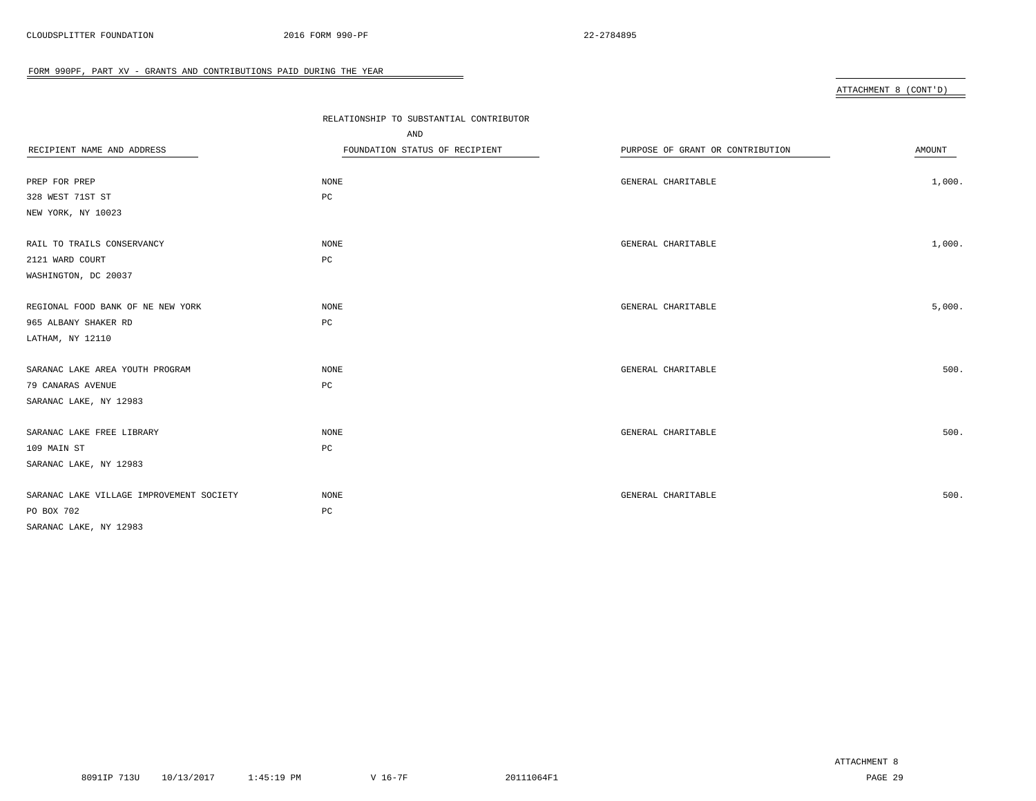LATHAM, NY 12110

#### FORM 990PF, PART XV - GRANTS AND CONTRIBUTIONS PAID DURING THE YEAR

|                                   | RELATIONSHIP TO SUBSTANTIAL CONTRIBUTOR |                                  |        |
|-----------------------------------|-----------------------------------------|----------------------------------|--------|
|                                   | AND                                     |                                  |        |
| RECIPIENT NAME AND ADDRESS        | FOUNDATION STATUS OF RECIPIENT          | PURPOSE OF GRANT OR CONTRIBUTION | AMOUNT |
|                                   |                                         |                                  |        |
| PREP FOR PREP                     | NONE                                    | GENERAL CHARITABLE               | 1,000. |
| 328 WEST 71ST ST                  | PC                                      |                                  |        |
| NEW YORK, NY 10023                |                                         |                                  |        |
|                                   |                                         |                                  |        |
| RAIL TO TRAILS CONSERVANCY        | NONE                                    | GENERAL CHARITABLE               | 1,000. |
| 2121 WARD COURT                   | PC                                      |                                  |        |
| WASHINGTON, DC 20037              |                                         |                                  |        |
|                                   |                                         |                                  |        |
| REGIONAL FOOD BANK OF NE NEW YORK | NONE                                    | GENERAL CHARITABLE               | 5,000. |
| 965 ALBANY SHAKER RD              | PC                                      |                                  |        |

SARANAC LAKE AREA YOUTH PROGRAM GENERAL CHARITABLE SOO. 79 CANARAS AVENUE PC SARANAC LAKE, NY 12983 SARANAC LAKE FREE LIBRARY SARANAC SOO. SARANAC LAKE ENERAL CHARITABLE SOO. 109 MAIN ST PC SARANAC LAKE, NY 12983

SARANAC LAKE VILLAGE IMPROVEMENT SOCIETY NONE NONE SOUL SOURCH SOUL SENERAL CHARITABLE GENERAL CHARITABLE 500. PO BOX 702 PC

SARANAC LAKE, NY 12983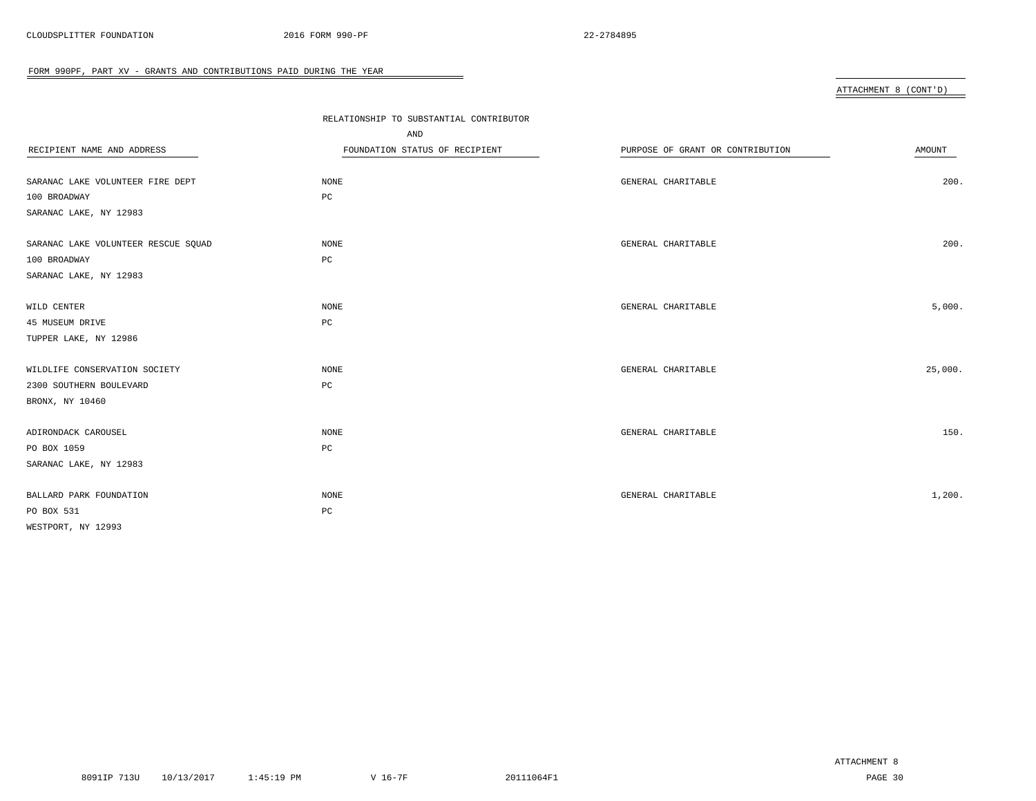ATTACHMENT 8 (CONT'D)

|                                     | RELATIONSHIP TO SUBSTANTIAL CONTRIBUTOR<br>AND |                                  |         |
|-------------------------------------|------------------------------------------------|----------------------------------|---------|
| RECIPIENT NAME AND ADDRESS          | FOUNDATION STATUS OF RECIPIENT                 | PURPOSE OF GRANT OR CONTRIBUTION | AMOUNT  |
|                                     |                                                |                                  |         |
| SARANAC LAKE VOLUNTEER FIRE DEPT    | <b>NONE</b>                                    | GENERAL CHARITABLE               | 200.    |
| 100 BROADWAY                        | PC                                             |                                  |         |
| SARANAC LAKE, NY 12983              |                                                |                                  |         |
| SARANAC LAKE VOLUNTEER RESCUE SQUAD | NONE                                           | GENERAL CHARITABLE               | 200.    |
| 100 BROADWAY                        | PC                                             |                                  |         |
| SARANAC LAKE, NY 12983              |                                                |                                  |         |
|                                     |                                                |                                  |         |
| WILD CENTER                         | <b>NONE</b>                                    | GENERAL CHARITABLE               | 5,000.  |
| 45 MUSEUM DRIVE                     | PC                                             |                                  |         |
| TUPPER LAKE, NY 12986               |                                                |                                  |         |
|                                     |                                                |                                  |         |
| WILDLIFE CONSERVATION SOCIETY       | <b>NONE</b>                                    | GENERAL CHARITABLE               | 25,000. |
| 2300 SOUTHERN BOULEVARD             | $_{\rm PC}$                                    |                                  |         |
| BRONX, NY 10460                     |                                                |                                  |         |
| ADIRONDACK CAROUSEL                 | NONE                                           | GENERAL CHARITABLE               | 150.    |
| PO BOX 1059                         | $_{\rm PC}$                                    |                                  |         |
| SARANAC LAKE, NY 12983              |                                                |                                  |         |
|                                     |                                                |                                  |         |
| BALLARD PARK FOUNDATION             | $\rm{NONE}$                                    | GENERAL CHARITABLE               | 1,200.  |
| PO BOX 531                          | PC                                             |                                  |         |
| WESTPORT, NY 12993                  |                                                |                                  |         |

 $\overline{\phantom{a}}$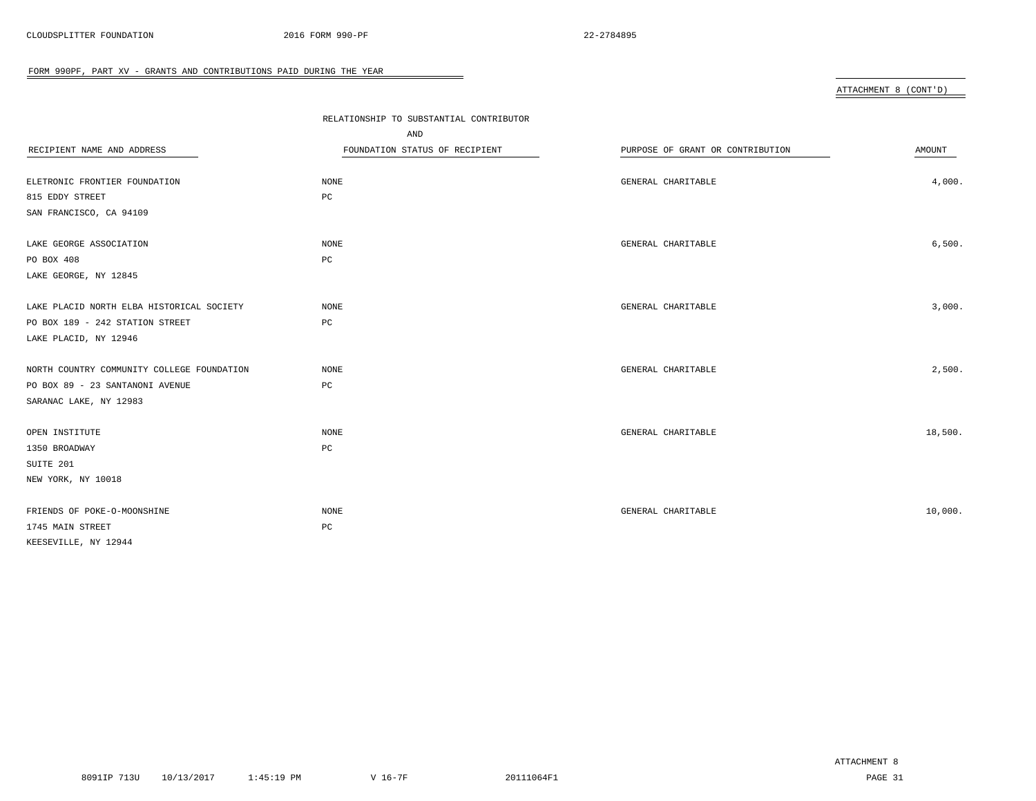# ATTACHMENT 8 (CONT'D)

| RECIPIENT NAME AND ADDRESS                 | RELATIONSHIP TO SUBSTANTIAL CONTRIBUTOR<br>AND<br>FOUNDATION STATUS OF RECIPIENT | PURPOSE OF GRANT OR CONTRIBUTION | AMOUNT  |
|--------------------------------------------|----------------------------------------------------------------------------------|----------------------------------|---------|
| ELETRONIC FRONTIER FOUNDATION              | NONE                                                                             | GENERAL CHARITABLE               | 4,000.  |
| 815 EDDY STREET                            | PC                                                                               |                                  |         |
| SAN FRANCISCO, CA 94109                    |                                                                                  |                                  |         |
| LAKE GEORGE ASSOCIATION                    | NONE                                                                             | GENERAL CHARITABLE               | 6,500.  |
| PO BOX 408                                 | $_{\rm PC}$                                                                      |                                  |         |
| LAKE GEORGE, NY 12845                      |                                                                                  |                                  |         |
| LAKE PLACID NORTH ELBA HISTORICAL SOCIETY  | NONE                                                                             | GENERAL CHARITABLE               | 3,000.  |
| PO BOX 189 - 242 STATION STREET            | PC                                                                               |                                  |         |
| LAKE PLACID, NY 12946                      |                                                                                  |                                  |         |
| NORTH COUNTRY COMMUNITY COLLEGE FOUNDATION | NONE                                                                             | GENERAL CHARITABLE               | 2,500.  |
| PO BOX 89 - 23 SANTANONI AVENUE            | PC                                                                               |                                  |         |
| SARANAC LAKE, NY 12983                     |                                                                                  |                                  |         |
| OPEN INSTITUTE                             | NONE                                                                             | GENERAL CHARITABLE               | 18,500. |
| 1350 BROADWAY                              | $_{\rm PC}$                                                                      |                                  |         |
| SUITE 201                                  |                                                                                  |                                  |         |
| NEW YORK, NY 10018                         |                                                                                  |                                  |         |
| FRIENDS OF POKE-O-MOONSHINE                | NONE                                                                             | GENERAL CHARITABLE               | 10,000. |
| 1745 MAIN STREET                           | PC                                                                               |                                  |         |
| KEESEVILLE, NY 12944                       |                                                                                  |                                  |         |

 $\overline{\phantom{a}}$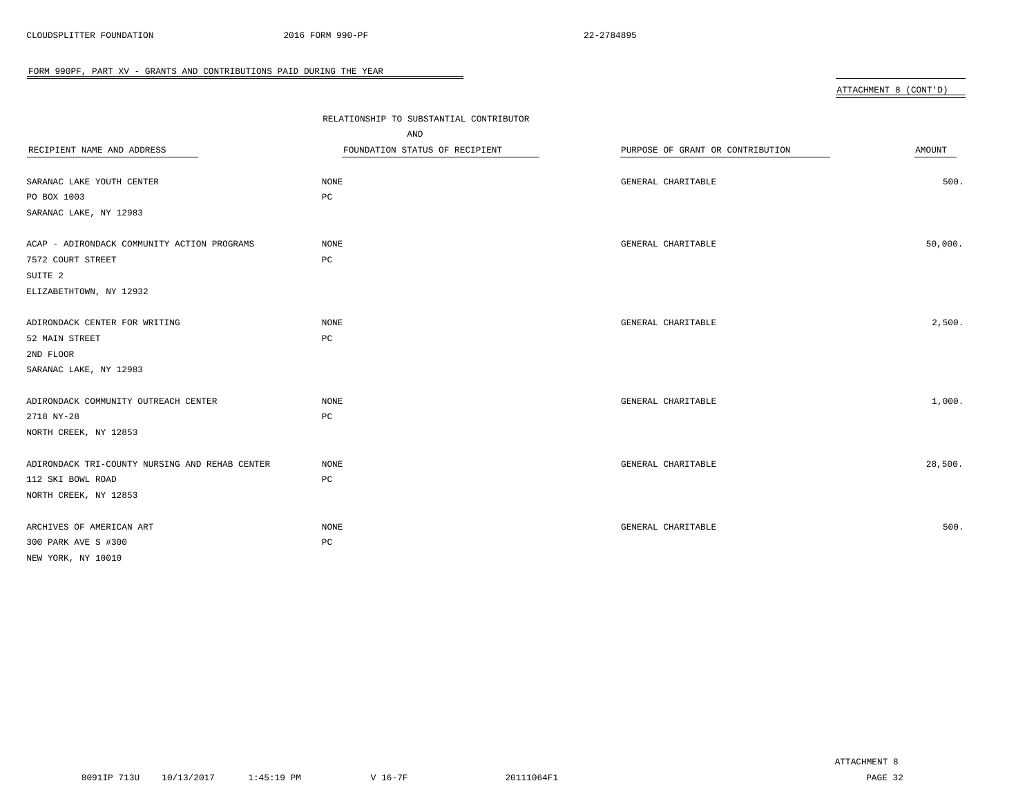| ATTACHMENT 8 (CONT') |  |
|----------------------|--|
|----------------------|--|

|                                                | RELATIONSHIP TO SUBSTANTIAL CONTRIBUTOR<br>AND |                                  |         |
|------------------------------------------------|------------------------------------------------|----------------------------------|---------|
| RECIPIENT NAME AND ADDRESS                     | FOUNDATION STATUS OF RECIPIENT                 | PURPOSE OF GRANT OR CONTRIBUTION | AMOUNT  |
|                                                |                                                |                                  |         |
| SARANAC LAKE YOUTH CENTER                      | NONE                                           | GENERAL CHARITABLE               | 500.    |
| PO BOX 1003                                    | $_{\rm PC}$                                    |                                  |         |
| SARANAC LAKE, NY 12983                         |                                                |                                  |         |
| ACAP - ADIRONDACK COMMUNITY ACTION PROGRAMS    | NONE                                           | GENERAL CHARITABLE               | 50,000. |
| 7572 COURT STREET                              | $_{\rm PC}$                                    |                                  |         |
| SUITE 2                                        |                                                |                                  |         |
| ELIZABETHTOWN, NY 12932                        |                                                |                                  |         |
| ADIRONDACK CENTER FOR WRITING                  | NONE                                           | GENERAL CHARITABLE               | 2,500.  |
| 52 MAIN STREET                                 | $_{\rm PC}$                                    |                                  |         |
| 2ND FLOOR                                      |                                                |                                  |         |
| SARANAC LAKE, NY 12983                         |                                                |                                  |         |
| ADIRONDACK COMMUNITY OUTREACH CENTER           | NONE                                           | GENERAL CHARITABLE               | 1,000.  |
| 2718 NY-28                                     | $_{\rm PC}$                                    |                                  |         |
| NORTH CREEK, NY 12853                          |                                                |                                  |         |
| ADIRONDACK TRI-COUNTY NURSING AND REHAB CENTER | NONE                                           | GENERAL CHARITABLE               | 28,500. |
| 112 SKI BOWL ROAD                              | PC                                             |                                  |         |
| NORTH CREEK, NY 12853                          |                                                |                                  |         |
| ARCHIVES OF AMERICAN ART                       | NONE                                           | GENERAL CHARITABLE               | 500.    |
| 300 PARK AVE S #300                            | $_{\rm PC}$                                    |                                  |         |
| NEW YORK, NY 10010                             |                                                |                                  |         |

 $\overline{\phantom{0}}$ 

ATTACHMENT 8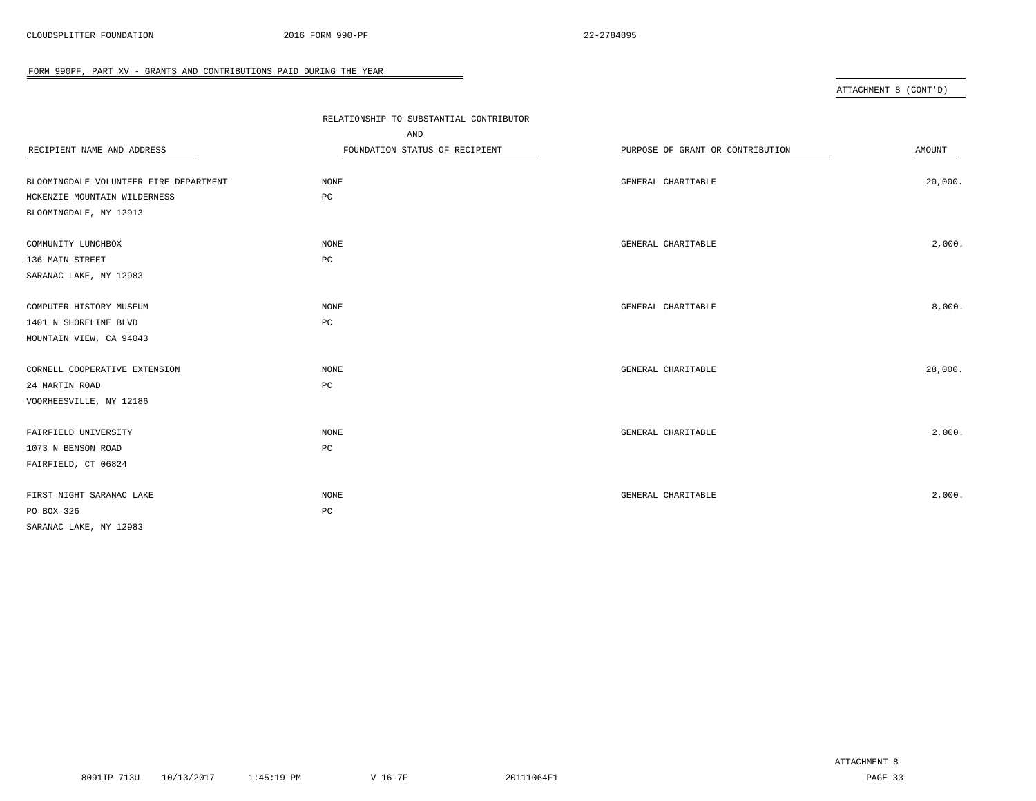|                                        | RELATIONSHIP TO SUBSTANTIAL CONTRIBUTOR |                                  |         |
|----------------------------------------|-----------------------------------------|----------------------------------|---------|
|                                        | AND                                     |                                  |         |
| RECIPIENT NAME AND ADDRESS             | FOUNDATION STATUS OF RECIPIENT          | PURPOSE OF GRANT OR CONTRIBUTION | AMOUNT  |
|                                        |                                         |                                  |         |
| BLOOMINGDALE VOLUNTEER FIRE DEPARTMENT | <b>NONE</b>                             | GENERAL CHARITABLE               | 20,000. |
| MCKENZIE MOUNTAIN WILDERNESS           | $_{\rm PC}$                             |                                  |         |
| BLOOMINGDALE, NY 12913                 |                                         |                                  |         |
| COMMUNITY LUNCHBOX                     | <b>NONE</b>                             | GENERAL CHARITABLE               | 2,000.  |
| 136 MAIN STREET                        | PC                                      |                                  |         |
| SARANAC LAKE, NY 12983                 |                                         |                                  |         |
| COMPUTER HISTORY MUSEUM                | <b>NONE</b>                             | GENERAL CHARITABLE               | 8,000.  |
| 1401 N SHORELINE BLVD                  | PC                                      |                                  |         |
| MOUNTAIN VIEW, CA 94043                |                                         |                                  |         |
| CORNELL COOPERATIVE EXTENSION          | <b>NONE</b>                             | GENERAL CHARITABLE               | 28,000. |
| 24 MARTIN ROAD                         | PC                                      |                                  |         |
| VOORHEESVILLE, NY 12186                |                                         |                                  |         |
| FAIRFIELD UNIVERSITY                   | <b>NONE</b>                             | GENERAL CHARITABLE               | 2,000.  |
| 1073 N BENSON ROAD                     | PC                                      |                                  |         |
| FAIRFIELD, CT 06824                    |                                         |                                  |         |
| FIRST NIGHT SARANAC LAKE               | <b>NONE</b>                             | GENERAL CHARITABLE               | 2,000.  |
| PO BOX 326                             | $_{\rm PC}$                             |                                  |         |
| SARANAC LAKE, NY 12983                 |                                         |                                  |         |

 $\overline{\phantom{a}}$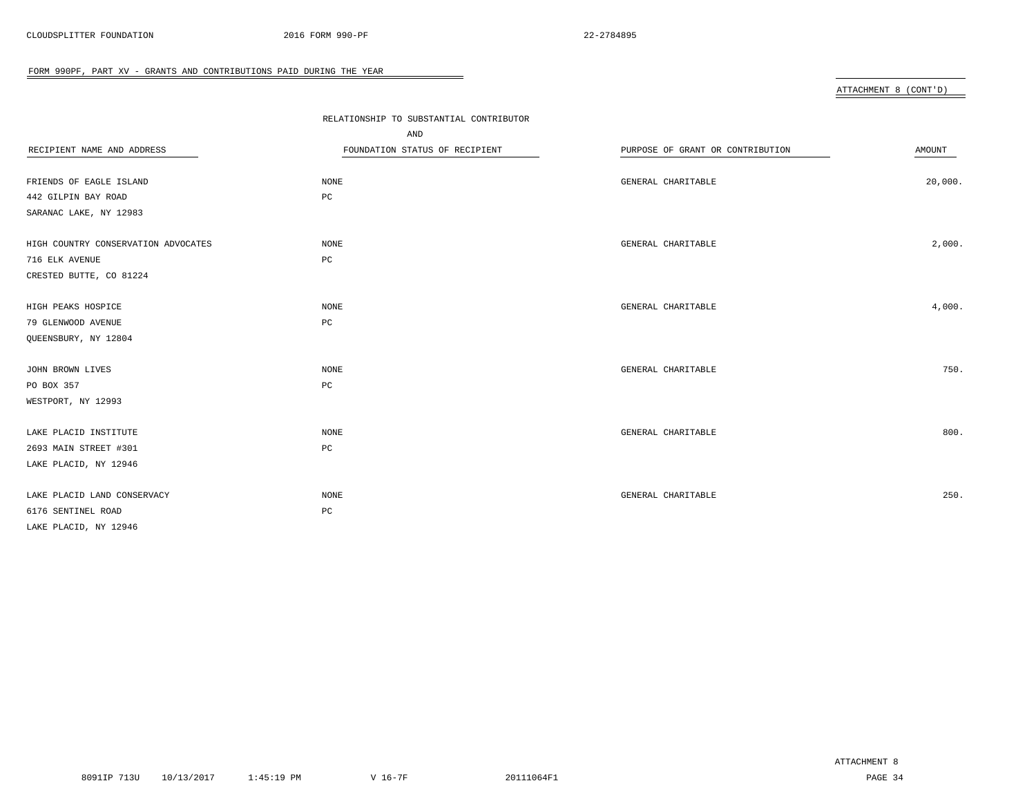|                                     | RELATIONSHIP TO SUBSTANTIAL CONTRIBUTOR |                                  |         |
|-------------------------------------|-----------------------------------------|----------------------------------|---------|
|                                     | AND                                     |                                  |         |
| RECIPIENT NAME AND ADDRESS          | FOUNDATION STATUS OF RECIPIENT          | PURPOSE OF GRANT OR CONTRIBUTION | AMOUNT  |
|                                     |                                         |                                  |         |
| FRIENDS OF EAGLE ISLAND             | <b>NONE</b>                             | GENERAL CHARITABLE               | 20,000. |
| 442 GILPIN BAY ROAD                 | PC                                      |                                  |         |
| SARANAC LAKE, NY 12983              |                                         |                                  |         |
| HIGH COUNTRY CONSERVATION ADVOCATES | <b>NONE</b>                             | GENERAL CHARITABLE               | 2,000.  |
| 716 ELK AVENUE                      | $_{\rm PC}$                             |                                  |         |
| CRESTED BUTTE, CO 81224             |                                         |                                  |         |
|                                     |                                         |                                  |         |
| HIGH PEAKS HOSPICE                  | NONE                                    | GENERAL CHARITABLE               | 4,000.  |
| 79 GLENWOOD AVENUE                  | $_{\rm PC}$                             |                                  |         |
| QUEENSBURY, NY 12804                |                                         |                                  |         |
| JOHN BROWN LIVES                    | <b>NONE</b>                             | GENERAL CHARITABLE               | 750.    |
| PO BOX 357                          | $_{\rm PC}$                             |                                  |         |
| WESTPORT, NY 12993                  |                                         |                                  |         |
|                                     |                                         |                                  |         |
| LAKE PLACID INSTITUTE               | <b>NONE</b>                             | GENERAL CHARITABLE               | 800.    |
| 2693 MAIN STREET #301               | $_{\rm PC}$                             |                                  |         |
| LAKE PLACID, NY 12946               |                                         |                                  |         |
| LAKE PLACID LAND CONSERVACY         | NONE                                    | GENERAL CHARITABLE               | 250.    |
| 6176 SENTINEL ROAD                  | $_{\rm PC}$                             |                                  |         |
| LAKE PLACID, NY 12946               |                                         |                                  |         |

 $\overline{\phantom{a}}$ 

ATTACHMENT 8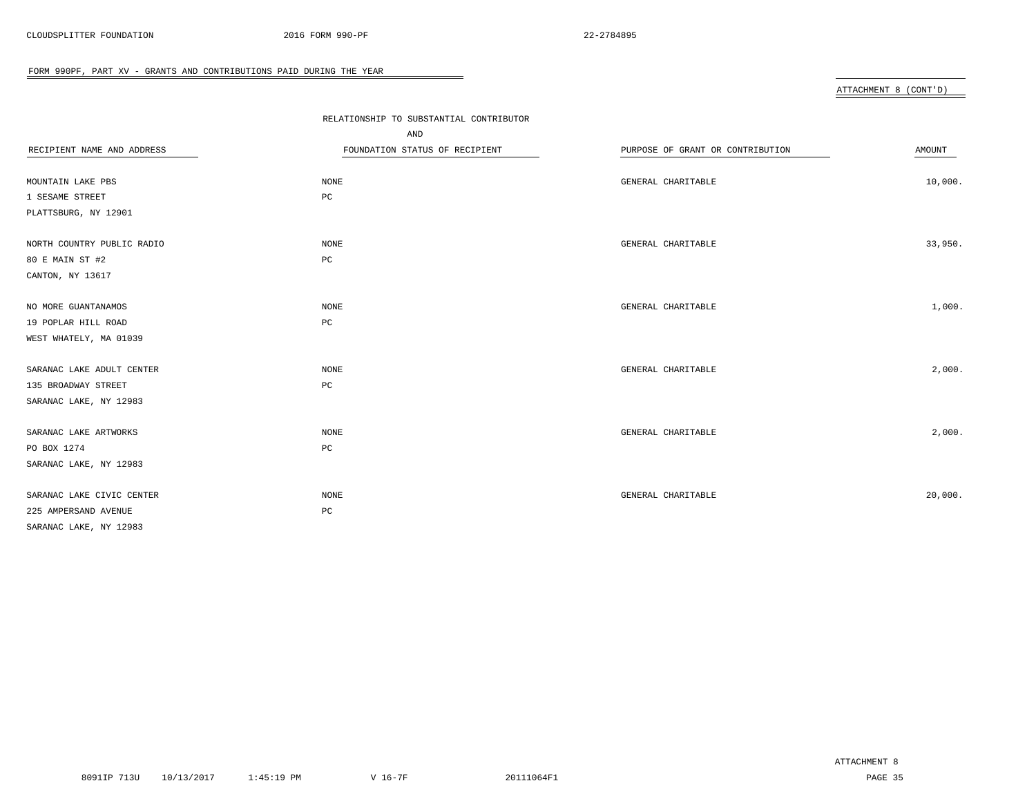|                            | RELATIONSHIP TO SUBSTANTIAL CONTRIBUTOR |                                  |         |
|----------------------------|-----------------------------------------|----------------------------------|---------|
|                            | AND                                     |                                  |         |
| RECIPIENT NAME AND ADDRESS | FOUNDATION STATUS OF RECIPIENT          | PURPOSE OF GRANT OR CONTRIBUTION | AMOUNT  |
|                            |                                         |                                  |         |
| MOUNTAIN LAKE PBS          | NONE                                    | GENERAL CHARITABLE               | 10,000. |
| 1 SESAME STREET            | PC                                      |                                  |         |
| PLATTSBURG, NY 12901       |                                         |                                  |         |
| NORTH COUNTRY PUBLIC RADIO | <b>NONE</b>                             | GENERAL CHARITABLE               | 33,950. |
| 80 E MAIN ST #2            | $_{\rm PC}$                             |                                  |         |
| CANTON, NY 13617           |                                         |                                  |         |
|                            |                                         |                                  |         |
| NO MORE GUANTANAMOS        | <b>NONE</b>                             | GENERAL CHARITABLE               | 1,000.  |
| 19 POPLAR HILL ROAD        | $_{\rm PC}$                             |                                  |         |
| WEST WHATELY, MA 01039     |                                         |                                  |         |
|                            |                                         |                                  |         |
| SARANAC LAKE ADULT CENTER  | <b>NONE</b>                             | GENERAL CHARITABLE               | 2,000.  |
| 135 BROADWAY STREET        | PC                                      |                                  |         |
| SARANAC LAKE, NY 12983     |                                         |                                  |         |
|                            |                                         |                                  |         |
| SARANAC LAKE ARTWORKS      | NONE                                    | GENERAL CHARITABLE               | 2,000.  |
| PO BOX 1274                | $_{\rm PC}$                             |                                  |         |
| SARANAC LAKE, NY 12983     |                                         |                                  |         |
| SARANAC LAKE CIVIC CENTER  | <b>NONE</b>                             | GENERAL CHARITABLE               | 20,000. |
| 225 AMPERSAND AVENUE       | PC                                      |                                  |         |
| SARANAC LAKE, NY 12983     |                                         |                                  |         |

÷

8091IP 713U 10/13/2017 1:45:19 PM V 16-7F 20111064F1 PAGE 35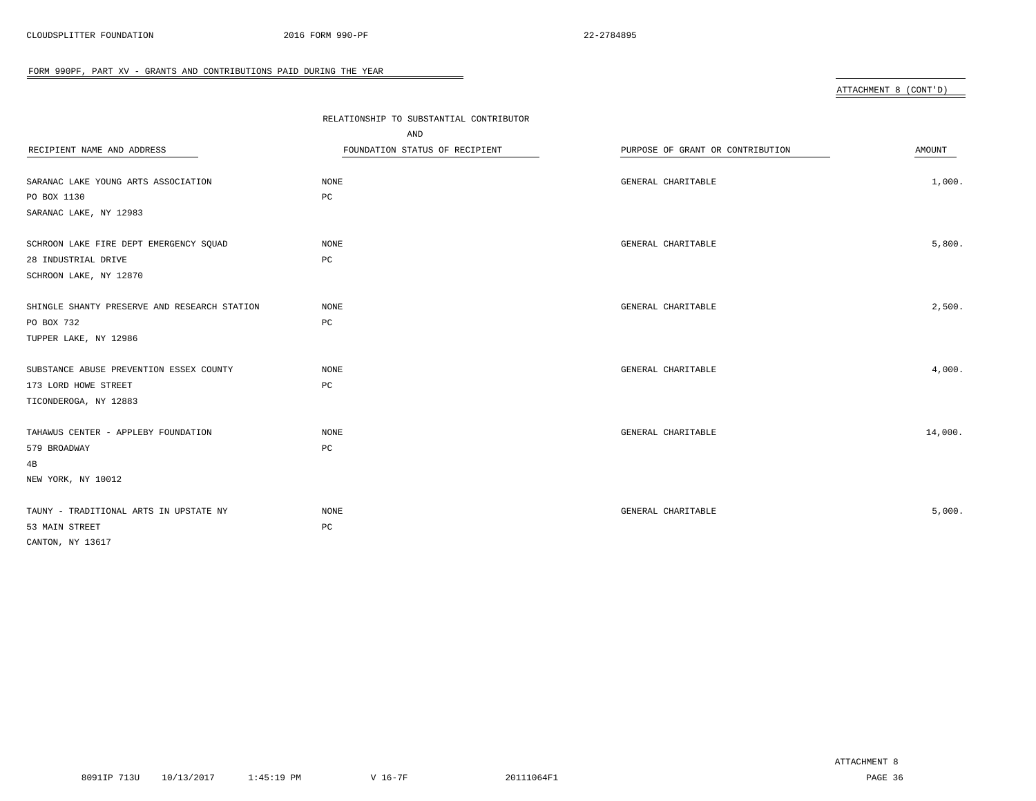|                                              | RELATIONSHIP TO SUBSTANTIAL CONTRIBUTOR |                                  |         |
|----------------------------------------------|-----------------------------------------|----------------------------------|---------|
|                                              | AND                                     |                                  |         |
| RECIPIENT NAME AND ADDRESS                   | FOUNDATION STATUS OF RECIPIENT          | PURPOSE OF GRANT OR CONTRIBUTION | AMOUNT  |
|                                              |                                         |                                  |         |
| SARANAC LAKE YOUNG ARTS ASSOCIATION          | <b>NONE</b>                             | GENERAL CHARITABLE               | 1,000.  |
| PO BOX 1130                                  | PC                                      |                                  |         |
| SARANAC LAKE, NY 12983                       |                                         |                                  |         |
| SCHROON LAKE FIRE DEPT EMERGENCY SQUAD       | <b>NONE</b>                             | GENERAL CHARITABLE               | 5,800.  |
| 28 INDUSTRIAL DRIVE                          | PC                                      |                                  |         |
| SCHROON LAKE, NY 12870                       |                                         |                                  |         |
| SHINGLE SHANTY PRESERVE AND RESEARCH STATION | NONE                                    | GENERAL CHARITABLE               | 2,500.  |
| PO BOX 732                                   | PC                                      |                                  |         |
| TUPPER LAKE, NY 12986                        |                                         |                                  |         |
| SUBSTANCE ABUSE PREVENTION ESSEX COUNTY      | <b>NONE</b>                             | GENERAL CHARITABLE               | 4,000.  |
| 173 LORD HOWE STREET                         | $_{\rm PC}$                             |                                  |         |
| TICONDEROGA, NY 12883                        |                                         |                                  |         |
| TAHAWUS CENTER - APPLEBY FOUNDATION          | NONE                                    | GENERAL CHARITABLE               | 14,000. |
| 579 BROADWAY                                 | PC                                      |                                  |         |
| 4B                                           |                                         |                                  |         |
| NEW YORK, NY 10012                           |                                         |                                  |         |
| TAUNY - TRADITIONAL ARTS IN UPSTATE NY       | NONE                                    | GENERAL CHARITABLE               | 5,000.  |
| 53 MAIN STREET                               | PC                                      |                                  |         |
| CANTON, NY 13617                             |                                         |                                  |         |

÷

8091IP 713U 10/13/2017 1:45:19 PM V 16-7F 20111064F1 PAGE 36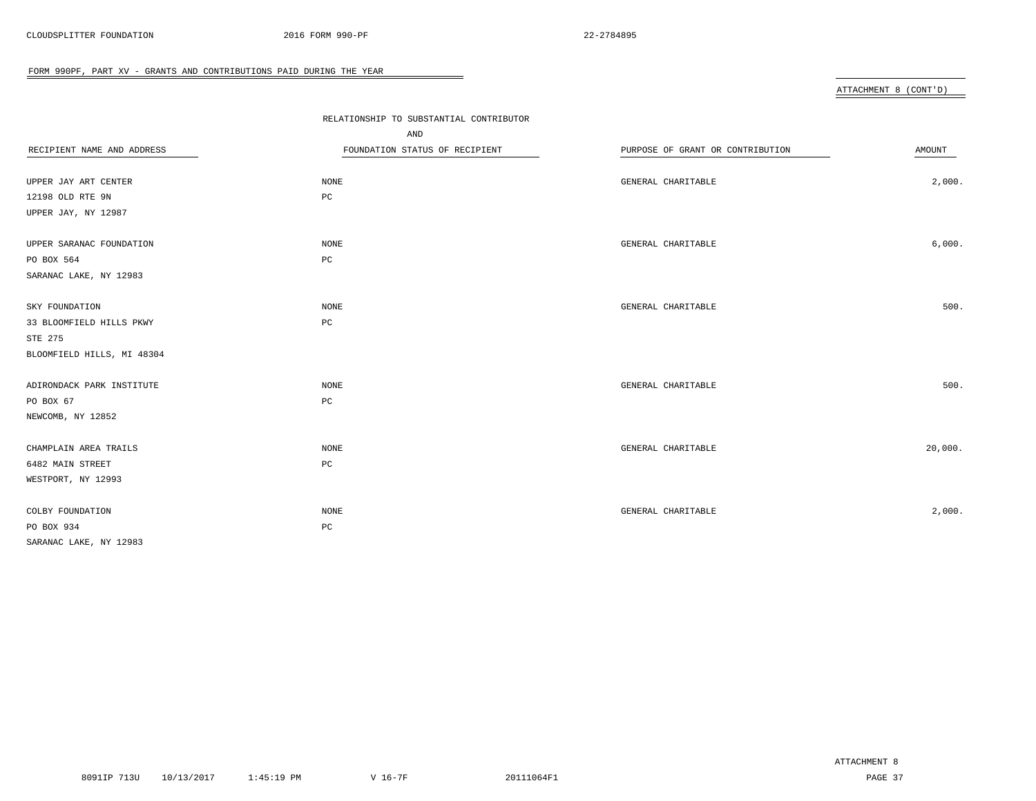| ATTACHMENT 8 (CONT'D) |  |  |
|-----------------------|--|--|
|                       |  |  |

| RECIPIENT NAME AND ADDRESS | RELATIONSHIP TO SUBSTANTIAL CONTRIBUTOR<br>AND<br>FOUNDATION STATUS OF RECIPIENT | PURPOSE OF GRANT OR CONTRIBUTION | AMOUNT  |
|----------------------------|----------------------------------------------------------------------------------|----------------------------------|---------|
| UPPER JAY ART CENTER       | $\rm{NONE}$                                                                      | GENERAL CHARITABLE               | 2,000.  |
| 12198 OLD RTE 9N           | $_{\rm PC}$                                                                      |                                  |         |
| UPPER JAY, NY 12987        |                                                                                  |                                  |         |
| UPPER SARANAC FOUNDATION   | $\rm{NONE}$                                                                      | GENERAL CHARITABLE               | 6,000.  |
| PO BOX 564                 | PC                                                                               |                                  |         |
| SARANAC LAKE, NY 12983     |                                                                                  |                                  |         |
| SKY FOUNDATION             | NONE                                                                             | GENERAL CHARITABLE               | 500.    |
| 33 BLOOMFIELD HILLS PKWY   | $_{\rm PC}$                                                                      |                                  |         |
| STE 275                    |                                                                                  |                                  |         |
| BLOOMFIELD HILLS, MI 48304 |                                                                                  |                                  |         |
| ADIRONDACK PARK INSTITUTE  | $\rm{NONE}$                                                                      | GENERAL CHARITABLE               | 500.    |
| PO BOX 67                  | $_{\rm PC}$                                                                      |                                  |         |
| NEWCOMB, NY 12852          |                                                                                  |                                  |         |
| CHAMPLAIN AREA TRAILS      | NONE                                                                             | GENERAL CHARITABLE               | 20,000. |
| 6482 MAIN STREET           | $_{\rm PC}$                                                                      |                                  |         |
| WESTPORT, NY 12993         |                                                                                  |                                  |         |
| COLBY FOUNDATION           | NONE                                                                             | GENERAL CHARITABLE               | 2,000.  |
| PO BOX 934                 | $_{\rm PC}$                                                                      |                                  |         |
| SARANAC LAKE, NY 12983     |                                                                                  |                                  |         |

 $\overline{\phantom{0}}$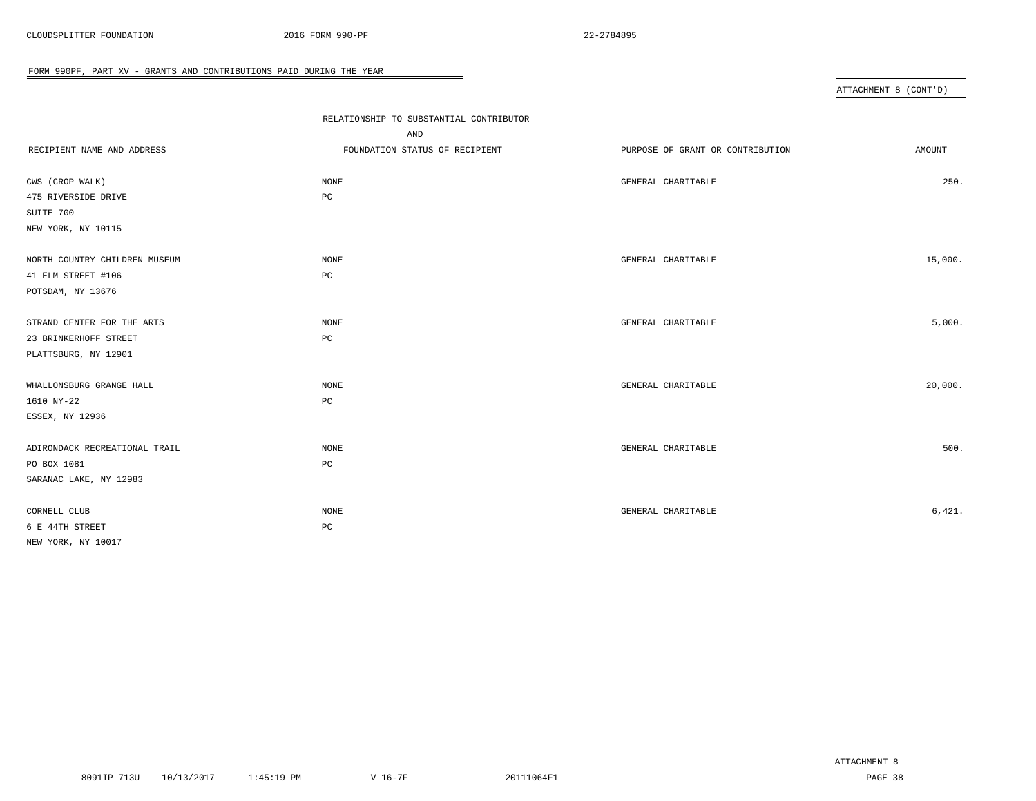| ATTACHMENT 8 (CONT'D) |
|-----------------------|
|-----------------------|

| RECIPIENT NAME AND ADDRESS<br>CWS (CROP WALK)                               | RELATIONSHIP TO SUBSTANTIAL CONTRIBUTOR<br>AND<br>FOUNDATION STATUS OF RECIPIENT<br>$\rm{NONE}$ | PURPOSE OF GRANT OR CONTRIBUTION<br>GENERAL CHARITABLE | AMOUNT<br>250. |
|-----------------------------------------------------------------------------|-------------------------------------------------------------------------------------------------|--------------------------------------------------------|----------------|
| 475 RIVERSIDE DRIVE<br>SUITE 700                                            | PC                                                                                              |                                                        |                |
| NEW YORK, NY 10115                                                          |                                                                                                 |                                                        |                |
| NORTH COUNTRY CHILDREN MUSEUM<br>41 ELM STREET #106<br>POTSDAM, NY 13676    | NONE<br>PC                                                                                      | GENERAL CHARITABLE                                     | 15,000.        |
| STRAND CENTER FOR THE ARTS<br>23 BRINKERHOFF STREET<br>PLATTSBURG, NY 12901 | NONE<br>$_{\rm PC}$                                                                             | GENERAL CHARITABLE                                     | 5,000.         |
| WHALLONSBURG GRANGE HALL<br>1610 NY-22<br>ESSEX, NY 12936                   | NONE<br>$_{\rm PC}$                                                                             | GENERAL CHARITABLE                                     | 20,000.        |
| ADIRONDACK RECREATIONAL TRAIL<br>PO BOX 1081<br>SARANAC LAKE, NY 12983      | NONE<br>$_{\rm PC}$                                                                             | GENERAL CHARITABLE                                     | 500.           |
| CORNELL CLUB<br>6 E 44TH STREET<br>NEW YORK, NY 10017                       | $\rm{NONE}$<br>$_{\rm PC}$                                                                      | GENERAL CHARITABLE                                     | 6,421.         |

 $\overline{\phantom{0}}$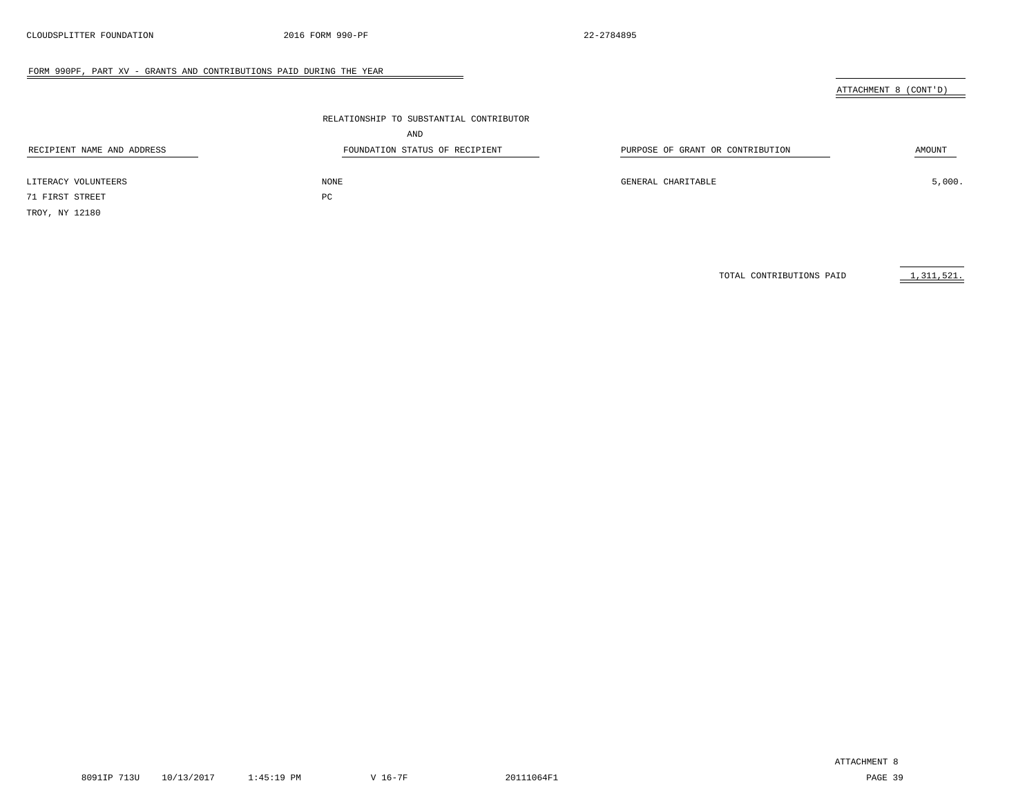ATTACHMENT 8 (CONT'D)

|                            | RELATIONSHIP TO SUBSTANTIAL CONTRIBUTOR |                                  |        |
|----------------------------|-----------------------------------------|----------------------------------|--------|
|                            | AND                                     |                                  |        |
| RECIPIENT NAME AND ADDRESS | FOUNDATION STATUS OF RECIPIENT          | PURPOSE OF GRANT OR CONTRIBUTION | AMOUNT |
|                            |                                         |                                  |        |
| LITERACY VOLUNTEERS        | <b>NONE</b>                             | GENERAL CHARITABLE               | 5,000. |
| 71 FIRST STREET            | PC                                      |                                  |        |
| TROY, NY 12180             |                                         |                                  |        |
|                            |                                         |                                  |        |

 $\overline{\phantom{a}}$ 

TOTAL CONTRIBUTIONS PAID 1,311,521.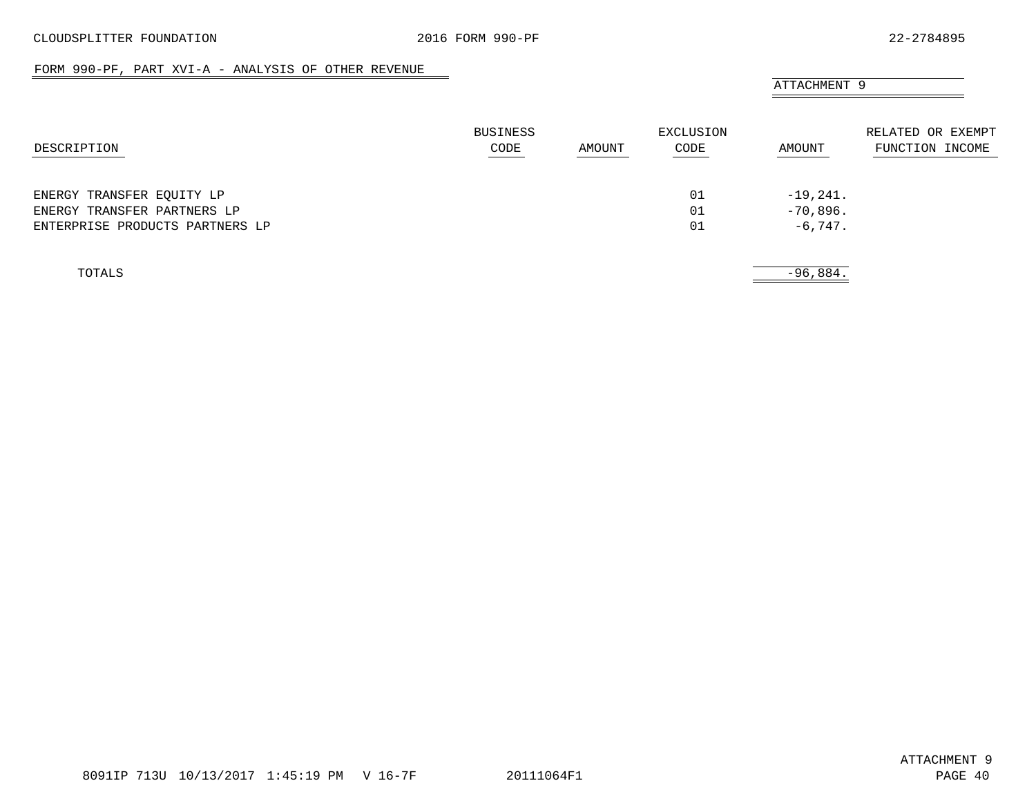#### FORM 990-PF, PART XVI-A - ANALYSIS OF OTHER REVENUE

<span id="page-38-0"></span>

|                                 | BUSINESS |        | EXCLUSION |            | RELATED OR EXEMPT |
|---------------------------------|----------|--------|-----------|------------|-------------------|
| DESCRIPTION                     | CODE     | AMOUNT | CODE      | AMOUNT     | FUNCTION INCOME   |
| ENERGY TRANSFER EQUITY LP       |          |        | 01        | $-19,241.$ |                   |
| ENERGY TRANSFER PARTNERS LP     |          |        | 01        | $-70,896.$ |                   |
| ENTERPRISE PRODUCTS PARTNERS LP |          |        | 01        | $-6,747.$  |                   |
| TOTALS                          |          |        |           | $-96,884.$ |                   |

8091IP 713U 10/13/2017 1:45:19 PM V 16-7F 20111064F1 PAGE 40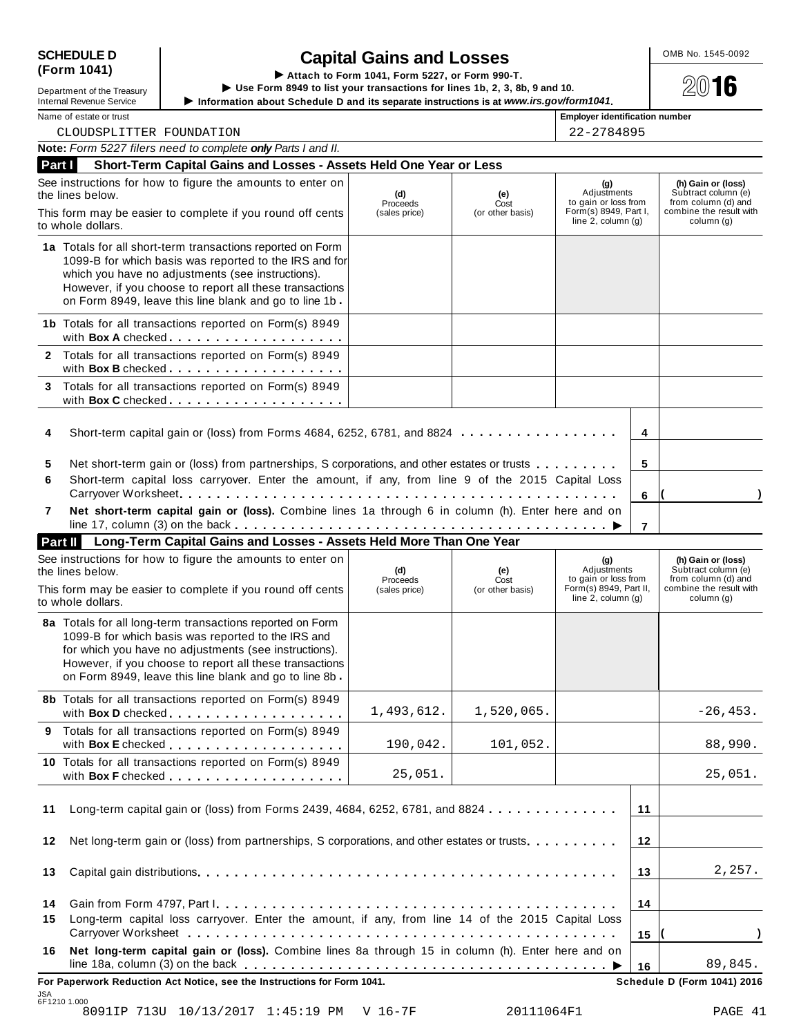# **(Form 1041)**

# **SCHEDULE D** OMB No. 1545-0092 **Capital Gains and Losses**

SCHEDULE D<br>
(Form 1041)<br>
Department of the Treasury<br>
Information about Schedule D and its separate instructions is at *www.irs.gov/form1041.*<br>
Information about Schedule D and its separate instructions is at *www.irs.gov/* Information about Schedule D and its separate instructions is at www.irs.gov/form1041.<br>Employer identification number

|  | Name of estate or trust |  |  |
|--|-------------------------|--|--|

CLOUDSPLITTER FOUNDATION 22-2784895

|          | Note: Form 5227 filers need to complete only Parts I and II.                                                                                                                                                                                                                                   |                                  |                                 |                                                                      |          |                                                                                             |  |  |
|----------|------------------------------------------------------------------------------------------------------------------------------------------------------------------------------------------------------------------------------------------------------------------------------------------------|----------------------------------|---------------------------------|----------------------------------------------------------------------|----------|---------------------------------------------------------------------------------------------|--|--|
| Part I   | Short-Term Capital Gains and Losses - Assets Held One Year or Less                                                                                                                                                                                                                             |                                  |                                 |                                                                      |          |                                                                                             |  |  |
|          | See instructions for how to figure the amounts to enter on<br>the lines below.<br>This form may be easier to complete if you round off cents                                                                                                                                                   | (d)<br>Proceeds<br>(sales price) | (e)<br>Cost<br>(or other basis) | (g)<br>Adjustments<br>to gain or loss from<br>Form(s) 8949, Part I,  |          | (h) Gain or (loss)<br>Subtract column (e)<br>from column (d) and<br>combine the result with |  |  |
|          | to whole dollars.                                                                                                                                                                                                                                                                              |                                  |                                 | line $2$ , column $(g)$                                              |          | column (g)                                                                                  |  |  |
|          | 1a Totals for all short-term transactions reported on Form<br>1099-B for which basis was reported to the IRS and for<br>which you have no adjustments (see instructions).<br>However, if you choose to report all these transactions<br>on Form 8949, leave this line blank and go to line 1b. |                                  |                                 |                                                                      |          |                                                                                             |  |  |
|          | 1b Totals for all transactions reported on Form(s) 8949<br>with Box A checked.                                                                                                                                                                                                                 |                                  |                                 |                                                                      |          |                                                                                             |  |  |
|          | 2 Totals for all transactions reported on Form(s) 8949<br>with Box B checked                                                                                                                                                                                                                   |                                  |                                 |                                                                      |          |                                                                                             |  |  |
| 3        | Totals for all transactions reported on Form(s) 8949                                                                                                                                                                                                                                           |                                  |                                 |                                                                      |          |                                                                                             |  |  |
| 4        | Short-term capital gain or (loss) from Forms 4684, 6252, 6781, and 8824                                                                                                                                                                                                                        |                                  |                                 |                                                                      | 4        |                                                                                             |  |  |
| 5<br>6   | Net short-term gain or (loss) from partnerships, S corporations, and other estates or trusts<br>Short-term capital loss carryover. Enter the amount, if any, from line 9 of the 2015 Capital Loss                                                                                              |                                  | 5<br>6                          |                                                                      |          |                                                                                             |  |  |
| 7        | Net short-term capital gain or (loss). Combine lines 1a through 6 in column (h). Enter here and on<br>$\overline{7}$                                                                                                                                                                           |                                  |                                 |                                                                      |          |                                                                                             |  |  |
| Part II  | Long-Term Capital Gains and Losses - Assets Held More Than One Year                                                                                                                                                                                                                            |                                  |                                 |                                                                      |          |                                                                                             |  |  |
|          | See instructions for how to figure the amounts to enter on<br>the lines below.<br>This form may be easier to complete if you round off cents                                                                                                                                                   | (d)<br>Proceeds<br>(sales price) | (e)<br>Cost<br>(or other basis) | (g)<br>Adjustments<br>to gain or loss from<br>Form(s) 8949, Part II, |          | (h) Gain or (loss)<br>Subtract column (e)<br>from column (d) and<br>combine the result with |  |  |
|          | to whole dollars.                                                                                                                                                                                                                                                                              |                                  |                                 | line $2$ , column $(g)$                                              |          | column (g)                                                                                  |  |  |
|          | 8a Totals for all long-term transactions reported on Form<br>1099-B for which basis was reported to the IRS and<br>for which you have no adjustments (see instructions).<br>However, if you choose to report all these transactions<br>on Form 8949, leave this line blank and go to line 8b - |                                  |                                 |                                                                      |          |                                                                                             |  |  |
|          | 8b Totals for all transactions reported on Form(s) 8949<br>with Box D checked                                                                                                                                                                                                                  | 1,493,612.                       | 1,520,065.                      |                                                                      |          | $-26, 453.$                                                                                 |  |  |
| 9        | Totals for all transactions reported on Form(s) 8949                                                                                                                                                                                                                                           | 190,042.                         | 101,052.                        |                                                                      |          | 88,990.                                                                                     |  |  |
|          | 10 Totals for all transactions reported on Form(s) 8949                                                                                                                                                                                                                                        | 25,051.                          |                                 |                                                                      |          | 25,051.                                                                                     |  |  |
| 11       | Long-term capital gain or (loss) from Forms 2439, 4684, 6252, 6781, and 8824                                                                                                                                                                                                                   |                                  |                                 |                                                                      | 11       |                                                                                             |  |  |
| 12       | Net long-term gain or (loss) from partnerships, S corporations, and other estates or trusts                                                                                                                                                                                                    |                                  |                                 |                                                                      | 12       |                                                                                             |  |  |
| 13       |                                                                                                                                                                                                                                                                                                |                                  |                                 |                                                                      | 13       | 2,257.                                                                                      |  |  |
| 14<br>15 | Long-term capital loss carryover. Enter the amount, if any, from line 14 of the 2015 Capital Loss                                                                                                                                                                                              |                                  |                                 |                                                                      | 14<br>15 |                                                                                             |  |  |
|          | Net long-term capital gain or (loss). Combine lines 8a through 15 in column (h). Enter here and on                                                                                                                                                                                             |                                  |                                 |                                                                      |          |                                                                                             |  |  |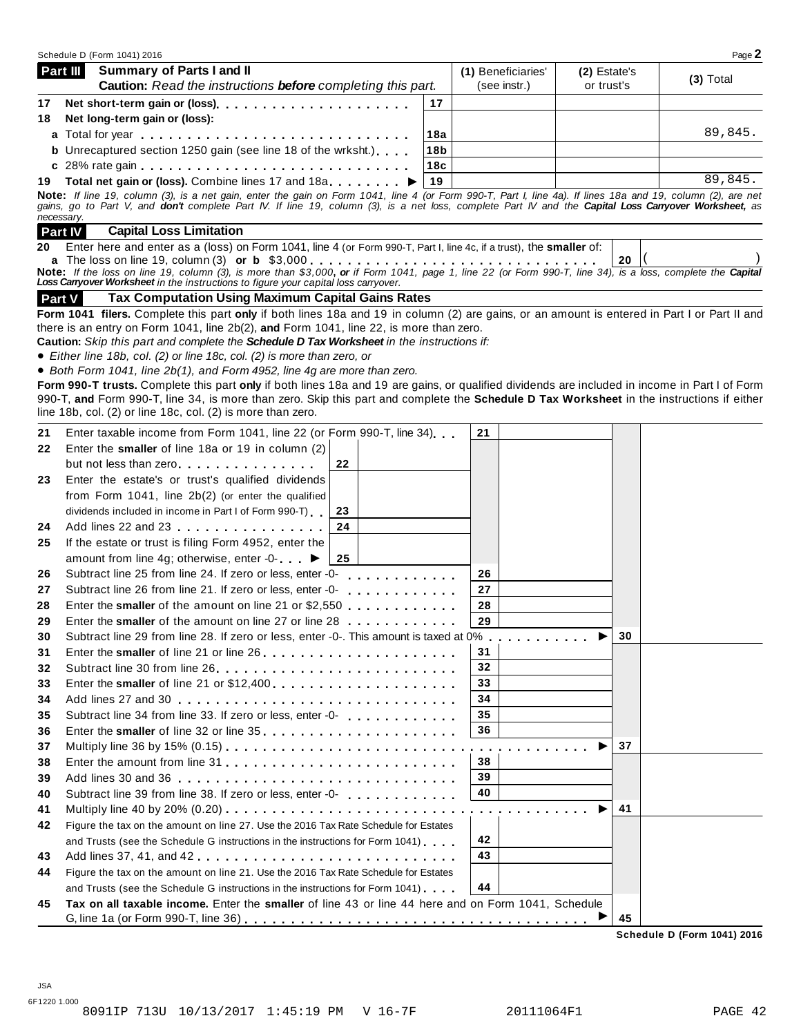|    | Schedule D (Form 1041) 2016                                                                                                                                                                                                                                                                                          |                    |                     |  |           | Page 2  |
|----|----------------------------------------------------------------------------------------------------------------------------------------------------------------------------------------------------------------------------------------------------------------------------------------------------------------------|--------------------|---------------------|--|-----------|---------|
|    | <b>Summary of Parts I and II</b><br>Part III                                                                                                                                                                                                                                                                         | (1) Beneficiaries' | (2) Estate's        |  | (3) Total |         |
|    | Caution: Read the instructions before completing this part.                                                                                                                                                                                                                                                          | (see instr.)       | or trust's          |  |           |         |
| 17 | Net short-term gain or (loss)<br>intervals and intervals are the short term of the same of the same intervals and the same intervals are short that the same intervals are short that the same intervals are short that the shor                                                                                     | 17                 |                     |  |           |         |
| 18 | Net long-term gain or (loss):                                                                                                                                                                                                                                                                                        |                    |                     |  |           |         |
|    |                                                                                                                                                                                                                                                                                                                      | 18a                |                     |  |           | 89,845. |
|    | <b>b</b> Unrecaptured section 1250 gain (see line 18 of the wrksht.)                                                                                                                                                                                                                                                 | 18 <sub>b</sub>    |                     |  |           |         |
|    |                                                                                                                                                                                                                                                                                                                      | 18c                |                     |  |           |         |
|    |                                                                                                                                                                                                                                                                                                                      |                    |                     |  | 89,845.   |         |
|    | Note: If line 19, column (3), is a net gain, enter the gain on Form 1041, line 4 (or Form 990-T, Part I, line 4a). If lines 18a and 19, column (2), are net<br>gains, go to Part V, and don't complete Part IV. If line 19, column (3), is a net loss, complete Part IV and the Capital Loss Carryover Worksheet, as |                    |                     |  |           |         |
|    | necessary.                                                                                                                                                                                                                                                                                                           |                    |                     |  |           |         |
|    | <b>Part IV</b><br><b>Capital Loss Limitation</b>                                                                                                                                                                                                                                                                     |                    |                     |  |           |         |
| 20 | Enter here and enter as a (loss) on Form 1041, line 4 (or Form 990-T, Part I, line 4c, if a trust), the smaller of:                                                                                                                                                                                                  |                    |                     |  |           |         |
|    |                                                                                                                                                                                                                                                                                                                      |                    |                     |  | 20        |         |
|    | Note: If the loss on line 19, column (3), is more than \$3,000, or if Form 1041, page 1, line 22 (or Form 990-T, line 34), is a loss, complete the Capital<br>Loss Carryover Worksheet in the instructions to figure your capital loss carryover.                                                                    |                    |                     |  |           |         |
|    | <b>Tax Computation Using Maximum Capital Gains Rates</b><br><b>Part V</b>                                                                                                                                                                                                                                            |                    |                     |  |           |         |
|    | Form 1041 filers. Complete this part only if both lines 18a and 19 in column (2) are gains, or an amount is entered in Part I or Part II and                                                                                                                                                                         |                    |                     |  |           |         |
|    | there is an entry on Form 1041, line 2b(2), and Form 1041, line 22, is more than zero.                                                                                                                                                                                                                               |                    |                     |  |           |         |
|    | Caution: Skip this part and complete the Schedule D Tax Worksheet in the instructions if:                                                                                                                                                                                                                            |                    |                     |  |           |         |
|    | • Either line 18b, col. (2) or line 18c, col. (2) is more than zero, or                                                                                                                                                                                                                                              |                    |                     |  |           |         |
|    | • Both Form 1041, line 2b(1), and Form 4952, line 4g are more than zero.                                                                                                                                                                                                                                             |                    |                     |  |           |         |
|    | Form 990-T trusts. Complete this part only if both lines 18a and 19 are gains, or qualified dividends are included in income in Part I of Form                                                                                                                                                                       |                    |                     |  |           |         |
|    | 990-T, and Form 990-T, line 34, is more than zero. Skip this part and complete the Schedule D Tax Worksheet in the instructions if either                                                                                                                                                                            |                    |                     |  |           |         |
|    | line 18b, col. (2) or line 18c, col. (2) is more than zero.                                                                                                                                                                                                                                                          |                    |                     |  |           |         |
| 21 | Enter taxable income from Form 1041, line 22 (or Form 990-T, line 34)                                                                                                                                                                                                                                                |                    | 21                  |  |           |         |
| 22 | Enter the smaller of line 18a or 19 in column (2)                                                                                                                                                                                                                                                                    |                    |                     |  |           |         |
|    | 22<br>but not less than zero                                                                                                                                                                                                                                                                                         |                    |                     |  |           |         |
| 23 | Enter the estate's or trust's qualified dividends                                                                                                                                                                                                                                                                    |                    |                     |  |           |         |
|    | from Form 1041, line 2b(2) (or enter the qualified                                                                                                                                                                                                                                                                   |                    |                     |  |           |         |
|    | dividends included in income in Part I of Form 990-T)<br>23                                                                                                                                                                                                                                                          |                    |                     |  |           |         |
| 24 | 24<br>Add lines 22 and 23                                                                                                                                                                                                                                                                                            |                    |                     |  |           |         |
| 25 | If the estate or trust is filing Form 4952, enter the                                                                                                                                                                                                                                                                |                    |                     |  |           |         |
|    | amount from line 4g; otherwise, enter -0- $\blacktriangleright$<br>25                                                                                                                                                                                                                                                |                    |                     |  |           |         |
| 26 | Subtract line 25 from line 24. If zero or less, enter -0-<br>ana ana sina na sana sa                                                                                                                                                                                                                                 |                    | 26                  |  |           |         |
| 27 | Subtract line 26 from line 21. If zero or less, enter -0-                                                                                                                                                                                                                                                            |                    | 27                  |  |           |         |
| 28 | Enter the smaller of the amount on line 21 or $$2,550$                                                                                                                                                                                                                                                               |                    | 28                  |  |           |         |
| 29 | Enter the smaller of the amount on line 27 or line 28                                                                                                                                                                                                                                                                |                    | 29                  |  |           |         |
| 30 | Subtract line 29 from line 28. If zero or less, enter -0-. This amount is taxed at 0%                                                                                                                                                                                                                                |                    | .                   |  | 30        |         |
| 31 | Enter the smaller of line 21 or line 26                                                                                                                                                                                                                                                                              |                    | 31                  |  |           |         |
| 32 |                                                                                                                                                                                                                                                                                                                      |                    | 32                  |  |           |         |
| 33 |                                                                                                                                                                                                                                                                                                                      |                    | 33                  |  |           |         |
| 34 |                                                                                                                                                                                                                                                                                                                      |                    | 34                  |  |           |         |
| 35 |                                                                                                                                                                                                                                                                                                                      |                    | 35                  |  |           |         |
| 36 |                                                                                                                                                                                                                                                                                                                      |                    | 36                  |  |           |         |
| 37 |                                                                                                                                                                                                                                                                                                                      |                    | $\alpha$ , $\alpha$ |  | 37        |         |
| 38 |                                                                                                                                                                                                                                                                                                                      |                    | 38                  |  |           |         |
| 39 |                                                                                                                                                                                                                                                                                                                      |                    | 39                  |  |           |         |
| 40 |                                                                                                                                                                                                                                                                                                                      |                    | 40                  |  |           |         |
| 41 |                                                                                                                                                                                                                                                                                                                      |                    |                     |  | 41        |         |
| 42 | Figure the tax on the amount on line 27. Use the 2016 Tax Rate Schedule for Estates                                                                                                                                                                                                                                  |                    |                     |  |           |         |
|    | and Trusts (see the Schedule G instructions in the instructions for Form 1041).                                                                                                                                                                                                                                      |                    | 42                  |  |           |         |
| 43 | Add lines 37, 41, and 42                                                                                                                                                                                                                                                                                             |                    | 43                  |  |           |         |
| 44 | Figure the tax on the amount on line 21. Use the 2016 Tax Rate Schedule for Estates                                                                                                                                                                                                                                  |                    |                     |  |           |         |
|    | and Trusts (see the Schedule G instructions in the instructions for Form 1041)                                                                                                                                                                                                                                       |                    | 44                  |  |           |         |
|    |                                                                                                                                                                                                                                                                                                                      |                    |                     |  |           |         |
| 45 | Tax on all taxable income. Enter the smaller of line 43 or line 44 here and on Form 1041, Schedule                                                                                                                                                                                                                   |                    |                     |  |           |         |

**Schedule D (Form 1041) 2016**

JSA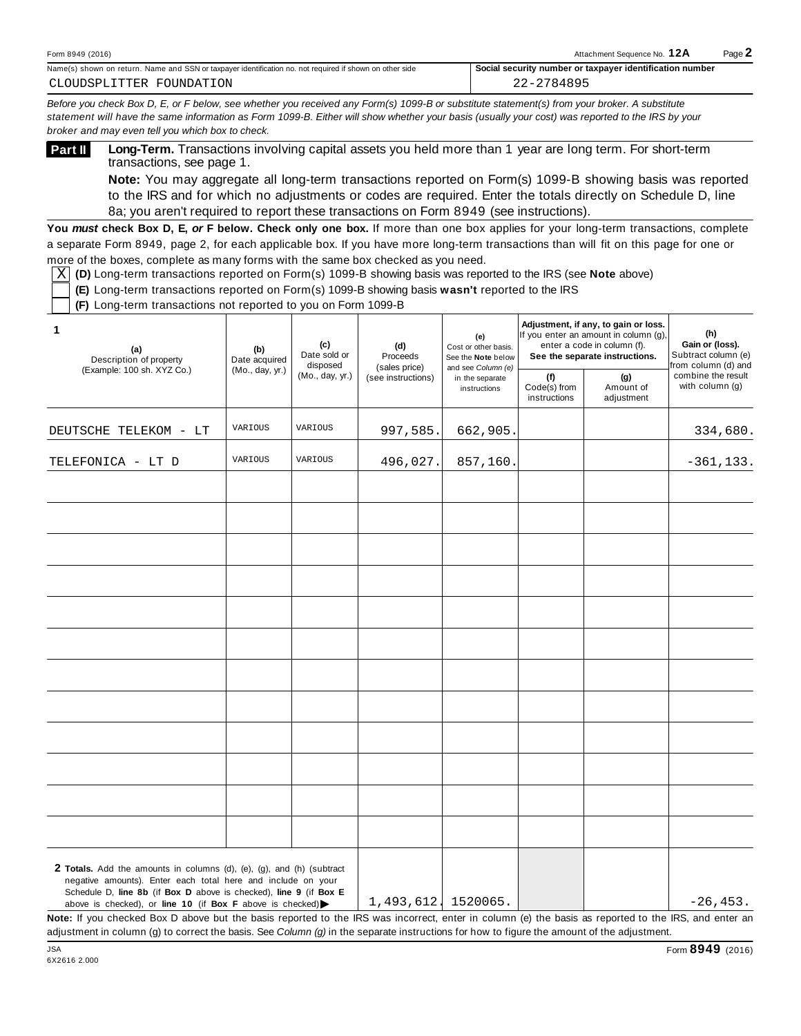| Form 8949 (2016)                                                                                         | .2A<br>Attachment Sequence No.                                  | $P$ age |
|----------------------------------------------------------------------------------------------------------|-----------------------------------------------------------------|---------|
| Name(s) shown on return. Name and SSN or taxpayer identification no, not required if shown on other side | $\mid$ Social security number or taxpayer identification number |         |

Before you check Box D, E, or F below, see whether you received any Form(s) 1099-B or substitute statement(s) from your broker. A substitute statement will have the same information as Form 1099-B. Either will show whether your basis (usually your cost) was reported to the IRS by your *broker and may even tell you which box to check.*

**Long-Term.** Transactions involving capital assets you held more than 1 year are long term. For short-term transactions, see page 1. **Part II**

**Note:** You may aggregate all long-term transactions reported on Form(s) 1099-B showing basis was reported to the IRS and for which no adjustments or codes are required. Enter the totals directly on Schedule D, line 8a; you aren't required to report these transactions on Form 8949 (see instructions).

**You** *must* **check Box D, E,** *or* **F below. Check only one box.** If more than one box applies for your long-term transactions, complete a separate Form 8949, page 2, for each applicable box. If you have more long-term transactions than will fit on this page for one or more of the boxes, complete as many forms with the same box checked as you need.

 $\overline{\text{X}}$  (D) Long-term transactions reported on Form(s) 1099-B showing basis was reported to the IRS (see **Note** above)

**(E)** Long-term transactions reported on Form(s) 1099-B showing basis **wasn't** reported to the IRS

**(F)** Long-term transactions not reported to you on Form 1099-B

| 1<br>(a)<br>Description of property                                                                                                   | (b)<br>Date acquired | (c)<br>Date sold or<br>disposed | (d)<br>Proceeds<br>(sales price) | (e)<br>Cost or other basis.<br>See the Note below<br>and see Column (e)<br>in the separate<br>instructions | Adjustment, if any, to gain or loss.<br>If you enter an amount in column (g),<br>enter a code in column (f).<br>See the separate instructions. | (h)<br>Gain or (loss).<br>Subtract column (e)<br>from column (d) and<br>combine the result<br>with column (g) |              |
|---------------------------------------------------------------------------------------------------------------------------------------|----------------------|---------------------------------|----------------------------------|------------------------------------------------------------------------------------------------------------|------------------------------------------------------------------------------------------------------------------------------------------------|---------------------------------------------------------------------------------------------------------------|--------------|
| (Example: 100 sh. XYZ Co.)                                                                                                            | (Mo., day, yr.)      | (Mo., day, yr.)                 | (see instructions)               |                                                                                                            | (f)<br>(g)<br>Code(s) from<br>Amount of<br>adjustment<br>instructions                                                                          |                                                                                                               |              |
| DEUTSCHE TELEKOM - LT                                                                                                                 | VARIOUS              | VARIOUS                         | 997,585.                         | 662,905.                                                                                                   |                                                                                                                                                |                                                                                                               | 334,680.     |
| TELEFONICA - LT D                                                                                                                     | VARIOUS              | VARIOUS                         | 496,027.                         | 857,160.                                                                                                   |                                                                                                                                                |                                                                                                               | $-361, 133.$ |
|                                                                                                                                       |                      |                                 |                                  |                                                                                                            |                                                                                                                                                |                                                                                                               |              |
|                                                                                                                                       |                      |                                 |                                  |                                                                                                            |                                                                                                                                                |                                                                                                               |              |
|                                                                                                                                       |                      |                                 |                                  |                                                                                                            |                                                                                                                                                |                                                                                                               |              |
|                                                                                                                                       |                      |                                 |                                  |                                                                                                            |                                                                                                                                                |                                                                                                               |              |
|                                                                                                                                       |                      |                                 |                                  |                                                                                                            |                                                                                                                                                |                                                                                                               |              |
|                                                                                                                                       |                      |                                 |                                  |                                                                                                            |                                                                                                                                                |                                                                                                               |              |
|                                                                                                                                       |                      |                                 |                                  |                                                                                                            |                                                                                                                                                |                                                                                                               |              |
|                                                                                                                                       |                      |                                 |                                  |                                                                                                            |                                                                                                                                                |                                                                                                               |              |
|                                                                                                                                       |                      |                                 |                                  |                                                                                                            |                                                                                                                                                |                                                                                                               |              |
|                                                                                                                                       |                      |                                 |                                  |                                                                                                            |                                                                                                                                                |                                                                                                               |              |
| 2 Totals. Add the amounts in columns (d), (e), (g), and (h) (subtract<br>negative amounts). Enter each total here and include on your |                      |                                 |                                  |                                                                                                            |                                                                                                                                                |                                                                                                               |              |

Schedule D, **line 8b** (if **Box D** above is checked), **line 9** (if **Box E**<br>above is checked), or **line 10** (if **Box F** above is checked)
In the schedule of **EQS** above but the bosin reported to the IP  $1,493,612$ , 1520065.

**Note:** If you checked Box D above but the basis reported to the IRS was incorrect, enter in column (e) the basis as reported to the IRS, and enter an adjustment in column (g) to correct the basis. See *Column (g)* in the separate instructions for how to figure the amount of the adjustment.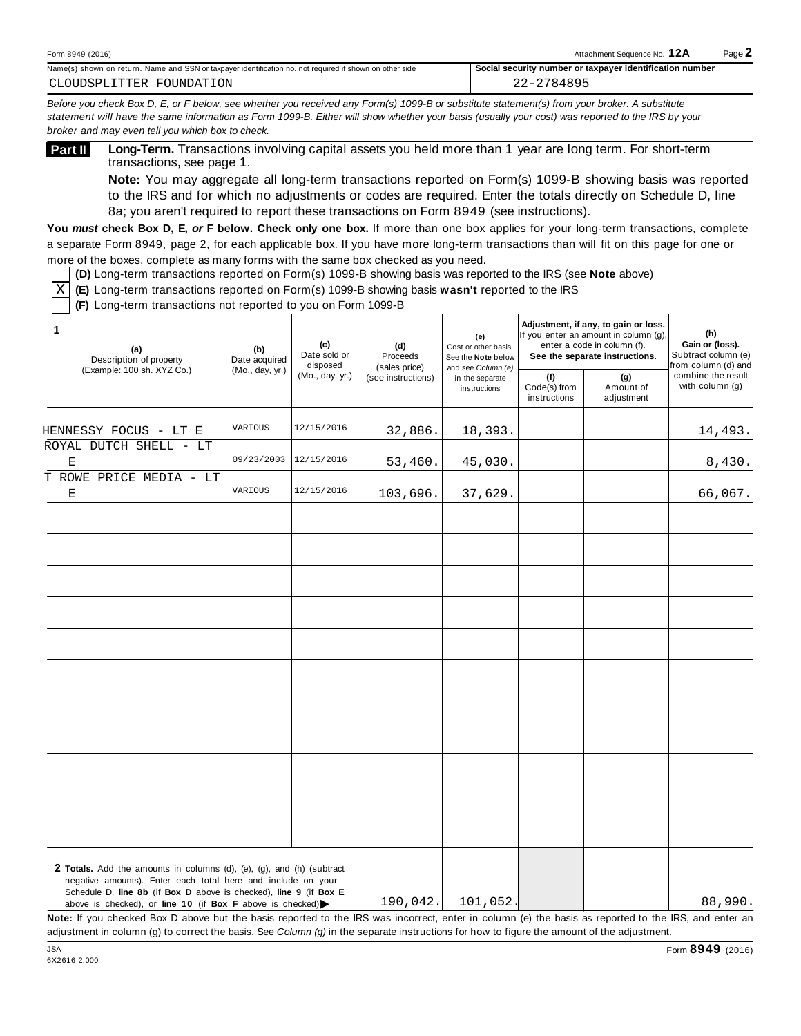| Form 8949<br>(2016)                                                                                                | Attachment Sequence No.                                               | $P$ age |
|--------------------------------------------------------------------------------------------------------------------|-----------------------------------------------------------------------|---------|
| Name(s)<br>. Name and SSN or taxpaver identification no, not required if shown on other side<br>i shown on return. | Social<br>r identification number<br>ll security number or taxpayer i |         |

Before you check Box D, E, or F below, see whether you received any Form(s) 1099-B or substitute statement(s) from your broker. A substitute statement will have the same information as Form 1099-B. Either will show whether your basis (usually your cost) was reported to the IRS by your *broker and may even tell you which box to check.*

**Long-Term.** Transactions involving capital assets you held more than 1 year are long term. For short-term transactions, see page 1. **Part II**

**Note:** You may aggregate all long-term transactions reported on Form(s) 1099-B showing basis was reported to the IRS and for which no adjustments or codes are required. Enter the totals directly on Schedule D, line 8a; you aren't required to report these transactions on Form 8949 (see instructions).

**You** *must* **check Box D, E,** *or* **F below. Check only one box.** If more than one box applies for your long-term transactions, complete a separate Form 8949, page 2, for each applicable box. If you have more long-term transactions than will fit on this page for one or more of the boxes, complete as many forms with the same box checked as you need.

**(D)** Long-term transactions reported on Form(s) 1099-B showing basis was reported to the IRS (see **Note** above)

**(E)** Long-term transactions reported on Form(s) 1099-B showing basis **wasn't** reported to the IRS X

**(F)** Long-term transactions not reported to you on Form 1099-B

| 1<br>(a)<br>Description of property                                                                                                                                                                               | (b)<br>Date acquired | (c)<br>Date sold or | (d)<br>Proceeds    |                                                       |                                     |                                |                                       |  |  | disposed<br>(sales price) | (e)<br>Cost or other basis.<br>See the Note below |  | Adjustment, if any, to gain or loss.<br>If you enter an amount in column (g),<br>enter a code in column (f).<br>See the separate instructions. | (h)<br>Gain or (loss).<br>Subtract column (e)<br>from column (d) and |
|-------------------------------------------------------------------------------------------------------------------------------------------------------------------------------------------------------------------|----------------------|---------------------|--------------------|-------------------------------------------------------|-------------------------------------|--------------------------------|---------------------------------------|--|--|---------------------------|---------------------------------------------------|--|------------------------------------------------------------------------------------------------------------------------------------------------|----------------------------------------------------------------------|
| (Example: 100 sh. XYZ Co.)                                                                                                                                                                                        | (Mo., day, yr.)      | (Mo., day, yr.)     | (see instructions) | and see Column (e)<br>in the separate<br>instructions | (f)<br>Code(s) from<br>instructions | (g)<br>Amount of<br>adjustment | combine the result<br>with column (g) |  |  |                           |                                                   |  |                                                                                                                                                |                                                                      |
| HENNESSY FOCUS - LT E                                                                                                                                                                                             | VARIOUS              | 12/15/2016          | 32,886.            | 18,393.                                               |                                     |                                | 14,493.                               |  |  |                           |                                                   |  |                                                                                                                                                |                                                                      |
| ROYAL DUTCH SHELL - LT<br>$\mathbf E$                                                                                                                                                                             | 09/23/2003           | 12/15/2016          | 53,460.            | 45,030.                                               |                                     |                                | 8,430.                                |  |  |                           |                                                   |  |                                                                                                                                                |                                                                      |
| T ROWE PRICE MEDIA - LT<br>$\mathbf E$                                                                                                                                                                            | VARIOUS              | 12/15/2016          | 103,696.           | 37,629.                                               |                                     |                                | 66,067.                               |  |  |                           |                                                   |  |                                                                                                                                                |                                                                      |
|                                                                                                                                                                                                                   |                      |                     |                    |                                                       |                                     |                                |                                       |  |  |                           |                                                   |  |                                                                                                                                                |                                                                      |
|                                                                                                                                                                                                                   |                      |                     |                    |                                                       |                                     |                                |                                       |  |  |                           |                                                   |  |                                                                                                                                                |                                                                      |
|                                                                                                                                                                                                                   |                      |                     |                    |                                                       |                                     |                                |                                       |  |  |                           |                                                   |  |                                                                                                                                                |                                                                      |
|                                                                                                                                                                                                                   |                      |                     |                    |                                                       |                                     |                                |                                       |  |  |                           |                                                   |  |                                                                                                                                                |                                                                      |
|                                                                                                                                                                                                                   |                      |                     |                    |                                                       |                                     |                                |                                       |  |  |                           |                                                   |  |                                                                                                                                                |                                                                      |
|                                                                                                                                                                                                                   |                      |                     |                    |                                                       |                                     |                                |                                       |  |  |                           |                                                   |  |                                                                                                                                                |                                                                      |
|                                                                                                                                                                                                                   |                      |                     |                    |                                                       |                                     |                                |                                       |  |  |                           |                                                   |  |                                                                                                                                                |                                                                      |
|                                                                                                                                                                                                                   |                      |                     |                    |                                                       |                                     |                                |                                       |  |  |                           |                                                   |  |                                                                                                                                                |                                                                      |
|                                                                                                                                                                                                                   |                      |                     |                    |                                                       |                                     |                                |                                       |  |  |                           |                                                   |  |                                                                                                                                                |                                                                      |
|                                                                                                                                                                                                                   |                      |                     |                    |                                                       |                                     |                                |                                       |  |  |                           |                                                   |  |                                                                                                                                                |                                                                      |
|                                                                                                                                                                                                                   |                      |                     |                    |                                                       |                                     |                                |                                       |  |  |                           |                                                   |  |                                                                                                                                                |                                                                      |
| <b>2 Totals.</b> Add the amounts in columns (d), (e), (g), and (h) (subtract<br>negative amounts). Enter each total here and include on your<br>Schedule D. line 8b (if Box D above is checked). line 9 (if Box E |                      |                     |                    |                                                       |                                     |                                |                                       |  |  |                           |                                                   |  |                                                                                                                                                |                                                                      |

Schedule D, **line 8b** (if **Box D** above is checked), **line 9** (if **Box E** above is checked), or **line 10** (if **Box F** above is checked)  $\blacktriangleright$ 

 $190,042.$  101,052.  $|$  88,990.

**Note:** If you checked Box D above but the basis reported to the IRS was incorrect, enter in column (e) the basis as reported to the IRS, and enter an adjustment in column (g) to correct the basis. See *Column (g)* in the separate instructions for how to figure the amount of the adjustment.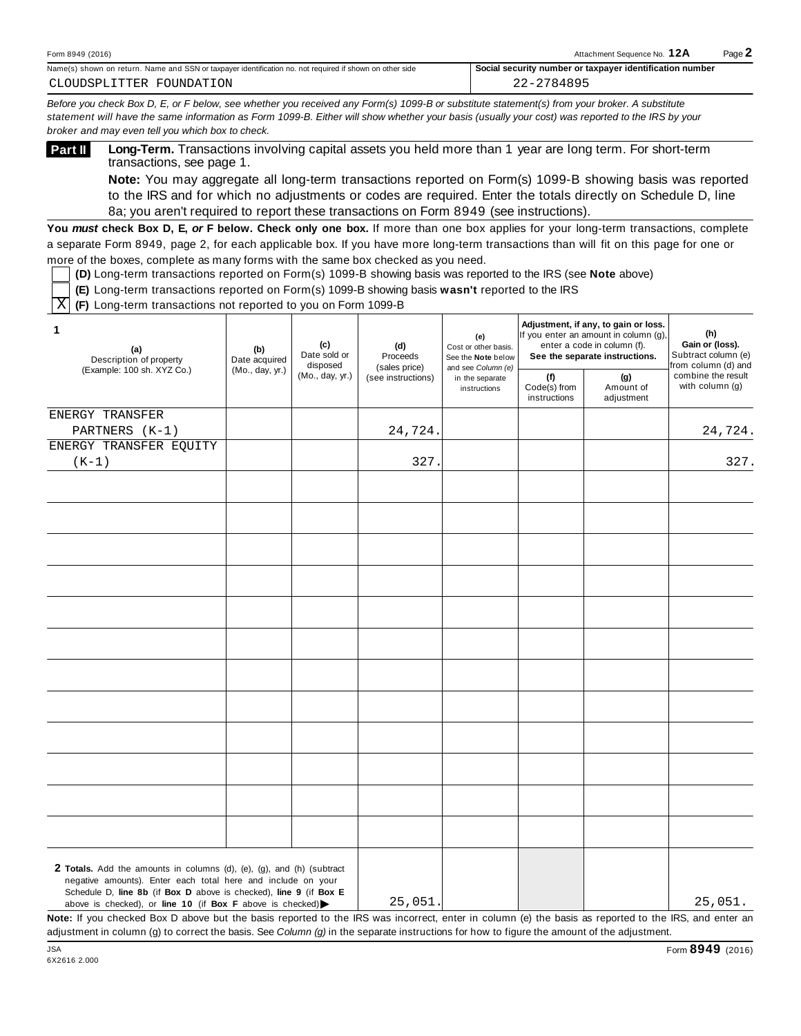| Form 8949 (2016)                                                                                         | Attachment Sequence No.                                  | $P$ age |
|----------------------------------------------------------------------------------------------------------|----------------------------------------------------------|---------|
| Name(s) shown on return. Name and SSN or taxpayer identification no, not required if shown on other side | Social security number or taxpayer identification number |         |

Before you check Box D, E, or F below, see whether you received any Form(s) 1099-B or substitute statement(s) from your broker. A substitute statement will have the same information as Form 1099-B. Either will show whether your basis (usually your cost) was reported to the IRS by your *broker and may even tell you which box to check.*

**Long-Term.** Transactions involving capital assets you held more than 1 year are long term. For short-term transactions, see page 1. **Part II**

**Note:** You may aggregate all long-term transactions reported on Form(s) 1099-B showing basis was reported to the IRS and for which no adjustments or codes are required. Enter the totals directly on Schedule D, line 8a; you aren't required to report these transactions on Form 8949 (see instructions).

**You** *must* **check Box D, E,** *or* **F below. Check only one box.** If more than one box applies for your long-term transactions, complete a separate Form 8949, page 2, for each applicable box. If you have more long-term transactions than will fit on this page for one or more of the boxes, complete as many forms with the same box checked as you need.

**(D)** Long-term transactions reported on Form(s) 1099-B showing basis was reported to the IRS (see **Note** above)

**(E)** Long-term transactions reported on Form(s) 1099-B showing basis **wasn't** reported to the IRS

**(F)** Long-term transactions not reported to you on Form 1099-B  $\overline{\mathbf{X}}$ 

| 1<br>(a)<br>Description of property                                                                                                                                                                        | (b)<br>Date acquired | (c)<br>Date sold or<br>disposed | (d)<br>Proceeds    | (sales price)                   |  |  | (e)                                   | Cost or other basis.<br>See the Note below<br>and see Column (e) |                                       | Adjustment, if any, to gain or loss.<br>If you enter an amount in column (g),<br>enter a code in column (f).<br>See the separate instructions. | (h)<br>Gain or (loss).<br>Subtract column (e)<br>from column (d) and |  |
|------------------------------------------------------------------------------------------------------------------------------------------------------------------------------------------------------------|----------------------|---------------------------------|--------------------|---------------------------------|--|--|---------------------------------------|------------------------------------------------------------------|---------------------------------------|------------------------------------------------------------------------------------------------------------------------------------------------|----------------------------------------------------------------------|--|
| (Example: 100 sh. XYZ Co.)                                                                                                                                                                                 | (Mo., day, yr.)      | (Mo., day, yr.)                 | (see instructions) | in the separate<br>instructions |  |  | (f)<br>$Code(s)$ from<br>instructions | (g)<br>Amount of<br>adjustment                                   | combine the result<br>with column (g) |                                                                                                                                                |                                                                      |  |
| ENERGY TRANSFER                                                                                                                                                                                            |                      |                                 |                    |                                 |  |  |                                       |                                                                  |                                       |                                                                                                                                                |                                                                      |  |
| PARTNERS (K-1)<br>ENERGY TRANSFER EQUITY                                                                                                                                                                   |                      |                                 | 24,724.            |                                 |  |  | 24,724.                               |                                                                  |                                       |                                                                                                                                                |                                                                      |  |
| $(K-1)$                                                                                                                                                                                                    |                      |                                 | 327.               |                                 |  |  | 327.                                  |                                                                  |                                       |                                                                                                                                                |                                                                      |  |
|                                                                                                                                                                                                            |                      |                                 |                    |                                 |  |  |                                       |                                                                  |                                       |                                                                                                                                                |                                                                      |  |
|                                                                                                                                                                                                            |                      |                                 |                    |                                 |  |  |                                       |                                                                  |                                       |                                                                                                                                                |                                                                      |  |
|                                                                                                                                                                                                            |                      |                                 |                    |                                 |  |  |                                       |                                                                  |                                       |                                                                                                                                                |                                                                      |  |
|                                                                                                                                                                                                            |                      |                                 |                    |                                 |  |  |                                       |                                                                  |                                       |                                                                                                                                                |                                                                      |  |
|                                                                                                                                                                                                            |                      |                                 |                    |                                 |  |  |                                       |                                                                  |                                       |                                                                                                                                                |                                                                      |  |
|                                                                                                                                                                                                            |                      |                                 |                    |                                 |  |  |                                       |                                                                  |                                       |                                                                                                                                                |                                                                      |  |
|                                                                                                                                                                                                            |                      |                                 |                    |                                 |  |  |                                       |                                                                  |                                       |                                                                                                                                                |                                                                      |  |
|                                                                                                                                                                                                            |                      |                                 |                    |                                 |  |  |                                       |                                                                  |                                       |                                                                                                                                                |                                                                      |  |
|                                                                                                                                                                                                            |                      |                                 |                    |                                 |  |  |                                       |                                                                  |                                       |                                                                                                                                                |                                                                      |  |
|                                                                                                                                                                                                            |                      |                                 |                    |                                 |  |  |                                       |                                                                  |                                       |                                                                                                                                                |                                                                      |  |
|                                                                                                                                                                                                            |                      |                                 |                    |                                 |  |  |                                       |                                                                  |                                       |                                                                                                                                                |                                                                      |  |
|                                                                                                                                                                                                            |                      |                                 |                    |                                 |  |  |                                       |                                                                  |                                       |                                                                                                                                                |                                                                      |  |
|                                                                                                                                                                                                            |                      |                                 |                    |                                 |  |  |                                       |                                                                  |                                       |                                                                                                                                                |                                                                      |  |
|                                                                                                                                                                                                            |                      |                                 |                    |                                 |  |  |                                       |                                                                  |                                       |                                                                                                                                                |                                                                      |  |
| 2 Totals. Add the amounts in columns (d), (e), (g), and (h) (subtract<br>negative amounts). Enter each total here and include on your<br>Schedule D, line 8b (if Box D above is checked), line 9 (if Box E |                      |                                 |                    |                                 |  |  |                                       |                                                                  |                                       |                                                                                                                                                |                                                                      |  |

above is checked), or **line 10** (if **Box F** above is checked) $\blacktriangleright$ **Note:** If you checked Box D above but the basis reported to the IRS was incorrect, enter in column (e) the basis as reported to the IRS, and enter an 25,051. 25,051.

adjustment in column (g) to correct the basis. See *Column (g)* in the separate instructions for how to figure the amount of the adjustment.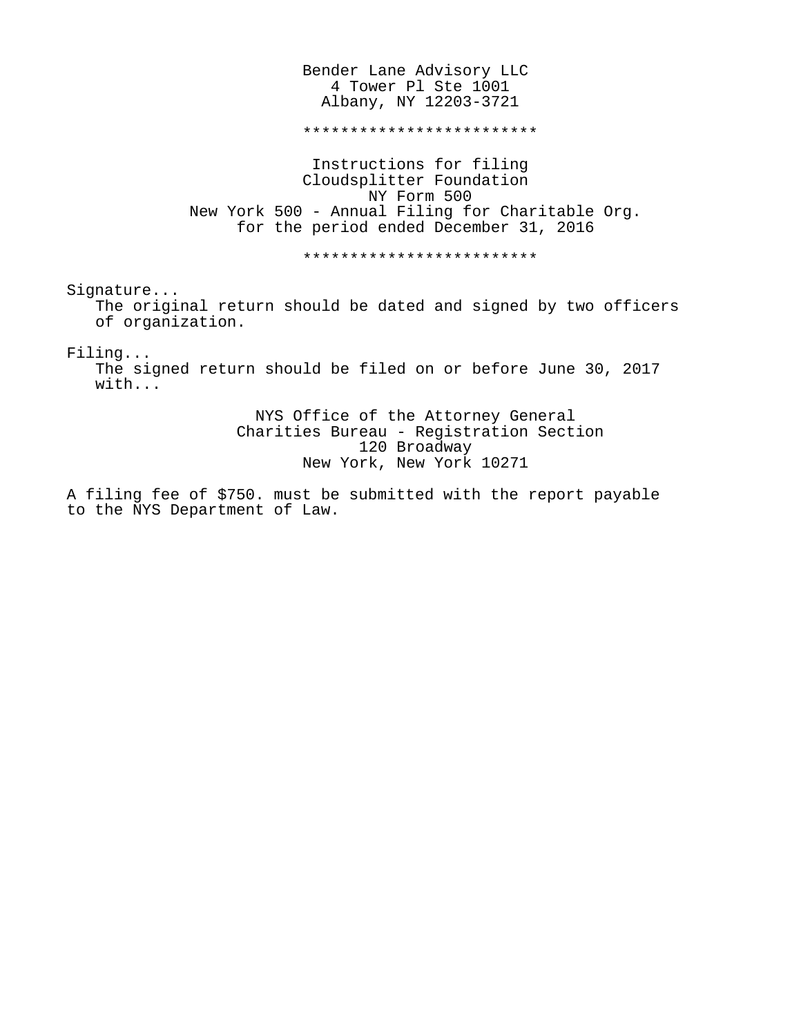Bender Lane Advisory LLC 4 Tower Pl Ste 1001 Albany, NY 12203-3721

\*\*\*\*\*\*\*\*\*\*\*\*\*\*\*\*\*\*\*\*\*\*\*\*\*

 Instructions for filing Cloudsplitter Foundation NY Form 500 New York 500 - Annual Filing for Charitable Org. for the period ended December 31, 2016

\*\*\*\*\*\*\*\*\*\*\*\*\*\*\*\*\*\*\*\*\*\*\*\*\*

Signature...

 The original return should be dated and signed by two officers of organization.

Filing...

 The signed return should be filed on or before June 30, 2017 with...

> NYS Office of the Attorney General Charities Bureau - Registration Section 120 Broadway New York, New York 10271

A filing fee of \$750. must be submitted with the report payable to the NYS Department of Law.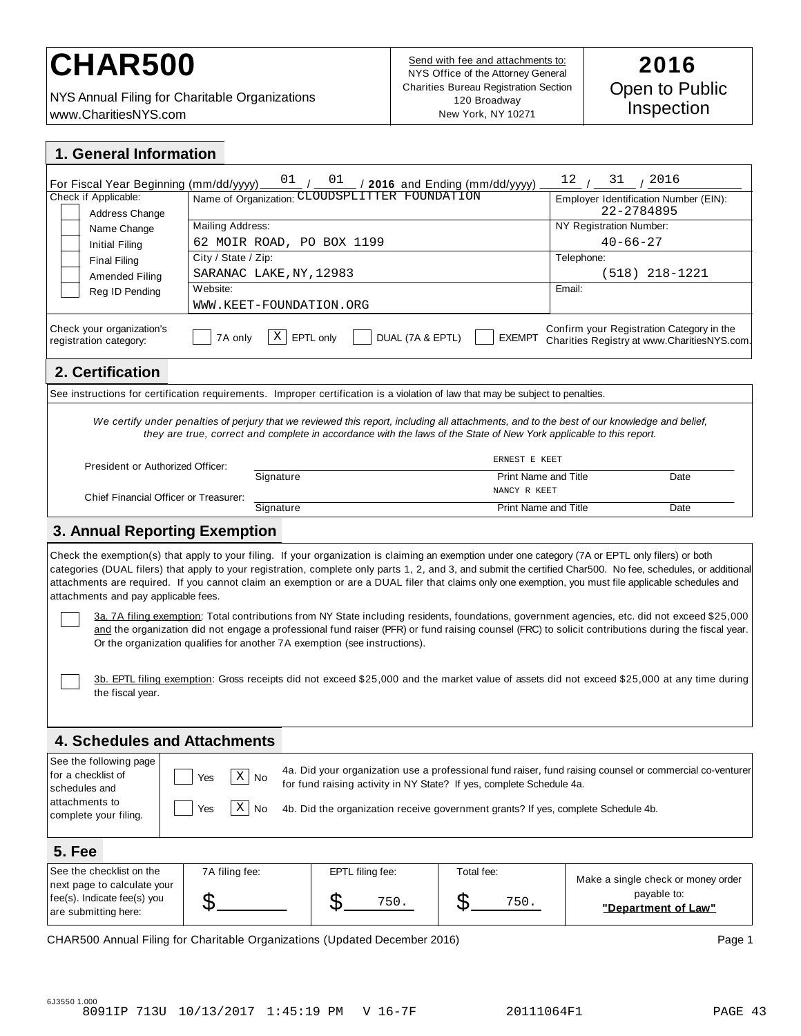# CHAR500<br>**CHAR500 Example 1** Send with fee and attachments to: 2016

**1. General Information**

NYS Annual Filing for Charitable Organizations www.CharitiesNYS.com

| For Fiscal Year Beginning                                                                                                       | $(mm/dd/yyyy)$ _                                                           | $\frac{\text{(mm/dd/yyyy)} - 01}{\text{Name of Organization: CLOUDSPLITTER FOUNDATION}}$                                                                  |                             | $\frac{12}{1}$ / $\frac{31}{1}$ / 2016                                                                                                                                                                                                                                                                                                                                                                                                                                                                                                                                                                                                                                                                                                                                                 |
|---------------------------------------------------------------------------------------------------------------------------------|----------------------------------------------------------------------------|-----------------------------------------------------------------------------------------------------------------------------------------------------------|-----------------------------|----------------------------------------------------------------------------------------------------------------------------------------------------------------------------------------------------------------------------------------------------------------------------------------------------------------------------------------------------------------------------------------------------------------------------------------------------------------------------------------------------------------------------------------------------------------------------------------------------------------------------------------------------------------------------------------------------------------------------------------------------------------------------------------|
| Check if Applicable:<br>Address Change                                                                                          |                                                                            |                                                                                                                                                           |                             | Employer Identification Number (EIN):<br>22-2784895                                                                                                                                                                                                                                                                                                                                                                                                                                                                                                                                                                                                                                                                                                                                    |
| Name Change                                                                                                                     | Mailing Address:                                                           |                                                                                                                                                           |                             | NY Registration Number:                                                                                                                                                                                                                                                                                                                                                                                                                                                                                                                                                                                                                                                                                                                                                                |
| Initial Filing                                                                                                                  | 62 MOIR ROAD, PO BOX 1199                                                  |                                                                                                                                                           |                             | $40 - 66 - 27$                                                                                                                                                                                                                                                                                                                                                                                                                                                                                                                                                                                                                                                                                                                                                                         |
| <b>Final Filing</b>                                                                                                             | City / State / Zip:                                                        |                                                                                                                                                           |                             | Telephone:                                                                                                                                                                                                                                                                                                                                                                                                                                                                                                                                                                                                                                                                                                                                                                             |
| Amended Filing                                                                                                                  | SARANAC LAKE, NY, 12983                                                    |                                                                                                                                                           |                             | $(518)$ 218-1221                                                                                                                                                                                                                                                                                                                                                                                                                                                                                                                                                                                                                                                                                                                                                                       |
| Reg ID Pending                                                                                                                  | Website:                                                                   |                                                                                                                                                           | Email:                      |                                                                                                                                                                                                                                                                                                                                                                                                                                                                                                                                                                                                                                                                                                                                                                                        |
|                                                                                                                                 | WWW.KEET-FOUNDATION.ORG                                                    |                                                                                                                                                           |                             |                                                                                                                                                                                                                                                                                                                                                                                                                                                                                                                                                                                                                                                                                                                                                                                        |
| Check your organization's<br>registration category:                                                                             | Χ<br>7A only                                                               | EPTL only<br>DUAL (7A & EPTL)                                                                                                                             | <b>EXEMPT</b>               | Confirm your Registration Category in the<br>Charities Registry at www.CharitiesNYS.com.                                                                                                                                                                                                                                                                                                                                                                                                                                                                                                                                                                                                                                                                                               |
| 2. Certification                                                                                                                |                                                                            |                                                                                                                                                           |                             |                                                                                                                                                                                                                                                                                                                                                                                                                                                                                                                                                                                                                                                                                                                                                                                        |
| See instructions for certification requirements. Improper certification is a violation of law that may be subject to penalties. |                                                                            |                                                                                                                                                           |                             |                                                                                                                                                                                                                                                                                                                                                                                                                                                                                                                                                                                                                                                                                                                                                                                        |
|                                                                                                                                 |                                                                            | they are true, correct and complete in accordance with the laws of the State of New York applicable to this report.                                       |                             | We certify under penalties of perjury that we reviewed this report, including all attachments, and to the best of our knowledge and belief,                                                                                                                                                                                                                                                                                                                                                                                                                                                                                                                                                                                                                                            |
|                                                                                                                                 |                                                                            |                                                                                                                                                           | ERNEST E KEET               |                                                                                                                                                                                                                                                                                                                                                                                                                                                                                                                                                                                                                                                                                                                                                                                        |
| President or Authorized Officer:                                                                                                | Signature                                                                  |                                                                                                                                                           | <b>Print Name and Title</b> | Date                                                                                                                                                                                                                                                                                                                                                                                                                                                                                                                                                                                                                                                                                                                                                                                   |
| Chief Financial Officer or Treasurer:                                                                                           |                                                                            |                                                                                                                                                           | NANCY R KEET                |                                                                                                                                                                                                                                                                                                                                                                                                                                                                                                                                                                                                                                                                                                                                                                                        |
|                                                                                                                                 | Signature                                                                  |                                                                                                                                                           | <b>Print Name and Title</b> | Date                                                                                                                                                                                                                                                                                                                                                                                                                                                                                                                                                                                                                                                                                                                                                                                   |
| 3. Annual Reporting Exemption                                                                                                   |                                                                            |                                                                                                                                                           |                             |                                                                                                                                                                                                                                                                                                                                                                                                                                                                                                                                                                                                                                                                                                                                                                                        |
| attachments and pay applicable fees.                                                                                            | Or the organization qualifies for another 7A exemption (see instructions). |                                                                                                                                                           |                             | Check the exemption(s) that apply to your filing. If your organization is claiming an exemption under one category (7A or EPTL only filers) or both<br>categories (DUAL filers) that apply to your registration, complete only parts 1, 2, and 3, and submit the certified Char500. No fee, schedules, or additional<br>attachments are required. If you cannot claim an exemption or are a DUAL filer that claims only one exemption, you must file applicable schedules and<br>3a. 7A filing exemption: Total contributions from NY State including residents, foundations, government agencies, etc. did not exceed \$25,000<br>and the organization did not engage a professional fund raiser (PFR) or fund raising counsel (FRC) to solicit contributions during the fiscal year. |
| the fiscal year.                                                                                                                |                                                                            |                                                                                                                                                           |                             | 3b. EPTL filing exemption: Gross receipts did not exceed \$25,000 and the market value of assets did not exceed \$25,000 at any time during                                                                                                                                                                                                                                                                                                                                                                                                                                                                                                                                                                                                                                            |
| 4. Schedules and Attachments                                                                                                    |                                                                            |                                                                                                                                                           |                             |                                                                                                                                                                                                                                                                                                                                                                                                                                                                                                                                                                                                                                                                                                                                                                                        |
| See the following page<br>for a checklist of<br>schedules and<br>attachments to<br>complete your filing.                        | $X \mid$<br>Yes<br>No<br>ΧI<br>Yes<br>No                                   | for fund raising activity in NY State? If yes, complete Schedule 4a.<br>4b. Did the organization receive government grants? If yes, complete Schedule 4b. |                             | 4a. Did your organization use a professional fund raiser, fund raising counsel or commercial co-venturer                                                                                                                                                                                                                                                                                                                                                                                                                                                                                                                                                                                                                                                                               |
| <b>5. Fee</b>                                                                                                                   |                                                                            |                                                                                                                                                           |                             |                                                                                                                                                                                                                                                                                                                                                                                                                                                                                                                                                                                                                                                                                                                                                                                        |
| See the checklist on the                                                                                                        | 7A filing fee:                                                             | EPTL filing fee:                                                                                                                                          | Total fee:                  |                                                                                                                                                                                                                                                                                                                                                                                                                                                                                                                                                                                                                                                                                                                                                                                        |
| next page to calculate your<br>fee(s). Indicate fee(s) you<br>are submitting here:                                              |                                                                            | S<br>750.                                                                                                                                                 | 750.                        | Make a single check or money order<br>payable to:<br>"Department of Law"                                                                                                                                                                                                                                                                                                                                                                                                                                                                                                                                                                                                                                                                                                               |
|                                                                                                                                 |                                                                            |                                                                                                                                                           |                             |                                                                                                                                                                                                                                                                                                                                                                                                                                                                                                                                                                                                                                                                                                                                                                                        |

CHAR500 Annual Filing for Charitable Organizations (Updated December 2016) CHAR500 Annual Filing for Charitable Organizations (Updated December 2016)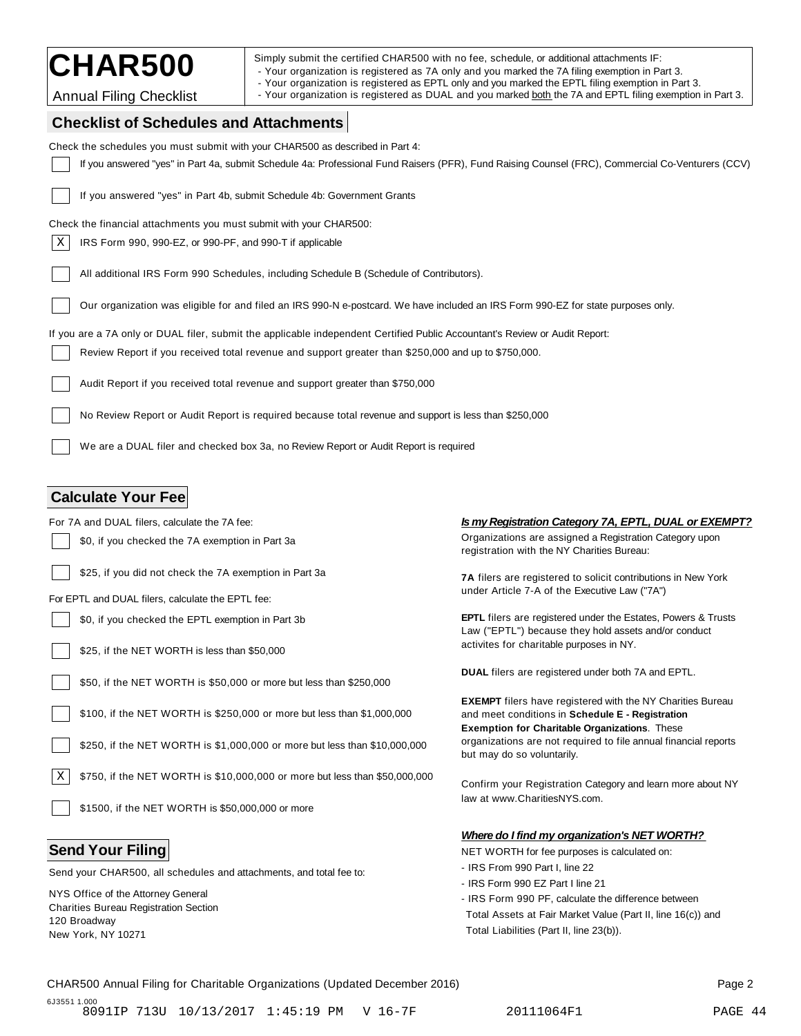CHAR500 Simply submit the certified CHAR500 with no fee, schedule, or additional attachments IF:<br>The Your organization is registered as 7A only and you marked the 7A filing exemption in Part 3.

- Your organization is registered as EPTL only and you marked the EPTL filing exemption in Part 3.

Annual Filing Checklist | - Your organization is registered as DUAL and you marked both the 7A and EPTL filing exemption in Part 3.

# **Checklist of Schedules and Attachments**

| Check the schedules you must submit with your CHAR500 as described in Part 4:                                                                    |                                                                                                                                                       |  |  |  |  |  |  |
|--------------------------------------------------------------------------------------------------------------------------------------------------|-------------------------------------------------------------------------------------------------------------------------------------------------------|--|--|--|--|--|--|
| If you answered "yes" in Part 4a, submit Schedule 4a: Professional Fund Raisers (PFR), Fund Raising Counsel (FRC), Commercial Co-Venturers (CCV) |                                                                                                                                                       |  |  |  |  |  |  |
| If you answered "yes" in Part 4b, submit Schedule 4b: Government Grants                                                                          |                                                                                                                                                       |  |  |  |  |  |  |
| Check the financial attachments you must submit with your CHAR500:                                                                               |                                                                                                                                                       |  |  |  |  |  |  |
| Χ<br>IRS Form 990, 990-EZ, or 990-PF, and 990-T if applicable                                                                                    |                                                                                                                                                       |  |  |  |  |  |  |
| All additional IRS Form 990 Schedules, including Schedule B (Schedule of Contributors).                                                          |                                                                                                                                                       |  |  |  |  |  |  |
| Our organization was eligible for and filed an IRS 990-N e-postcard. We have included an IRS Form 990-EZ for state purposes only.                |                                                                                                                                                       |  |  |  |  |  |  |
| If you are a 7A only or DUAL filer, submit the applicable independent Certified Public Accountant's Review or Audit Report:                      |                                                                                                                                                       |  |  |  |  |  |  |
| Review Report if you received total revenue and support greater than \$250,000 and up to \$750,000.                                              |                                                                                                                                                       |  |  |  |  |  |  |
| Audit Report if you received total revenue and support greater than \$750,000                                                                    |                                                                                                                                                       |  |  |  |  |  |  |
| No Review Report or Audit Report is required because total revenue and support is less than \$250,000                                            |                                                                                                                                                       |  |  |  |  |  |  |
| We are a DUAL filer and checked box 3a, no Review Report or Audit Report is required                                                             |                                                                                                                                                       |  |  |  |  |  |  |
|                                                                                                                                                  |                                                                                                                                                       |  |  |  |  |  |  |
| <b>Calculate Your Fee</b>                                                                                                                        |                                                                                                                                                       |  |  |  |  |  |  |
| For 7A and DUAL filers, calculate the 7A fee:                                                                                                    | Is my Registration Category 7A, EPTL, DUAL or EXEMPT?                                                                                                 |  |  |  |  |  |  |
| \$0, if you checked the 7A exemption in Part 3a                                                                                                  | Organizations are assigned a Registration Category upon<br>registration with the NY Charities Bureau:                                                 |  |  |  |  |  |  |
| \$25, if you did not check the 7A exemption in Part 3a                                                                                           |                                                                                                                                                       |  |  |  |  |  |  |
|                                                                                                                                                  | 7A filers are registered to solicit contributions in New York                                                                                         |  |  |  |  |  |  |
| For EPTL and DUAL filers, calculate the EPTL fee:                                                                                                | under Article 7-A of the Executive Law ("7A")                                                                                                         |  |  |  |  |  |  |
| \$0, if you checked the EPTL exemption in Part 3b                                                                                                | <b>EPTL</b> filers are registered under the Estates, Powers & Trusts<br>Law ("EPTL") because they hold assets and/or conduct                          |  |  |  |  |  |  |
| \$25, if the NET WORTH is less than \$50,000                                                                                                     | activites for charitable purposes in NY.                                                                                                              |  |  |  |  |  |  |
| \$50, if the NET WORTH is \$50,000 or more but less than \$250,000                                                                               | <b>DUAL</b> filers are registered under both 7A and EPTL.                                                                                             |  |  |  |  |  |  |
| \$100, if the NET WORTH is \$250,000 or more but less than \$1,000,000                                                                           | <b>EXEMPT</b> filers have registered with the NY Charities Bureau<br>and meet conditions in Schedule E - Registration                                 |  |  |  |  |  |  |
| \$250, if the NET WORTH is \$1,000,000 or more but less than \$10,000,000                                                                        | <b>Exemption for Charitable Organizations.</b> These<br>organizations are not required to file annual financial reports<br>but may do so voluntarily. |  |  |  |  |  |  |
| Χ<br>\$750, if the NET WORTH is \$10,000,000 or more but less than \$50,000,000                                                                  | Confirm your Registration Category and learn more about NY                                                                                            |  |  |  |  |  |  |
| \$1500, if the NET WORTH is \$50,000,000 or more                                                                                                 | law at www.CharitiesNYS.com.                                                                                                                          |  |  |  |  |  |  |

Send your CHAR500, all schedules and attachments, and total fee to:

NYS Office of the Attorney General Charities Bureau Registration Section 120 Broadway New York, NY 10271

#### *Where do I find my organization's NET WORTH?*

**Send Your Filing**  $\blacksquare$ 

- IRS From 990 Part I, line 22
- IRS Form 990 EZ Part I line 21
- IRS Form 990 PF, calculate the difference between Total Assets at Fair Market Value (Part II, line 16(c)) and Total Liabilities (Part II, line 23(b)).

#### CHAR500 Annual Filing for Charitable Organizations (Updated December 2016) Page 2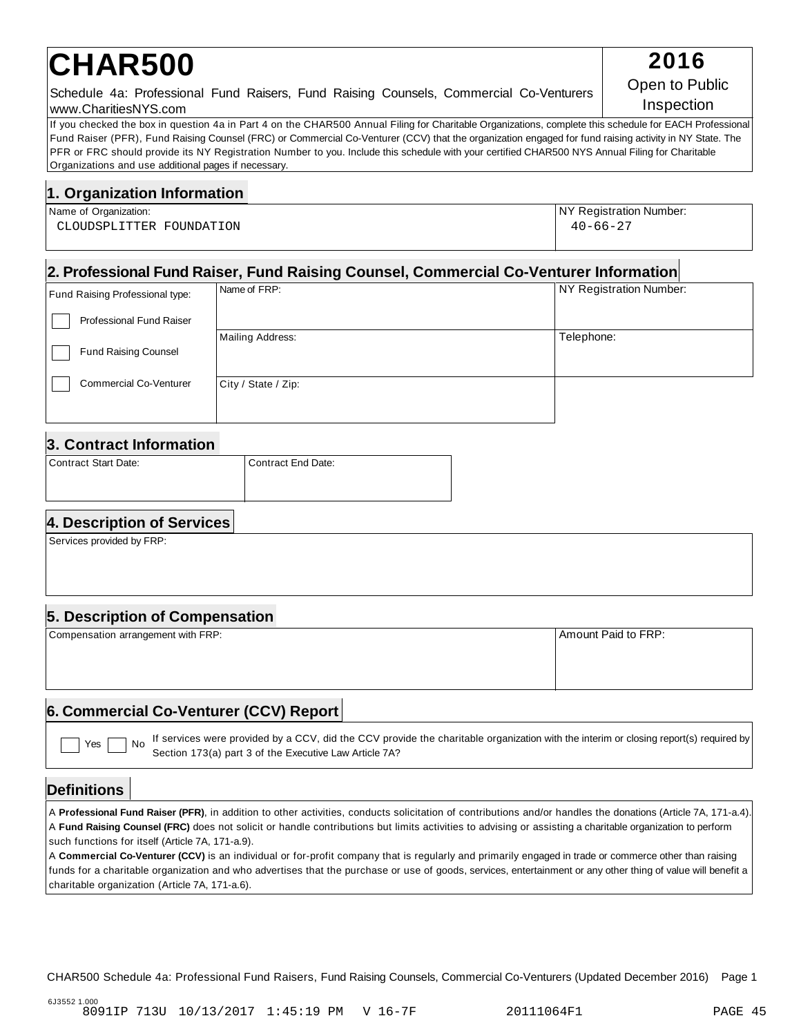# **CHAR500** 2016

Schedule 4a: Professional Fund Raisers, Fund Raising Counsels, Commercial Co-Venturers www.CharitiesNYS.com

If you checked the box in question 4a in Part 4 on the CHAR500 Annual Filing for Charitable Organizations, complete this schedule for EACH Professional Fund Raiser (PFR), Fund Raising Counsel (FRC) or Commercial Co-Venturer (CCV) that the organization engaged for fund raising activity in NY State. The PFR or FRC should provide its NY Registration Number to you. Include this schedule with your certified CHAR500 NYS Annual Filing for Charitable Organizations and use additional pages if necessary.

# **1. Organization Information**

| Name of Organization:    | NY Registration Number: |
|--------------------------|-------------------------|
| CLOUDSPLITTER FOUNDATION | $40 - 66 - 27$          |

### **2. Professional Fund Raiser, Fund Raising Counsel, Commercial Co-Venturer Information**

| Fund Raising Professional type: | Name of FRP:        | NY Registration Number: |
|---------------------------------|---------------------|-------------------------|
| <b>Professional Fund Raiser</b> |                     |                         |
|                                 | Mailing Address:    | Telephone:              |
| <b>Fund Raising Counsel</b>     |                     |                         |
| <b>Commercial Co-Venturer</b>   | City / State / Zip: |                         |
|                                 |                     |                         |

### **3. Contract Information**

| Contract Start Date: | Contract End Date: |
|----------------------|--------------------|
|                      |                    |

# **4. Description of Services**

Services provided by FRP:

# **5. Description of Compensation**

| Compensation arrangement with FRP: | Amount Paid to FRP: |
|------------------------------------|---------------------|
|                                    |                     |
|                                    |                     |
|                                    |                     |

# **6. Commercial Co-Venturer (CCV) Report**

If services were provided by a CCV, did the CCV provide the charitable organization with the interim or closing report(s) required by Section 173(a) part 3 of the Executive Law Article 7A?  $Yes \mid \text{No}$ 

# **Definitions**

A **Professional Fund Raiser (PFR)**, in addition to other activities, conducts solicitation of contributions and/or handles the donations (Article 7A, 171-a.4). A **Fund Raising Counsel (FRC)** does not solicit or handle contributions but limits activities to advising or assisting a charitable organization to perform such functions for itself (Article 7A, 171-a.9).

A **Commercial Co-Venturer (CCV)** is an individual or for-profit company that is regularly and primarily engaged in trade or commerce other than raising funds for a charitable organization and who advertises that the purchase or use of goods, services, entertainment or any other thing of value will benefit a charitable organization (Article 7A, 171-a.6).

CHAR500 Schedule 4a: Professional Fund Raisers, Fund Raising Counsels, Commercial Co-Venturers (Updated December 2016) Page 1